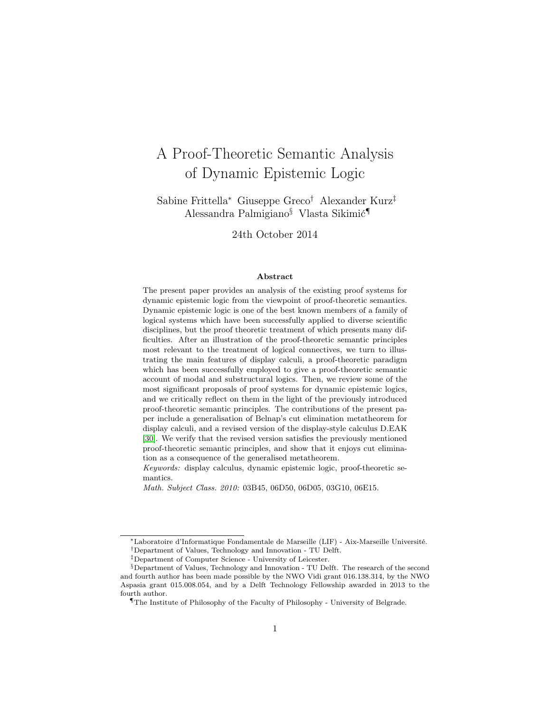# A Proof-Theoretic Semantic Analysis of Dynamic Epistemic Logic

Sabine Frittella<sup>∗</sup> Giuseppe Greco† Alexander Kurz‡ Alessandra Palmigiano§ Vlasta Sikimić¶

24th October 2014

#### Abstract

The present paper provides an analysis of the existing proof systems for dynamic epistemic logic from the viewpoint of proof-theoretic semantics. Dynamic epistemic logic is one of the best known members of a family of logical systems which have been successfully applied to diverse scientific disciplines, but the proof theoretic treatment of which presents many difficulties. After an illustration of the proof-theoretic semantic principles most relevant to the treatment of logical connectives, we turn to illustrating the main features of display calculi, a proof-theoretic paradigm which has been successfully employed to give a proof-theoretic semantic account of modal and substructural logics. Then, we review some of the most significant proposals of proof systems for dynamic epistemic logics, and we critically reflect on them in the light of the previously introduced proof-theoretic semantic principles. The contributions of the present paper include a generalisation of Belnap's cut elimination metatheorem for display calculi, and a revised version of the display-style calculus D.EAK [\[30\]](#page-60-0). We verify that the revised version satisfies the previously mentioned proof-theoretic semantic principles, and show that it enjoys cut elimination as a consequence of the generalised metatheorem.

Keywords: display calculus, dynamic epistemic logic, proof-theoretic semantics.

Math. Subject Class. 2010: 03B45, 06D50, 06D05, 03G10, 06E15.

<sup>∗</sup>Laboratoire d'Informatique Fondamentale de Marseille (LIF) - Aix-Marseille Université.

<sup>†</sup>Department of Values, Technology and Innovation - TU Delft.

<sup>‡</sup>Department of Computer Science - University of Leicester.

<sup>§</sup>Department of Values, Technology and Innovation - TU Delft. The research of the second and fourth author has been made possible by the NWO Vidi grant 016.138.314, by the NWO Aspasia grant 015.008.054, and by a Delft Technology Fellowship awarded in 2013 to the fourth author.

<sup>¶</sup>The Institute of Philosophy of the Faculty of Philosophy - University of Belgrade.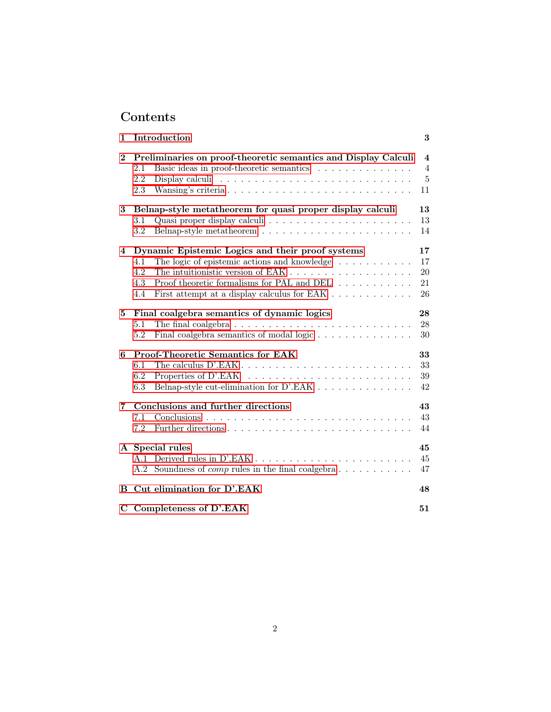# Contents

| 1        | Introduction                                                                                                                                                                                                                                     | 3                                           |
|----------|--------------------------------------------------------------------------------------------------------------------------------------------------------------------------------------------------------------------------------------------------|---------------------------------------------|
| $\bf{2}$ | Preliminaries on proof-theoretic semantics and Display Calculi<br>Basic ideas in proof-theoretic semantics<br>2.1<br>2.2<br>2.3                                                                                                                  | 4<br>$\overline{4}$<br>$\overline{5}$<br>11 |
| 3        | Belnap-style metatheorem for quasi proper display calculi<br>Quasi proper display calculi $\ldots \ldots \ldots \ldots \ldots \ldots$<br>3.1<br>3.2                                                                                              | 13<br>13<br>14                              |
| 4        | Dynamic Epistemic Logics and their proof systems<br>The logic of epistemic actions and knowledge $\ldots \ldots \ldots$<br>4.1<br>4.2<br>4.3<br>Proof theoretic formalisms for PAL and DEL<br>First attempt at a display calculus for EAK<br>4.4 | 17<br>17<br>20<br>21<br>26                  |
| 5.       | Final coalgebra semantics of dynamic logics<br>5.1<br>Final coalgebra semantics of modal logic<br>5.2                                                                                                                                            | 28<br>28<br>30                              |
| 6        | <b>Proof-Theoretic Semantics for EAK</b><br>6.1<br>6.2<br>Properties of D'.EAK $\ldots \ldots \ldots \ldots \ldots \ldots \ldots \ldots$<br>6.3                                                                                                  | 33<br>33<br>39<br>42                        |
| 7        | Conclusions and further directions<br>7.1<br>7.2                                                                                                                                                                                                 | 43<br>43<br>44                              |
|          | A Special rules<br>A.1<br>Soundness of <i>comp</i> rules in the final coalgebra $\dots \dots \dots$<br>A.2                                                                                                                                       | 45<br>45<br>47                              |
| в        | Cut elimination for D'.EAK                                                                                                                                                                                                                       | 48                                          |
| C        | Completeness of D'.EAK                                                                                                                                                                                                                           | 51                                          |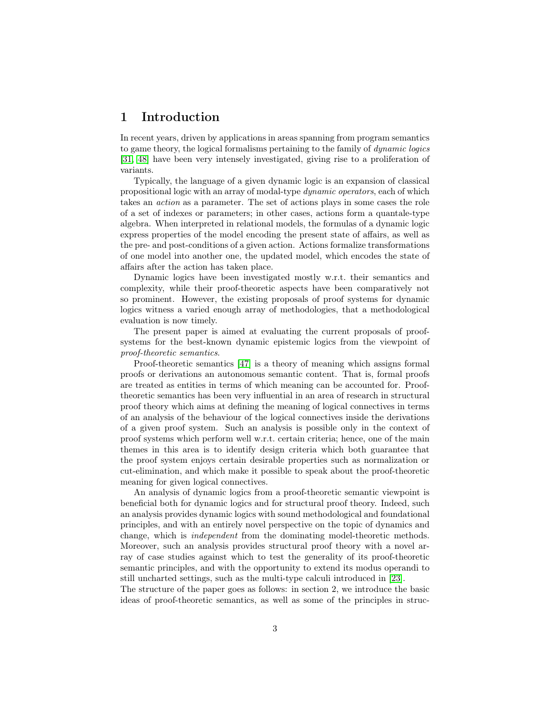## <span id="page-2-0"></span>1 Introduction

In recent years, driven by applications in areas spanning from program semantics to game theory, the logical formalisms pertaining to the family of dynamic logics [\[31,](#page-60-1) [48\]](#page-61-0) have been very intensely investigated, giving rise to a proliferation of variants.

Typically, the language of a given dynamic logic is an expansion of classical propositional logic with an array of modal-type dynamic operators, each of which takes an action as a parameter. The set of actions plays in some cases the role of a set of indexes or parameters; in other cases, actions form a quantale-type algebra. When interpreted in relational models, the formulas of a dynamic logic express properties of the model encoding the present state of affairs, as well as the pre- and post-conditions of a given action. Actions formalize transformations of one model into another one, the updated model, which encodes the state of affairs after the action has taken place.

Dynamic logics have been investigated mostly w.r.t. their semantics and complexity, while their proof-theoretic aspects have been comparatively not so prominent. However, the existing proposals of proof systems for dynamic logics witness a varied enough array of methodologies, that a methodological evaluation is now timely.

The present paper is aimed at evaluating the current proposals of proofsystems for the best-known dynamic epistemic logics from the viewpoint of proof-theoretic semantics.

Proof-theoretic semantics [\[47\]](#page-61-1) is a theory of meaning which assigns formal proofs or derivations an autonomous semantic content. That is, formal proofs are treated as entities in terms of which meaning can be accounted for. Prooftheoretic semantics has been very influential in an area of research in structural proof theory which aims at defining the meaning of logical connectives in terms of an analysis of the behaviour of the logical connectives inside the derivations of a given proof system. Such an analysis is possible only in the context of proof systems which perform well w.r.t. certain criteria; hence, one of the main themes in this area is to identify design criteria which both guarantee that the proof system enjoys certain desirable properties such as normalization or cut-elimination, and which make it possible to speak about the proof-theoretic meaning for given logical connectives.

An analysis of dynamic logics from a proof-theoretic semantic viewpoint is beneficial both for dynamic logics and for structural proof theory. Indeed, such an analysis provides dynamic logics with sound methodological and foundational principles, and with an entirely novel perspective on the topic of dynamics and change, which is independent from the dominating model-theoretic methods. Moreover, such an analysis provides structural proof theory with a novel array of case studies against which to test the generality of its proof-theoretic semantic principles, and with the opportunity to extend its modus operandi to still uncharted settings, such as the multi-type calculi introduced in [\[23\]](#page-59-0).

The structure of the paper goes as follows: in section 2, we introduce the basic ideas of proof-theoretic semantics, as well as some of the principles in struc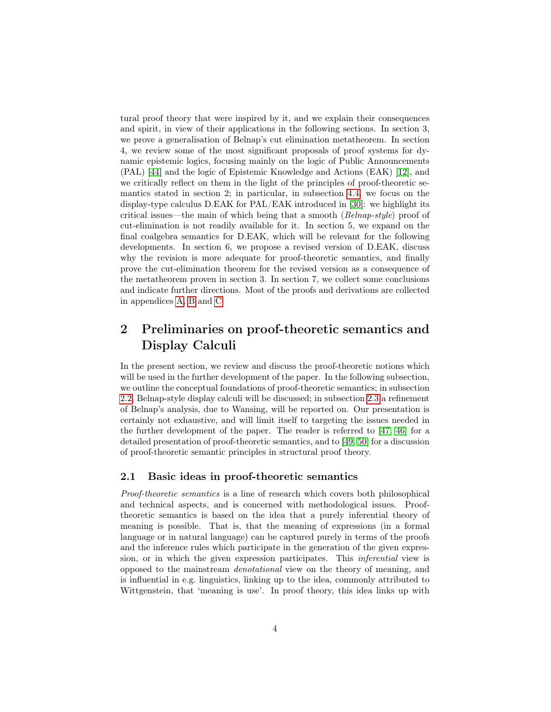tural proof theory that were inspired by it, and we explain their consequences and spirit, in view of their applications in the following sections. In section 3, we prove a generalisation of Belnap's cut elimination metatheorem. In section 4, we review some of the most significant proposals of proof systems for dynamic epistemic logics, focusing mainly on the logic of Public Announcements (PAL) [\[44\]](#page-60-2) and the logic of Epistemic Knowledge and Actions (EAK) [\[12\]](#page-58-0), and we critically reflect on them in the light of the principles of proof-theoretic semantics stated in section 2; in particular, in subsection [4.4,](#page-25-0) we focus on the display-type calculus D.EAK for PAL/EAK introduced in [\[30\]](#page-60-0): we highlight its critical issues—the main of which being that a smooth ( $Belnap-style$ ) proof of cut-elimination is not readily available for it. In section 5, we expand on the final coalgebra semantics for D.EAK, which will be relevant for the following developments. In section 6, we propose a revised version of D.EAK, discuss why the revision is more adequate for proof-theoretic semantics, and finally prove the cut-elimination theorem for the revised version as a consequence of the metatheorem proven in section 3. In section 7, we collect some conclusions and indicate further directions. Most of the proofs and derivations are collected in appendices [A,](#page-44-0) [B](#page-47-0) and [C.](#page-50-0)

## <span id="page-3-0"></span>2 Preliminaries on proof-theoretic semantics and Display Calculi

In the present section, we review and discuss the proof-theoretic notions which will be used in the further development of the paper. In the following subsection, we outline the conceptual foundations of proof-theoretic semantics; in subsection [2.2,](#page-4-0) Belnap-style display calculi will be discussed; in subsection [2.3](#page-10-0) a refinement of Belnap's analysis, due to Wansing, will be reported on. Our presentation is certainly not exhaustive, and will limit itself to targeting the issues needed in the further development of the paper. The reader is referred to [\[47,](#page-61-1) [46\]](#page-61-2) for a detailed presentation of proof-theoretic semantics, and to [\[49,](#page-61-3) [50\]](#page-61-4) for a discussion of proof-theoretic semantic principles in structural proof theory.

#### <span id="page-3-1"></span>2.1 Basic ideas in proof-theoretic semantics

Proof-theoretic semantics is a line of research which covers both philosophical and technical aspects, and is concerned with methodological issues. Prooftheoretic semantics is based on the idea that a purely inferential theory of meaning is possible. That is, that the meaning of expressions (in a formal language or in natural language) can be captured purely in terms of the proofs and the inference rules which participate in the generation of the given expression, or in which the given expression participates. This inferential view is opposed to the mainstream denotational view on the theory of meaning, and is influential in e.g. linguistics, linking up to the idea, commonly attributed to Wittgenstein, that 'meaning is use'. In proof theory, this idea links up with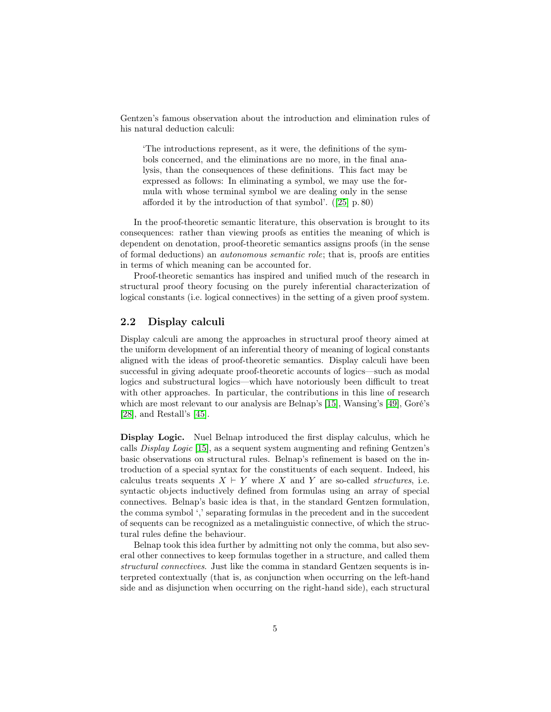Gentzen's famous observation about the introduction and elimination rules of his natural deduction calculi:

'The introductions represent, as it were, the definitions of the symbols concerned, and the eliminations are no more, in the final analysis, than the consequences of these definitions. This fact may be expressed as follows: In eliminating a symbol, we may use the formula with whose terminal symbol we are dealing only in the sense afforded it by the introduction of that symbol'. ([\[25\]](#page-59-1) p. 80)

In the proof-theoretic semantic literature, this observation is brought to its consequences: rather than viewing proofs as entities the meaning of which is dependent on denotation, proof-theoretic semantics assigns proofs (in the sense of formal deductions) an autonomous semantic role; that is, proofs are entities in terms of which meaning can be accounted for.

Proof-theoretic semantics has inspired and unified much of the research in structural proof theory focusing on the purely inferential characterization of logical constants (i.e. logical connectives) in the setting of a given proof system.

#### <span id="page-4-0"></span>2.2 Display calculi

Display calculi are among the approaches in structural proof theory aimed at the uniform development of an inferential theory of meaning of logical constants aligned with the ideas of proof-theoretic semantics. Display calculi have been successful in giving adequate proof-theoretic accounts of logics—such as modal logics and substructural logics—which have notoriously been difficult to treat with other approaches. In particular, the contributions in this line of research which are most relevant to our analysis are Belnap's [\[15\]](#page-58-1), Wansing's [\[49\]](#page-61-3), Goré's [\[28\]](#page-59-2), and Restall's [\[45\]](#page-61-5).

Display Logic. Nuel Belnap introduced the first display calculus, which he calls Display Logic [\[15\]](#page-58-1), as a sequent system augmenting and refining Gentzen's basic observations on structural rules. Belnap's refinement is based on the introduction of a special syntax for the constituents of each sequent. Indeed, his calculus treats sequents  $X \vdash Y$  where X and Y are so-called *structures*, i.e. syntactic objects inductively defined from formulas using an array of special connectives. Belnap's basic idea is that, in the standard Gentzen formulation, the comma symbol ',' separating formulas in the precedent and in the succedent of sequents can be recognized as a metalinguistic connective, of which the structural rules define the behaviour.

Belnap took this idea further by admitting not only the comma, but also several other connectives to keep formulas together in a structure, and called them structural connectives. Just like the comma in standard Gentzen sequents is interpreted contextually (that is, as conjunction when occurring on the left-hand side and as disjunction when occurring on the right-hand side), each structural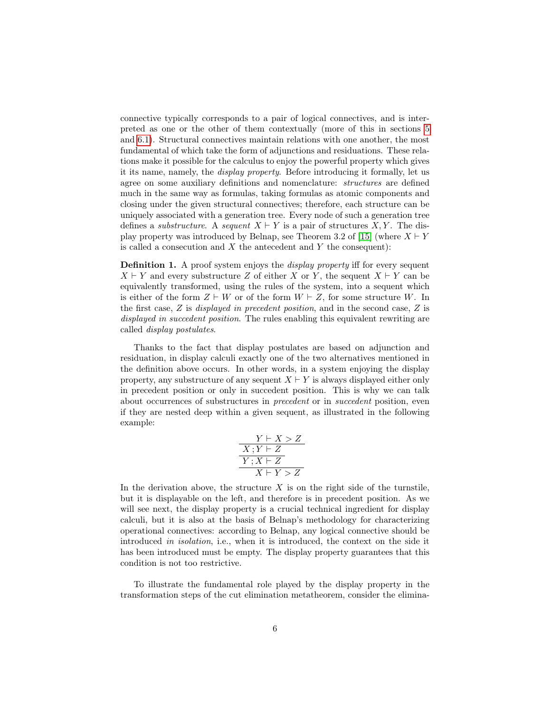connective typically corresponds to a pair of logical connectives, and is interpreted as one or the other of them contextually (more of this in sections [5](#page-27-0) and [6.1\)](#page-32-1). Structural connectives maintain relations with one another, the most fundamental of which take the form of adjunctions and residuations. These relations make it possible for the calculus to enjoy the powerful property which gives it its name, namely, the display property. Before introducing it formally, let us agree on some auxiliary definitions and nomenclature: structures are defined much in the same way as formulas, taking formulas as atomic components and closing under the given structural connectives; therefore, each structure can be uniquely associated with a generation tree. Every node of such a generation tree defines a *substructure*. A *sequent*  $X \vdash Y$  is a pair of structures X, Y. The dis-play property was introduced by Belnap, see Theorem 3.2 of [\[15\]](#page-58-1) (where  $X \vdash Y$ is called a consecution and  $X$  the antecedent and  $Y$  the consequent):

<span id="page-5-0"></span>**Definition 1.** A proof system enjoys the *display property* iff for every sequent  $X \vdash Y$  and every substructure Z of either X or Y, the sequent  $X \vdash Y$  can be equivalently transformed, using the rules of the system, into a sequent which is either of the form  $Z \vdash W$  or of the form  $W \vdash Z$ , for some structure W. In the first case, Z is displayed in precedent position, and in the second case, Z is displayed in succedent position. The rules enabling this equivalent rewriting are called display postulates.

Thanks to the fact that display postulates are based on adjunction and residuation, in display calculi exactly one of the two alternatives mentioned in the definition above occurs. In other words, in a system enjoying the display property, any substructure of any sequent  $X \vdash Y$  is always displayed either only in precedent position or only in succedent position. This is why we can talk about occurrences of substructures in precedent or in succedent position, even if they are nested deep within a given sequent, as illustrated in the following example:

$$
\frac{\frac{Y\vdash X > Z}{X\,;Y\vdash Z}}{\frac{Y\,;X\vdash Z}{X\vdash Y > Z}}
$$

In the derivation above, the structure  $X$  is on the right side of the turnstile, but it is displayable on the left, and therefore is in precedent position. As we will see next, the display property is a crucial technical ingredient for display calculi, but it is also at the basis of Belnap's methodology for characterizing operational connectives: according to Belnap, any logical connective should be introduced in isolation, i.e., when it is introduced, the context on the side it has been introduced must be empty. The display property guarantees that this condition is not too restrictive.

To illustrate the fundamental role played by the display property in the transformation steps of the cut elimination metatheorem, consider the elimina-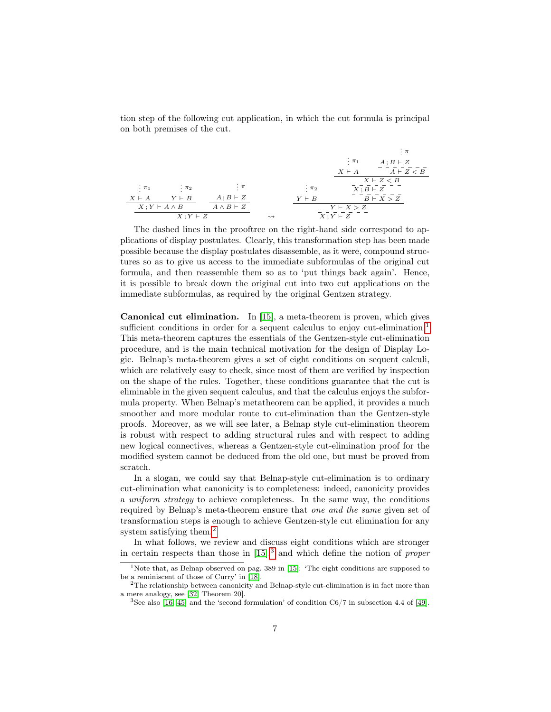tion step of the following cut application, in which the cut formula is principal on both premises of the cut.

$$
\begin{array}{ccccccccc}\n&\vdots\pi& & &\vdots\pi& & &\vdots\pi& & &\vdots\pi& & &\vdots\pi& & &\vdots\pi& & &\vdots\pi& & &\vdots\pi& & &\vdots\pi& & &\vdots\pi& & &\vdots\pi& & &\downarrow\pi& & &\downarrow\pi& & &\downarrow\pi& & &\downarrow\pi& & &\downarrow\pi& & &\downarrow\pi& & &\downarrow\pi& & &\downarrow\pi& & &\downarrow\pi& & &\downarrow\pi& & &\downarrow\pi& & &\downarrow\pi& & &\downarrow\pi& & &\downarrow\pi& & &\downarrow\pi& & &\downarrow\pi& & &\downarrow\pi& & &\downarrow\pi& & &\downarrow\pi& & &\downarrow\pi& & &\downarrow\pi& & &\downarrow\pi& & &\downarrow\pi& & &\downarrow\pi& & &\downarrow\pi& & &\downarrow\pi& & &\downarrow\pi& & &\downarrow\pi& & &\downarrow\pi& & &\downarrow\pi& & &\downarrow\pi& & &\downarrow\pi& & & &\downarrow\pi& & & &\downarrow\pi& & & &\downarrow\pi& & & &\downarrow\pi& & & &\downarrow\pi& & & &\downarrow\pi& & & &\downarrow\pi& & & &\downarrow\pi& & & &\downarrow\pi& & & &\downarrow\pi& & & &\downarrow\pi& & & &\downarrow\pi& & & &\downarrow\pi& & & &\downarrow\pi& & & &\downarrow\pi& & & &\downarrow\pi& & & &\downarrow\pi& & & &\downarrow\pi& & & &\downarrow\pi& & & &\downarrow\pi& & & &\downarrow\pi& & & &\downarrow\pi& & & & &\downarrow\pi& & & & &\downarrow\pi& & & & &\downarrow\pi& & & & &\downarrow\pi& & & & &\downarrow\pi& & & & &\downarrow\pi& & & & &\downarrow\pi& & & & &\downarrow\pi& & & & &\downarrow\pi& & & & &\downarrow\pi& & & & &\downarrow\pi& & & & & &\downarrow\pi& & & & &\downarrow\pi& & & & & &\downarrow\pi& & & & & &\downarrow\pi& & & & & &\downarrow\pi& & & & & &\downarrow\pi& & & & & &\downarrow\pi& & & & & &\downarrow\pi& & & & & &\downarrow\pi& &
$$

The dashed lines in the prooftree on the right-hand side correspond to applications of display postulates. Clearly, this transformation step has been made possible because the display postulates disassemble, as it were, compound structures so as to give us access to the immediate subformulas of the original cut formula, and then reassemble them so as to 'put things back again'. Hence, it is possible to break down the original cut into two cut applications on the immediate subformulas, as required by the original Gentzen strategy.

Canonical cut elimination. In [\[15\]](#page-58-1), a meta-theorem is proven, which gives sufficient conditions in order for a sequent calculus to enjoy cut-elimination.<sup>[1](#page-6-0)</sup> This meta-theorem captures the essentials of the Gentzen-style cut-elimination procedure, and is the main technical motivation for the design of Display Logic. Belnap's meta-theorem gives a set of eight conditions on sequent calculi, which are relatively easy to check, since most of them are verified by inspection on the shape of the rules. Together, these conditions guarantee that the cut is eliminable in the given sequent calculus, and that the calculus enjoys the subformula property. When Belnap's metatheorem can be applied, it provides a much smoother and more modular route to cut-elimination than the Gentzen-style proofs. Moreover, as we will see later, a Belnap style cut-elimination theorem is robust with respect to adding structural rules and with respect to adding new logical connectives, whereas a Gentzen-style cut-elimination proof for the modified system cannot be deduced from the old one, but must be proved from scratch.

In a slogan, we could say that Belnap-style cut-elimination is to ordinary cut-elimination what canonicity is to completeness: indeed, canonicity provides a *uniform strategy* to achieve completeness. In the same way, the conditions required by Belnap's meta-theorem ensure that one and the same given set of transformation steps is enough to achieve Gentzen-style cut elimination for any system satisfying them.<sup>[2](#page-6-1)</sup>

In what follows, we review and discuss eight conditions which are stronger in certain respects than those in  $[15]$ ,<sup>[3](#page-6-2)</sup> and which define the notion of *proper* 

<span id="page-6-0"></span><sup>&</sup>lt;sup>1</sup>Note that, as Belnap observed on pag. 389 in [\[15\]](#page-58-1): 'The eight conditions are supposed to be a reminiscent of those of Curry' in [\[18\]](#page-59-3).

<span id="page-6-1"></span> $2$ The relationship between canonicity and Belnap-style cut-elimination is in fact more than a mere analogy, see [\[32,](#page-60-3) Theorem 20].

<span id="page-6-2"></span><sup>&</sup>lt;sup>3</sup>See also [\[16,](#page-59-4) [45\]](#page-61-5) and the 'second formulation' of condition  $C6/7$  in subsection 4.4 of [\[49\]](#page-61-3).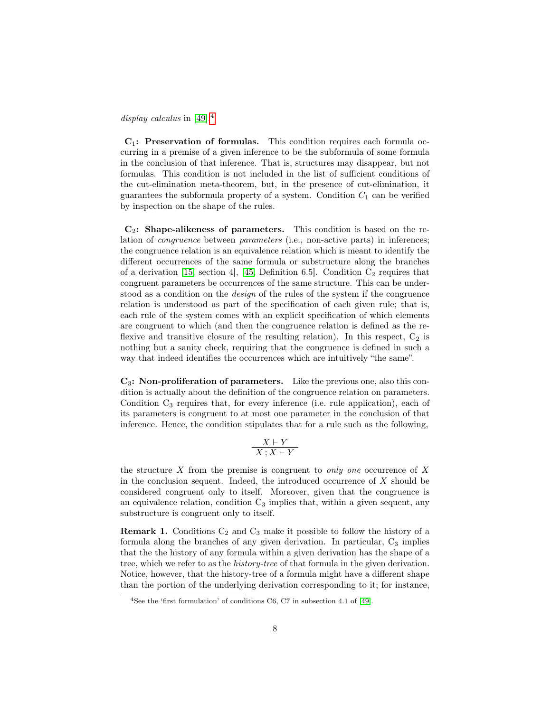display calculus in [\[49\]](#page-61-3).<sup>[4](#page-7-0)</sup>

 $C_1$ : Preservation of formulas. This condition requires each formula occurring in a premise of a given inference to be the subformula of some formula in the conclusion of that inference. That is, structures may disappear, but not formulas. This condition is not included in the list of sufficient conditions of the cut-elimination meta-theorem, but, in the presence of cut-elimination, it guarantees the subformula property of a system. Condition  $C_1$  can be verified by inspection on the shape of the rules.

 $\mathbf{C}_2$ : Shape-alikeness of parameters. This condition is based on the relation of congruence between parameters (i.e., non-active parts) in inferences; the congruence relation is an equivalence relation which is meant to identify the different occurrences of the same formula or substructure along the branches of a derivation [\[15,](#page-58-1) section 4], [\[45,](#page-61-5) Definition 6.5]. Condition  $C_2$  requires that congruent parameters be occurrences of the same structure. This can be understood as a condition on the design of the rules of the system if the congruence relation is understood as part of the specification of each given rule; that is, each rule of the system comes with an explicit specification of which elements are congruent to which (and then the congruence relation is defined as the reflexive and transitive closure of the resulting relation). In this respect,  $C_2$  is nothing but a sanity check, requiring that the congruence is defined in such a way that indeed identifies the occurrences which are intuitively "the same".

 $\mathbf{C}_3$ : Non-proliferation of parameters. Like the previous one, also this condition is actually about the definition of the congruence relation on parameters. Condition  $C_3$  requires that, for every inference (i.e. rule application), each of its parameters is congruent to at most one parameter in the conclusion of that inference. Hence, the condition stipulates that for a rule such as the following,

$$
\frac{X \vdash Y}{X \, ; X \vdash Y}
$$

the structure  $X$  from the premise is congruent to *only one* occurrence of  $X$ in the conclusion sequent. Indeed, the introduced occurrence of  $X$  should be considered congruent only to itself. Moreover, given that the congruence is an equivalence relation, condition  $C_3$  implies that, within a given sequent, any substructure is congruent only to itself.

<span id="page-7-1"></span>**Remark 1.** Conditions  $C_2$  and  $C_3$  make it possible to follow the history of a formula along the branches of any given derivation. In particular,  $C_3$  implies that the the history of any formula within a given derivation has the shape of a tree, which we refer to as the history-tree of that formula in the given derivation. Notice, however, that the history-tree of a formula might have a different shape than the portion of the underlying derivation corresponding to it; for instance,

<span id="page-7-0"></span><sup>4</sup>See the 'first formulation' of conditions C6, C7 in subsection 4.1 of [\[49\]](#page-61-3).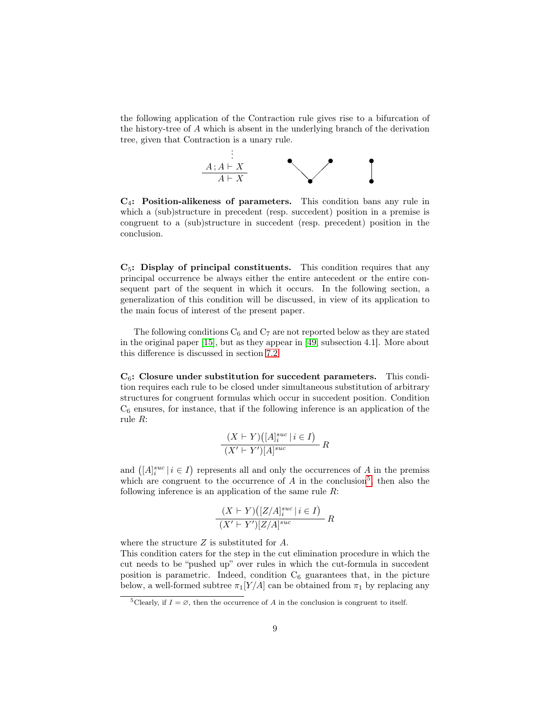the following application of the Contraction rule gives rise to a bifurcation of the history-tree of A which is absent in the underlying branch of the derivation tree, given that Contraction is a unary rule.



 $C_4$ : Position-alikeness of parameters. This condition bans any rule in which a (sub)structure in precedent (resp. succedent) position in a premise is congruent to a (sub)structure in succedent (resp. precedent) position in the conclusion.

 $C_5$ : Display of principal constituents. This condition requires that any principal occurrence be always either the entire antecedent or the entire consequent part of the sequent in which it occurs. In the following section, a generalization of this condition will be discussed, in view of its application to the main focus of interest of the present paper.

The following conditions  $C_6$  and  $C_7$  are not reported below as they are stated in the original paper [\[15\]](#page-58-1), but as they appear in [\[49,](#page-61-3) subsection 4.1]. More about this difference is discussed in section [7.2.](#page-43-0)

 $C_6$ : Closure under substitution for succedent parameters. This condition requires each rule to be closed under simultaneous substitution of arbitrary structures for congruent formulas which occur in succedent position. Condition  $C_6$  ensures, for instance, that if the following inference is an application of the rule R:

$$
\frac{(X \vdash Y)\big([A]_i^{suc} \mid i \in I\big)}{(X' \vdash Y')[A]^{suc}} R
$$

and  $([A]_i^{suc} \mid i \in I)$  represents all and only the occurrences of A in the premiss which are congruent to the occurrence of  $A$  in the conclusion<sup>[5](#page-8-0)</sup>, then also the following inference is an application of the same rule  $R$ :

$$
\frac{(X \vdash Y)\big([Z/A]_i^{suc} \mid i \in I\big)}{(X' \vdash Y')[Z/A]^{suc}} R
$$

where the structure Z is substituted for A.

This condition caters for the step in the cut elimination procedure in which the cut needs to be "pushed up" over rules in which the cut-formula in succedent position is parametric. Indeed, condition  $C_6$  guarantees that, in the picture below, a well-formed subtree  $\pi_1[Y/A]$  can be obtained from  $\pi_1$  by replacing any

<span id="page-8-0"></span><sup>&</sup>lt;sup>5</sup>Clearly, if  $I = \emptyset$ , then the occurrence of A in the conclusion is congruent to itself.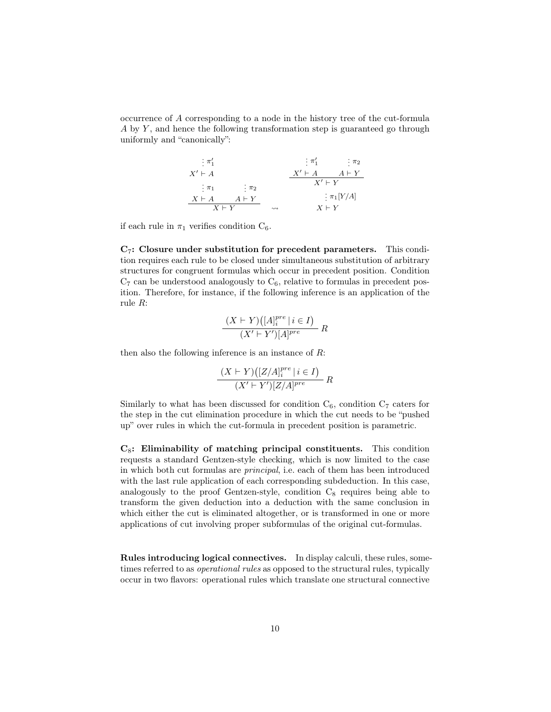occurrence of A corresponding to a node in the history tree of the cut-formula  $A$  by  $Y$ , and hence the following transformation step is guaranteed go through uniformly and "canonically":

| $\frac{1}{2}$ $\pi'_1$ |                    | $\vdots \pi'_1$ | $\pi_2$      |
|------------------------|--------------------|-----------------|--------------|
| $X' \vdash A$          |                    | $X' \vdash A$   | $A \vdash Y$ |
| : $\pi_1$              | $\therefore \pi_2$ | $X' \vdash Y$   |              |
| $X \vdash A$           | $A \vdash Y$       |                 | $\pi_1[Y/A]$ |
| $X \vdash Y$           |                    | $X \vdash Y$    |              |

if each rule in  $\pi_1$  verifies condition  $C_6$ .

 $C_7$ : Closure under substitution for precedent parameters. This condition requires each rule to be closed under simultaneous substitution of arbitrary structures for congruent formulas which occur in precedent position. Condition  $C_7$  can be understood analogously to  $C_6$ , relative to formulas in precedent position. Therefore, for instance, if the following inference is an application of the rule R:

$$
\frac{(X \vdash Y)\big([A]_i^{pre} \mid i \in I\big)}{(X' \vdash Y')[A]^{pre}} R
$$

then also the following inference is an instance of  $R$ :

$$
\frac{(X \vdash Y)\big([Z/A]_i^{pre} \mid i \in I\big)}{(X' \vdash Y')[Z/A]^{pre}} R
$$

Similarly to what has been discussed for condition  $C_6$ , condition  $C_7$  caters for the step in the cut elimination procedure in which the cut needs to be "pushed up" over rules in which the cut-formula in precedent position is parametric.

 $C_8$ : Eliminability of matching principal constituents. This condition requests a standard Gentzen-style checking, which is now limited to the case in which both cut formulas are principal, i.e. each of them has been introduced with the last rule application of each corresponding subdeduction. In this case, analogously to the proof Gentzen-style, condition  $C_8$  requires being able to transform the given deduction into a deduction with the same conclusion in which either the cut is eliminated altogether, or is transformed in one or more applications of cut involving proper subformulas of the original cut-formulas.

Rules introducing logical connectives. In display calculi, these rules, sometimes referred to as operational rules as opposed to the structural rules, typically occur in two flavors: operational rules which translate one structural connective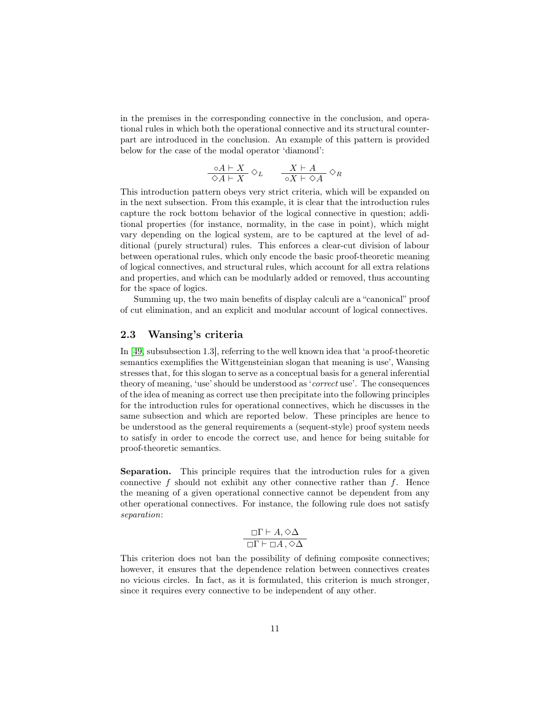in the premises in the corresponding connective in the conclusion, and operational rules in which both the operational connective and its structural counterpart are introduced in the conclusion. An example of this pattern is provided below for the case of the modal operator 'diamond':

$$
\frac{\circ A \vdash X}{\diamond A \vdash X} \diamond_L \qquad \frac{X \vdash A}{\circ X \vdash \diamond A} \diamond_R
$$

This introduction pattern obeys very strict criteria, which will be expanded on in the next subsection. From this example, it is clear that the introduction rules capture the rock bottom behavior of the logical connective in question; additional properties (for instance, normality, in the case in point), which might vary depending on the logical system, are to be captured at the level of additional (purely structural) rules. This enforces a clear-cut division of labour between operational rules, which only encode the basic proof-theoretic meaning of logical connectives, and structural rules, which account for all extra relations and properties, and which can be modularly added or removed, thus accounting for the space of logics.

Summing up, the two main benefits of display calculi are a "canonical" proof of cut elimination, and an explicit and modular account of logical connectives.

#### <span id="page-10-0"></span>2.3 Wansing's criteria

In [\[49,](#page-61-3) subsubsection 1.3], referring to the well known idea that 'a proof-theoretic semantics exemplifies the Wittgensteinian slogan that meaning is use', Wansing stresses that, for this slogan to serve as a conceptual basis for a general inferential theory of meaning, 'use' should be understood as 'correct use'. The consequences of the idea of meaning as correct use then precipitate into the following principles for the introduction rules for operational connectives, which he discusses in the same subsection and which are reported below. These principles are hence to be understood as the general requirements a (sequent-style) proof system needs to satisfy in order to encode the correct use, and hence for being suitable for proof-theoretic semantics.

Separation. This principle requires that the introduction rules for a given connective  $f$  should not exhibit any other connective rather than  $f$ . Hence the meaning of a given operational connective cannot be dependent from any other operational connectives. For instance, the following rule does not satisfy separation:

$$
\Box \Gamma \vdash A, \Diamond \Delta
$$
  

$$
\Box \Gamma \vdash \Box A, \Diamond \Delta
$$

This criterion does not ban the possibility of defining composite connectives; however, it ensures that the dependence relation between connectives creates no vicious circles. In fact, as it is formulated, this criterion is much stronger, since it requires every connective to be independent of any other.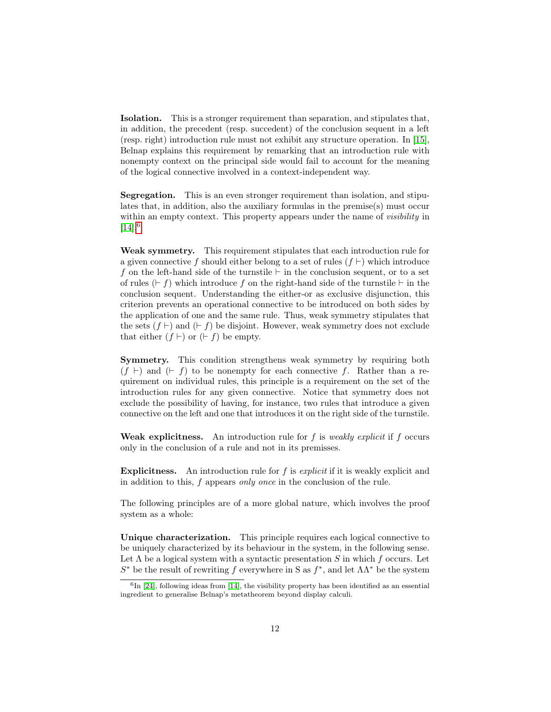Isolation. This is a stronger requirement than separation, and stipulates that, in addition, the precedent (resp. succedent) of the conclusion sequent in a left (resp. right) introduction rule must not exhibit any structure operation. In [\[15\]](#page-58-1), Belnap explains this requirement by remarking that an introduction rule with nonempty context on the principal side would fail to account for the meaning of the logical connective involved in a context-independent way.

Segregation. This is an even stronger requirement than isolation, and stipulates that, in addition, also the auxiliary formulas in the premise $(s)$  must occur within an empty context. This property appears under the name of *visibility* in  $[14]$ <sup>[6](#page-11-0)</sup>

Weak symmetry. This requirement stipulates that each introduction rule for a given connective f should either belong to a set of rules  $(f \vdash)$  which introduce f on the left-hand side of the turnstile  $\vdash$  in the conclusion sequent, or to a set of rules  $(F f)$  which introduce f on the right-hand side of the turnstile  $\vdash$  in the conclusion sequent. Understanding the either-or as exclusive disjunction, this criterion prevents an operational connective to be introduced on both sides by the application of one and the same rule. Thus, weak symmetry stipulates that the sets  $(f \vdash)$  and  $(\vdash f)$  be disjoint. However, weak symmetry does not exclude that either  $(f \vdash)$  or  $(\vdash f)$  be empty.

Symmetry. This condition strengthens weak symmetry by requiring both  $(f \vdash)$  and  $(\vdash f)$  to be nonempty for each connective f. Rather than a requirement on individual rules, this principle is a requirement on the set of the introduction rules for any given connective. Notice that symmetry does not exclude the possibility of having, for instance, two rules that introduce a given connective on the left and one that introduces it on the right side of the turnstile.

Weak explicitness. An introduction rule for  $f$  is *weakly explicit* if  $f$  occurs only in the conclusion of a rule and not in its premisses.

**Explicitness.** An introduction rule for  $f$  is *explicit* if it is weakly explicit and in addition to this, f appears only once in the conclusion of the rule.

The following principles are of a more global nature, which involves the proof system as a whole:

Unique characterization. This principle requires each logical connective to be uniquely characterized by its behaviour in the system, in the following sense. Let  $\Lambda$  be a logical system with a syntactic presentation S in which f occurs. Let  $S^*$  be the result of rewriting f everywhere in S as  $f^*$ , and let  $\Lambda\Lambda^*$  be the system

<span id="page-11-0"></span> ${}^{6}$ In [\[24\]](#page-59-5), following ideas from [\[14\]](#page-58-2), the visibility property has been identified as an essential ingredient to generalise Belnap's metatheorem beyond display calculi.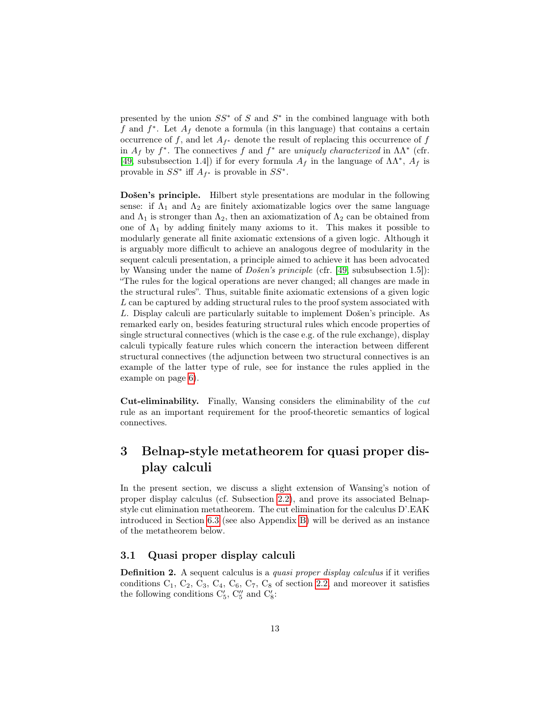presented by the union  $SS^*$  of S and  $S^*$  in the combined language with both f and  $f^*$ . Let  $A_f$  denote a formula (in this language) that contains a certain occurrence of f, and let  $A_{f^*}$  denote the result of replacing this occurrence of f in  $A_f$  by  $f^*$ . The connectives f and  $f^*$  are uniquely characterized in  $\Lambda\Lambda^*$  (cfr. [\[49,](#page-61-3) subsubsection 1.4]) if for every formula  $A_f$  in the language of  $\Lambda\Lambda^*$ ,  $A_f$  is provable in  $SS^*$  iff  $A_{f^*}$  is provable in  $SS^*$ .

Došen's principle. Hilbert style presentations are modular in the following sense: if  $\Lambda_1$  and  $\Lambda_2$  are finitely axiomatizable logics over the same language and  $\Lambda_1$  is stronger than  $\Lambda_2$ , then an axiomatization of  $\Lambda_2$  can be obtained from one of  $\Lambda_1$  by adding finitely many axioms to it. This makes it possible to modularly generate all finite axiomatic extensions of a given logic. Although it is arguably more difficult to achieve an analogous degree of modularity in the sequent calculi presentation, a principle aimed to achieve it has been advocated by Wansing under the name of Došen's principle (cfr. [\[49,](#page-61-3) subsubsection 1.5]): "The rules for the logical operations are never changed; all changes are made in the structural rules". Thus, suitable finite axiomatic extensions of a given logic L can be captured by adding structural rules to the proof system associated with L. Display calculi are particularly suitable to implement Došen's principle. As remarked early on, besides featuring structural rules which encode properties of single structural connectives (which is the case e.g. of the rule exchange), display calculi typically feature rules which concern the interaction between different structural connectives (the adjunction between two structural connectives is an example of the latter type of rule, see for instance the rules applied in the example on page [6\)](#page-5-0).

Cut-eliminability. Finally, Wansing considers the eliminability of the cut rule as an important requirement for the proof-theoretic semantics of logical connectives.

## <span id="page-12-0"></span>3 Belnap-style metatheorem for quasi proper display calculi

In the present section, we discuss a slight extension of Wansing's notion of proper display calculus (cf. Subsection [2.2\)](#page-4-0), and prove its associated Belnapstyle cut elimination metatheorem. The cut elimination for the calculus D'.EAK introduced in Section [6.3](#page-41-0) (see also Appendix [B\)](#page-47-0) will be derived as an instance of the metatheorem below.

#### <span id="page-12-1"></span>3.1 Quasi proper display calculi

<span id="page-12-2"></span>Definition 2. A sequent calculus is a *quasi proper display calculus* if it verifies conditions  $C_1$ ,  $C_2$ ,  $C_3$ ,  $C_4$ ,  $C_6$ ,  $C_7$ ,  $C_8$  of section [2.2,](#page-4-0) and moreover it satisfies the following conditions  $C'_5$ ,  $C''_5$  and  $C'_8$ :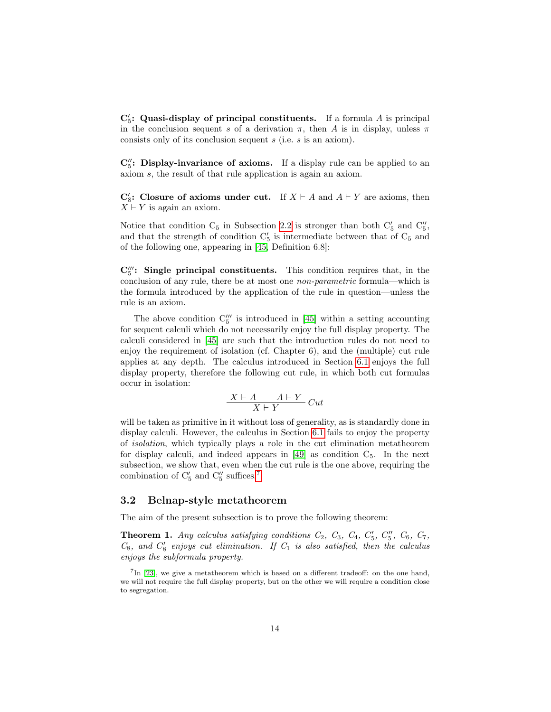$\mathbf{C}'_5$ : Quasi-display of principal constituents. If a formula A is principal in the conclusion sequent s of a derivation  $\pi$ , then A is in display, unless  $\pi$ consists only of its conclusion sequent s (i.e. s is an axiom).

 $C''_5$ : Display-invariance of axioms. If a display rule can be applied to an axiom s, the result of that rule application is again an axiom.

 $\mathbf{C}'_8$ : Closure of axioms under cut. If  $X \vdash A$  and  $A \vdash Y$  are axioms, then  $X \vdash Y$  is again an axiom.

Notice that condition  $C_5$  in Subsection [2.2](#page-4-0) is stronger than both  $C'_5$  and  $C''_5$ , and that the strength of condition  $C'_5$  is intermediate between that of  $C_5$  and of the following one, appearing in [\[45,](#page-61-5) Definition 6.8]:

 $\mathbf{C}_5^{\prime\prime\prime}$ : Single principal constituents. This condition requires that, in the conclusion of any rule, there be at most one non-parametric formula—which is the formula introduced by the application of the rule in question—unless the rule is an axiom.

The above condition  $C_5^{\prime\prime\prime}$  is introduced in [\[45\]](#page-61-5) within a setting accounting for sequent calculi which do not necessarily enjoy the full display property. The calculi considered in [\[45\]](#page-61-5) are such that the introduction rules do not need to enjoy the requirement of isolation (cf. Chapter 6), and the (multiple) cut rule applies at any depth. The calculus introduced in Section [6.1](#page-32-1) enjoys the full display property, therefore the following cut rule, in which both cut formulas occur in isolation:

$$
\frac{X\vdash A\qquad A\vdash Y}{X\vdash Y}\,Cut
$$

will be taken as primitive in it without loss of generality, as is standardly done in display calculi. However, the calculus in Section [6.1](#page-32-1) fails to enjoy the property of isolation, which typically plays a role in the cut elimination metatheorem for display calculi, and indeed appears in  $[49]$  as condition  $C_5$ . In the next subsection, we show that, even when the cut rule is the one above, requiring the combination of  $C_5'$  and  $C_5''$  suffices.<sup>[7](#page-13-1)</sup>

#### <span id="page-13-0"></span>3.2 Belnap-style metatheorem

<span id="page-13-2"></span>The aim of the present subsection is to prove the following theorem:

**Theorem 1.** Any calculus satisfying conditions  $C_2$ ,  $C_3$ ,  $C_4$ ,  $C'_5$ ,  $C''_5$ ,  $C_6$ ,  $C_7$ ,  $C_8$ , and  $C'_8$  enjoys cut elimination. If  $C_1$  is also satisfied, then the calculus enjoys the subformula property.

<span id="page-13-1"></span> ${}^{7}$ In [\[23\]](#page-59-0), we give a metatheorem which is based on a different tradeoff: on the one hand, we will not require the full display property, but on the other we will require a condition close to segregation.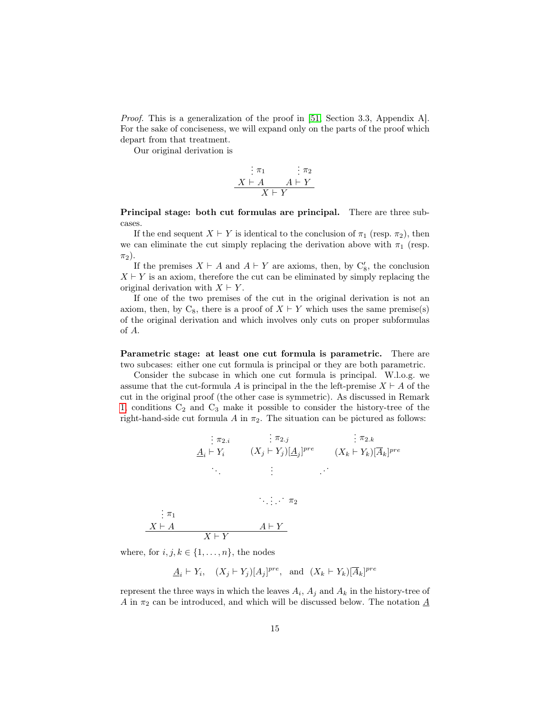Proof. This is a generalization of the proof in [\[51,](#page-61-6) Section 3.3, Appendix A]. For the sake of conciseness, we will expand only on the parts of the proof which depart from that treatment.

Our original derivation is

$$
\begin{array}{c}\n\vdots \pi_1 & \vdots \pi_2 \\
X \vdash A & A \vdash Y \\
\hline\nX \vdash Y\n\end{array}
$$

Principal stage: both cut formulas are principal. There are three subcases.

If the end sequent  $X \vdash Y$  is identical to the conclusion of  $\pi_1$  (resp.  $\pi_2$ ), then we can eliminate the cut simply replacing the derivation above with  $\pi_1$  (resp.  $\pi_2$ ).

If the premises  $X \vdash A$  and  $A \vdash Y$  are axioms, then, by  $C'_{8}$ , the conclusion  $X \vdash Y$  is an axiom, therefore the cut can be eliminated by simply replacing the original derivation with  $X \vdash Y$ .

If one of the two premises of the cut in the original derivation is not an axiom, then, by  $C_8$ , there is a proof of  $X \vdash Y$  which uses the same premise(s) of the original derivation and which involves only cuts on proper subformulas of A.

Parametric stage: at least one cut formula is parametric. There are two subcases: either one cut formula is principal or they are both parametric.

Consider the subcase in which one cut formula is principal. W.l.o.g. we assume that the cut-formula A is principal in the the left-premise  $X \vdash A$  of the cut in the original proof (the other case is symmetric). As discussed in Remark [1,](#page-7-1) conditions  $C_2$  and  $C_3$  make it possible to consider the history-tree of the right-hand-side cut formula A in  $\pi_2$ . The situation can be pictured as follows:

$$
\begin{array}{ccc}\n\vdots \pi_{2.i} & \vdots \pi_{2.j} & \vdots \pi_{2.k} \\
\underline{A}_i \vdash Y_i & (X_j \vdash Y_j)[\underline{A}_j]^{pre} & (X_k \vdash Y_k)[\overline{A}_k]^{pre} \\
\vdots & \vdots & \vdots\n\end{array}
$$

$$
\begin{array}{c}\n \vdots \pi_1 \\
 X \vdash A \\
 \hline\n X \vdash Y\n \end{array}
$$

where, for  $i, j, k \in \{1, \ldots, n\}$ , the nodes

 $\underline{A}_i \vdash Y_i, \quad (X_j \vdash Y_j)[A_j]^{pre}, \text{ and } (X_k \vdash Y_k)[\overline{A}_k]^{pre}$ 

represent the three ways in which the leaves  $A_i$ ,  $A_j$  and  $A_k$  in the history-tree of  $A$  in  $\pi_2$  can be introduced, and which will be discussed below. The notation  $\underline{A}$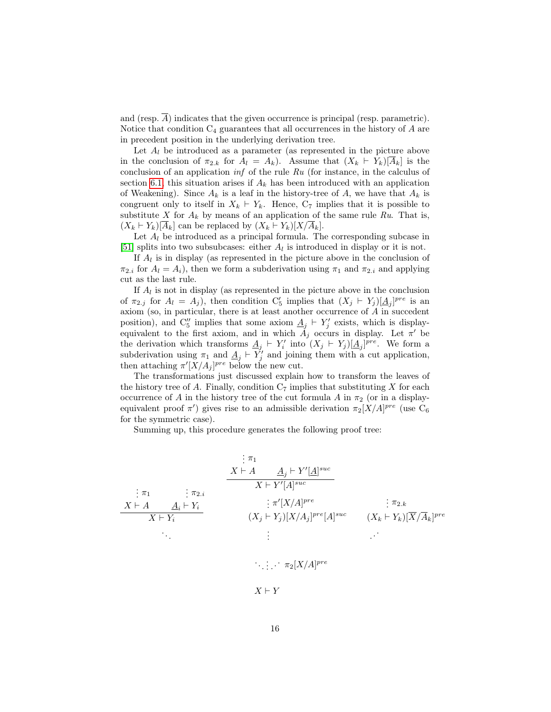and (resp.  $\overline{A}$ ) indicates that the given occurrence is principal (resp. parametric). Notice that condition  $C_4$  guarantees that all occurrences in the history of  $A$  are in precedent position in the underlying derivation tree.

Let  $A_l$  be introduced as a parameter (as represented in the picture above in the conclusion of  $\pi_{2,k}$  for  $A_l = A_k$ ). Assume that  $(X_k \vdash Y_k)[A_k]$  is the conclusion of an application  $\inf$  of the rule  $Ru$  (for instance, in the calculus of section [6.1,](#page-32-1) this situation arises if  $A_k$  has been introduced with an application of Weakening). Since  $A_k$  is a leaf in the history-tree of A, we have that  $A_k$  is congruent only to itself in  $X_k \vdash Y_k$ . Hence,  $C_7$  implies that it is possible to substitute X for  $A_k$  by means of an application of the same rule Ru. That is,  $(X_k \vdash Y_k)[\overline{A}_k]$  can be replaced by  $(X_k \vdash Y_k)[X/\overline{A}_k]$ .

Let  $A_l$  be introduced as a principal formula. The corresponding subcase in [\[51\]](#page-61-6) splits into two subsubcases: either  $A_l$  is introduced in display or it is not.

If  $A_l$  is in display (as represented in the picture above in the conclusion of  $\pi_{2,i}$  for  $A_l = A_i$ , then we form a subderivation using  $\pi_1$  and  $\pi_{2,i}$  and applying cut as the last rule.

If  $A_l$  is not in display (as represented in the picture above in the conclusion of  $\pi_{2,j}$  for  $A_l = A_j$ ), then condition  $C'_5$  implies that  $(X_j \vdash Y_j) [\underline{A}_j]^{pre}$  is an axiom (so, in particular, there is at least another occurrence of A in succedent position), and  $C''_5$  implies that some axiom  $\underline{A}_j \vdash Y'_j$  exists, which is displayequivalent to the first axiom, and in which  $\tilde{A}_j$  occurs in display. Let  $\pi'$  be the derivation which transforms  $\underline{A}_j \vdash Y'_i$  into  $(X_j \vdash Y_j)[\underline{A}_j]^{pre}$ . We form a subderivation using  $\pi_1$  and  $\underline{A}_j \vdash Y'_j$  and joining them with a cut application, then attaching  $\pi'[X/A_j]^{pre}$  below the new cut.

The transformations just discussed explain how to transform the leaves of the history tree of A. Finally, condition  $C_7$  implies that substituting X for each occurrence of A in the history tree of the cut formula A in  $\pi_2$  (or in a displayequivalent proof  $\pi'$ ) gives rise to an admissible derivation  $\pi_2[X/A]^{pre}$  (use C<sub>6</sub> for the symmetric case).

Summing up, this procedure generates the following proof tree:

$$
\begin{array}{cccc}\n & \vdots & \pi_1 & & \\
 & X \vdash A & \underline{A}_j \vdash Y'[\underline{A}]^{suc} & \\
 & X \vdash A & \underline{A}_i \vdash Y_i & \\
 & X \vdash A & \underline{A}_i \vdash Y_i & \\
 & X \vdash Y_i & & \\
 & & \vdots & \pi'[X/A]^{pre} & \\
 & & & \vdots & \\
 & & & \vdots & \\
 & & & & \vdots & \\
 & & & & \vdots & \\
 & & & & & \vdots \\
 & & & & & \vdots \\
 & & & & & & \vdots \\
 & & & & & & \vdots\n\end{array}
$$

 $X \vdash Y$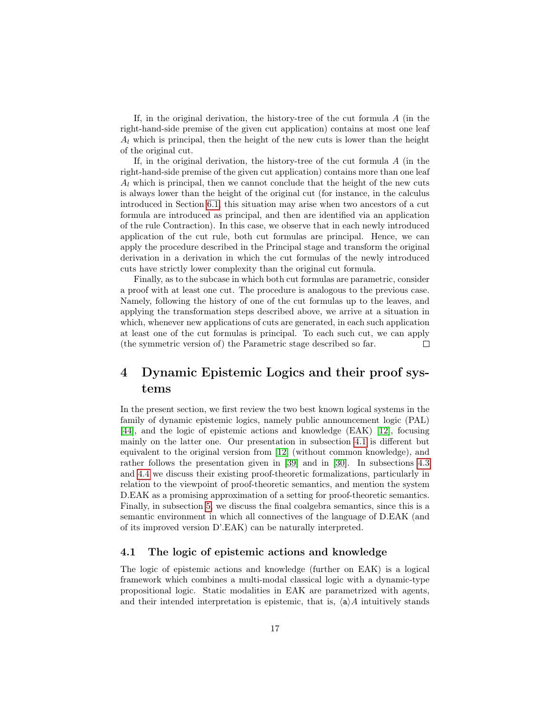If, in the original derivation, the history-tree of the cut formula  $A$  (in the right-hand-side premise of the given cut application) contains at most one leaf  $A_l$  which is principal, then the height of the new cuts is lower than the height of the original cut.

If, in the original derivation, the history-tree of the cut formula  $A$  (in the right-hand-side premise of the given cut application) contains more than one leaf  $A_l$  which is principal, then we cannot conclude that the height of the new cuts is always lower than the height of the original cut (for instance, in the calculus introduced in Section [6.1,](#page-32-1) this situation may arise when two ancestors of a cut formula are introduced as principal, and then are identified via an application of the rule Contraction). In this case, we observe that in each newly introduced application of the cut rule, both cut formulas are principal. Hence, we can apply the procedure described in the Principal stage and transform the original derivation in a derivation in which the cut formulas of the newly introduced cuts have strictly lower complexity than the original cut formula.

Finally, as to the subcase in which both cut formulas are parametric, consider a proof with at least one cut. The procedure is analogous to the previous case. Namely, following the history of one of the cut formulas up to the leaves, and applying the transformation steps described above, we arrive at a situation in which, whenever new applications of cuts are generated, in each such application at least one of the cut formulas is principal. To each such cut, we can apply (the symmetric version of) the Parametric stage described so far.  $\Box$ 

## <span id="page-16-0"></span>4 Dynamic Epistemic Logics and their proof systems

In the present section, we first review the two best known logical systems in the family of dynamic epistemic logics, namely public announcement logic (PAL) [\[44\]](#page-60-2), and the logic of epistemic actions and knowledge (EAK) [\[12\]](#page-58-0), focusing mainly on the latter one. Our presentation in subsection [4.1](#page-16-1) is different but equivalent to the original version from [\[12\]](#page-58-0) (without common knowledge), and rather follows the presentation given in [\[39\]](#page-60-4) and in [\[30\]](#page-60-0). In subsections [4.3](#page-20-0) and [4.4](#page-25-0) we discuss their existing proof-theoretic formalizations, particularly in relation to the viewpoint of proof-theoretic semantics, and mention the system D.EAK as a promising approximation of a setting for proof-theoretic semantics. Finally, in subsection [5,](#page-27-0) we discuss the final coalgebra semantics, since this is a semantic environment in which all connectives of the language of D.EAK (and of its improved version D'.EAK) can be naturally interpreted.

#### <span id="page-16-1"></span>4.1 The logic of epistemic actions and knowledge

The logic of epistemic actions and knowledge (further on EAK) is a logical framework which combines a multi-modal classical logic with a dynamic-type propositional logic. Static modalities in EAK are parametrized with agents, and their intended interpretation is epistemic, that is,  $\langle a \rangle A$  intuitively stands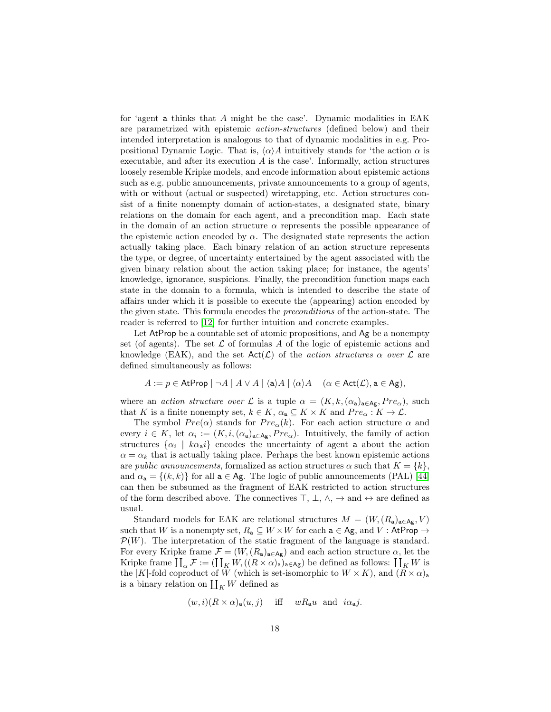for 'agent a thinks that A might be the case'. Dynamic modalities in EAK are parametrized with epistemic action-structures (defined below) and their intended interpretation is analogous to that of dynamic modalities in e.g. Propositional Dynamic Logic. That is,  $\langle \alpha \rangle A$  intuitively stands for 'the action  $\alpha$  is executable, and after its execution  $A$  is the case'. Informally, action structures loosely resemble Kripke models, and encode information about epistemic actions such as e.g. public announcements, private announcements to a group of agents, with or without (actual or suspected) wiretapping, etc. Action structures consist of a finite nonempty domain of action-states, a designated state, binary relations on the domain for each agent, and a precondition map. Each state in the domain of an action structure  $\alpha$  represents the possible appearance of the epistemic action encoded by  $\alpha$ . The designated state represents the action actually taking place. Each binary relation of an action structure represents the type, or degree, of uncertainty entertained by the agent associated with the given binary relation about the action taking place; for instance, the agents' knowledge, ignorance, suspicions. Finally, the precondition function maps each state in the domain to a formula, which is intended to describe the state of affairs under which it is possible to execute the (appearing) action encoded by the given state. This formula encodes the preconditions of the action-state. The reader is referred to [\[12\]](#page-58-0) for further intuition and concrete examples.

Let AtProp be a countable set of atomic propositions, and Ag be a nonempty set (of agents). The set  $\mathcal L$  of formulas A of the logic of epistemic actions and knowledge (EAK), and the set  $Act(\mathcal{L})$  of the *action structures*  $\alpha$  *over*  $\mathcal{L}$  are defined simultaneously as follows:

$$
A := p \in \mathsf{AtProp} \mid \neg A \mid A \vee A \mid \langle a \rangle A \mid \langle \alpha \rangle A \quad (\alpha \in \mathsf{Act}(\mathcal{L}), \mathsf{a} \in \mathsf{Ag}),
$$

where an action structure over L is a tuple  $\alpha = (K, k, (\alpha_a)_{a \in Ag}, Pre_\alpha)$ , such that K is a finite nonempty set,  $k \in K$ ,  $\alpha_a \subseteq K \times K$  and  $Pre_\alpha : K \to \mathcal{L}$ .

The symbol  $Pre(\alpha)$  stands for  $Pre_{\alpha}(k)$ . For each action structure  $\alpha$  and every  $i \in K$ , let  $\alpha_i := (K, i, (\alpha_{\mathsf{a}})_{\mathsf{a} \in \mathsf{Ag}}$ ,  $Pre_\alpha$ ). Intuitively, the family of action structures  $\{\alpha_i \mid k\alpha_{\bf a}i\}$  encodes the uncertainty of agent **a** about the action  $\alpha = \alpha_k$  that is actually taking place. Perhaps the best known epistemic actions are *public announcements*, formalized as action structures  $\alpha$  such that  $K = \{k\},\$ and  $\alpha_a = \{(k, k)\}\$ for all  $a \in Ag$ . The logic of public announcements (PAL) [\[44\]](#page-60-2) can then be subsumed as the fragment of EAK restricted to action structures of the form described above. The connectives  $\top$ ,  $\bot$ ,  $\wedge$ ,  $\rightarrow$  and  $\leftrightarrow$  are defined as usual.

Standard models for EAK are relational structures  $M = (W, (R_a)_{a \in Ag}, V)$ such that W is a nonempty set,  $R_a \subseteq W \times W$  for each  $a \in Ag$ , and V : AtProp  $\rightarrow$  $\mathcal{P}(W)$ . The interpretation of the static fragment of the language is standard. For every Kripke frame  $\mathcal{F} = (W, (R_a)_{a \in Ag})$  and each action structure  $\alpha$ , let the Kripke frame  $\coprod_{\alpha} \mathcal{F} := (\coprod_{K} W, ((R \times \alpha)_{\mathsf{a}})_{\mathsf{a} \in \mathsf{Ag}})$  be defined as follows:  $\coprod_{K} W$  is the |K|-fold coproduct of W (which is set-isomorphic to  $W \times K$ ), and  $(\overline{R} \times \alpha)_{\mathbf{a}}$ is a binary relation on  $\coprod_K W$  defined as

$$
(w,i)(R \times \alpha)_{\mathbf{a}}(u,j)
$$
 iff  $wR_{\mathbf{a}}u$  and  $i\alpha_{\mathbf{a}}j$ .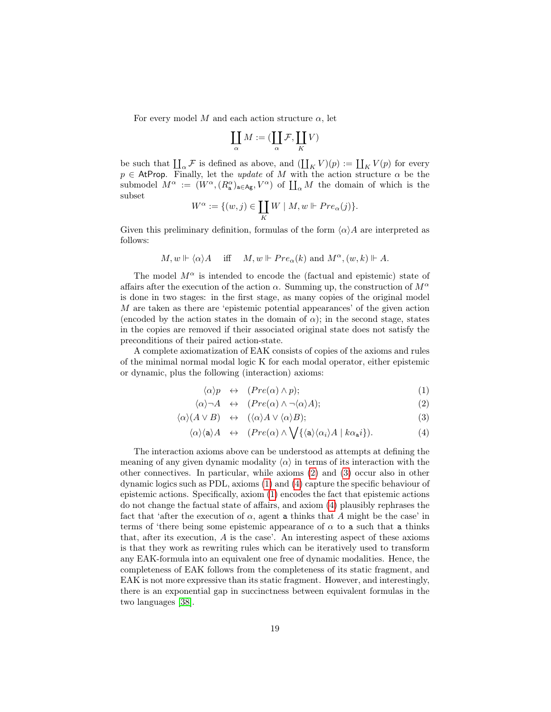For every model M and each action structure  $\alpha$ , let

$$
\coprod_\alpha M := (\coprod_\alpha \mathcal{F}, \coprod_K V)
$$

be such that  $\coprod_{\alpha} \mathcal{F}$  is defined as above, and  $(\coprod_{K} V)(p) := \coprod_{K} V(p)$  for every  $p \in$  AtProp. Finally, let the *update* of M with the action structure  $\alpha$  be the submodel  $M^{\alpha} := (W^{\alpha}, (R^{\alpha}_{a})_{a \in Ag}, V^{\alpha})$  of  $\prod_{\alpha} M$  the domain of which is the subset

$$
W^{\alpha} := \{(w, j) \in \coprod_{K} W \mid M, w \Vdash Pre_{\alpha}(j)\}.
$$

Given this preliminary definition, formulas of the form  $\langle \alpha \rangle A$  are interpreted as follows:

$$
M, w \Vdash \langle \alpha \rangle A
$$
 iff  $M, w \Vdash Pre_{\alpha}(k)$  and  $M^{\alpha}, (w, k) \Vdash A$ .

The model  $M^{\alpha}$  is intended to encode the (factual and epistemic) state of affairs after the execution of the action  $\alpha$ . Summing up, the construction of  $M^{\alpha}$ is done in two stages: in the first stage, as many copies of the original model M are taken as there are 'epistemic potential appearances' of the given action (encoded by the action states in the domain of  $\alpha$ ); in the second stage, states in the copies are removed if their associated original state does not satisfy the preconditions of their paired action-state.

A complete axiomatization of EAK consists of copies of the axioms and rules of the minimal normal modal logic K for each modal operator, either epistemic or dynamic, plus the following (interaction) axioms:

<span id="page-18-0"></span>
$$
\langle \alpha \rangle p \quad \leftrightarrow \quad (Pre(\alpha) \land p); \tag{1}
$$

$$
\langle \alpha \rangle \neg A \quad \leftrightarrow \quad (Pre(\alpha) \land \neg \langle \alpha \rangle A); \tag{2}
$$

$$
\langle \alpha \rangle (A \vee B) \quad \leftrightarrow \quad (\langle \alpha \rangle A \vee \langle \alpha \rangle B); \tag{3}
$$

$$
\langle \alpha \rangle \langle \mathbf{a} \rangle A \quad \leftrightarrow \quad (Pre(\alpha) \land \bigvee \{ \langle \mathbf{a} \rangle \langle \alpha_i \rangle A \mid k \alpha_{\mathbf{a}} i \} ). \tag{4}
$$

The interaction axioms above can be understood as attempts at defining the meaning of any given dynamic modality  $\langle \alpha \rangle$  in terms of its interaction with the other connectives. In particular, while axioms [\(2\)](#page-18-0) and [\(3\)](#page-18-0) occur also in other dynamic logics such as PDL, axioms [\(1\)](#page-18-0) and [\(4\)](#page-18-0) capture the specific behaviour of epistemic actions. Specifically, axiom [\(1\)](#page-18-0) encodes the fact that epistemic actions do not change the factual state of affairs, and axiom [\(4\)](#page-18-0) plausibly rephrases the fact that 'after the execution of  $\alpha$ , agent a thinks that A might be the case' in terms of 'there being some epistemic appearance of  $\alpha$  to a such that a thinks that, after its execution, A is the case'. An interesting aspect of these axioms is that they work as rewriting rules which can be iteratively used to transform any EAK-formula into an equivalent one free of dynamic modalities. Hence, the completeness of EAK follows from the completeness of its static fragment, and EAK is not more expressive than its static fragment. However, and interestingly, there is an exponential gap in succinctness between equivalent formulas in the two languages [\[38\]](#page-60-5).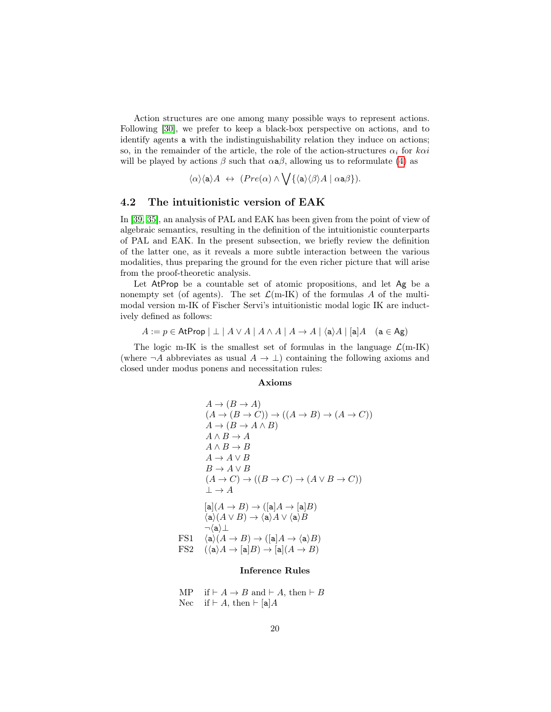Action structures are one among many possible ways to represent actions. Following [\[30\]](#page-60-0), we prefer to keep a black-box perspective on actions, and to identify agents a with the indistinguishability relation they induce on actions; so, in the remainder of the article, the role of the action-structures  $\alpha_i$  for  $k\alpha i$ will be played by actions  $\beta$  such that  $\alpha a\beta$ , allowing us to reformulate [\(4\)](#page-18-0) as

 $\langle \alpha \rangle \langle a \rangle A \; \leftrightarrow \; (Pre(\alpha) \wedge \bigvee \{ \langle a \rangle \langle \beta \rangle A \; | \; \alpha a \beta \}).$ 

#### <span id="page-19-0"></span>4.2 The intuitionistic version of EAK

In [\[39,](#page-60-4) [35\]](#page-60-6), an analysis of PAL and EAK has been given from the point of view of algebraic semantics, resulting in the definition of the intuitionistic counterparts of PAL and EAK. In the present subsection, we briefly review the definition of the latter one, as it reveals a more subtle interaction between the various modalities, thus preparing the ground for the even richer picture that will arise from the proof-theoretic analysis.

Let AtProp be a countable set of atomic propositions, and let Ag be a nonempty set (of agents). The set  $\mathcal{L}(m-K)$  of the formulas A of the multimodal version m-IK of Fischer Servi's intuitionistic modal logic IK are inductively defined as follows:

 $A := p \in \mathsf{AtProp} \mid \perp \mid A \vee A \mid A \wedge A \mid A \rightarrow A \mid \langle a \rangle A \mid [a]A \quad (a \in \mathsf{Ag})$ 

The logic m-IK is the smallest set of formulas in the language  $\mathcal{L}(m-IK)$ (where  $\neg A$  abbreviates as usual  $A \to \bot$ ) containing the following axioms and closed under modus ponens and necessitation rules:

#### Axioms

$$
A \rightarrow (B \rightarrow A)
$$
  
\n
$$
(A \rightarrow (B \rightarrow C)) \rightarrow ((A \rightarrow B) \rightarrow (A \rightarrow C))
$$
  
\n
$$
A \rightarrow (B \rightarrow A \land B)
$$
  
\n
$$
A \land B \rightarrow A
$$
  
\n
$$
A \land B \rightarrow B
$$
  
\n
$$
A \rightarrow A \lor B
$$
  
\n
$$
B \rightarrow A \lor B
$$
  
\n
$$
(A \rightarrow C) \rightarrow ((B \rightarrow C) \rightarrow (A \lor B \rightarrow C))
$$
  
\n
$$
\perp \rightarrow A
$$
  
\n
$$
[a](A \rightarrow B) \rightarrow ([a]A \rightarrow [a]B)
$$
  
\n
$$
\langle a \rangle (A \lor B) \rightarrow \langle a \rangle A \lor \langle a \rangle B
$$
  
\n
$$
\neg \langle a \rangle \perp
$$
  
\nFS1 
$$
\langle a \rangle (A \rightarrow B) \rightarrow ([a]A \rightarrow \langle a \rangle B)
$$
  
\nFS2 
$$
(\langle a \rangle A \rightarrow [a]B) \rightarrow [a](A \rightarrow B)
$$

#### Inference Rules

MP if  $\vdash A \rightarrow B$  and  $\vdash A$ , then  $\vdash B$ Nec if  $\vdash A$ , then  $\vdash [a]A$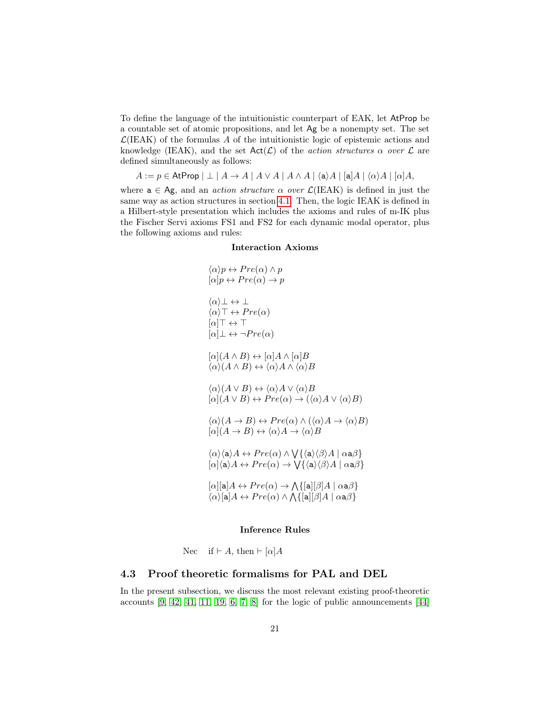To define the language of the intuitionistic counterpart of EAK, let AtProp be a countable set of atomic propositions, and let Ag be a nonempty set. The set  $\mathcal{L}$ (IEAK) of the formulas A of the intuitionistic logic of epistemic actions and knowledge (IEAK), and the set  $Act(\mathcal{L})$  of the *action structures*  $\alpha$  over  $\mathcal{L}$  are defined simultaneously as follows:

 $A := p \in \mathsf{AtProp} \mid \perp \mid A \to A \mid A \vee A \mid A \wedge A \mid \langle \mathsf{a} \rangle A \mid [\mathsf{a}] A \mid \langle \alpha \rangle A \mid [\alpha] A,$ 

where  $a \in Ag$ , and an *action structure*  $\alpha$  *over*  $\mathcal{L}(\text{IEAK})$  is defined in just the same way as action structures in section [4.1.](#page-16-1) Then, the logic IEAK is defined in a Hilbert-style presentation which includes the axioms and rules of m-IK plus the Fischer Servi axioms FS1 and FS2 for each dynamic modal operator, plus the following axioms and rules:

#### Interaction Axioms

$$
\langle \alpha \rangle p \leftrightarrow Pre(\alpha) \land p
$$
  
\n
$$
[\alpha] p \leftrightarrow Pre(\alpha) \rightarrow p
$$
  
\n
$$
\langle \alpha \rangle \bot \leftrightarrow \bot
$$
  
\n
$$
[\alpha] \top \leftrightarrow \top
$$
  
\n
$$
[\alpha] \bot \leftrightarrow \neg Pre(\alpha)
$$
  
\n
$$
[\alpha] (A \land B) \leftrightarrow [\alpha] A \land [\alpha] B
$$
  
\n
$$
\langle \alpha \rangle (A \land B) \leftrightarrow \langle \alpha \rangle A \land \langle \alpha \rangle B
$$
  
\n
$$
\langle \alpha \rangle (A \lor B) \leftrightarrow \langle \alpha \rangle A \lor \langle \alpha \rangle B
$$
  
\n
$$
[\alpha] (A \lor B) \leftrightarrow \neg Pre(\alpha) \rightarrow (\langle \alpha \rangle A \lor \langle \alpha \rangle B)
$$
  
\n
$$
\langle \alpha \rangle (A \rightarrow B) \leftrightarrow Pre(\alpha) \land (\langle \alpha \rangle A \rightarrow \langle \alpha \rangle B)
$$
  
\n
$$
[\alpha] (A \rightarrow B) \leftrightarrow \langle \alpha \rangle A \rightarrow \langle \alpha \rangle B
$$
  
\n
$$
\langle \alpha \rangle \langle \alpha \rangle A \leftrightarrow Pre(\alpha) \land \bigvee \{ \alpha \rangle \langle \beta \rangle A \mid \alpha a \beta \}
$$
  
\n
$$
[\alpha] [\alpha] A \leftrightarrow Pre(\alpha) \rightarrow \bigvee \{ \alpha \rangle \langle \beta \rangle A \mid \alpha a \beta \}
$$
  
\n
$$
[\alpha] [\alpha] A \leftrightarrow Pre(\alpha) \rightarrow \bigwedge \{ [\alpha] [\beta] A \mid \alpha a \beta \}
$$
  
\n
$$
\langle \alpha \rangle [\alpha] A \leftrightarrow Pre(\alpha) \land \bigwedge \{ [\alpha] [\beta] A \mid \alpha a \beta \}
$$

#### Inference Rules

Nec if  $\vdash A$ , then  $\vdash [\alpha]A$ 

#### <span id="page-20-0"></span>4.3 Proof theoretic formalisms for PAL and DEL

In the present subsection, we discuss the most relevant existing proof-theoretic accounts  $[9, 42, 41, 11, 19, 6, 7, 8]$  $[9, 42, 41, 11, 19, 6, 7, 8]$  $[9, 42, 41, 11, 19, 6, 7, 8]$  $[9, 42, 41, 11, 19, 6, 7, 8]$  $[9, 42, 41, 11, 19, 6, 7, 8]$  $[9, 42, 41, 11, 19, 6, 7, 8]$  $[9, 42, 41, 11, 19, 6, 7, 8]$  $[9, 42, 41, 11, 19, 6, 7, 8]$  for the logic of public announcements  $[44]$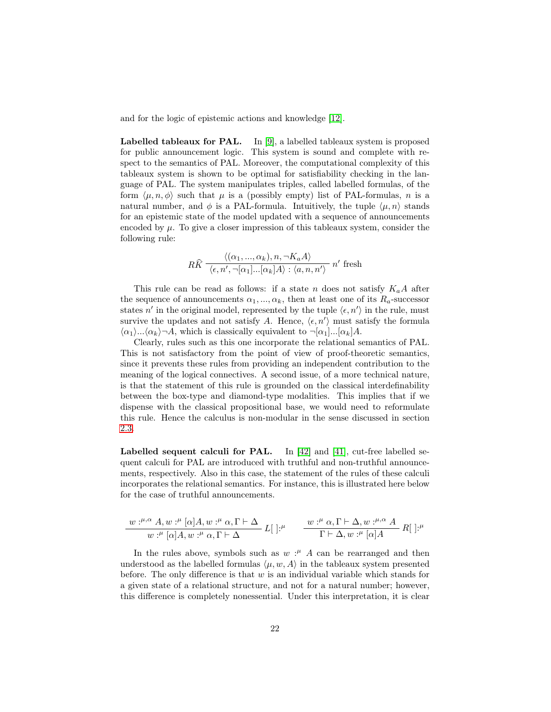and for the logic of epistemic actions and knowledge [\[12\]](#page-58-0).

**Labelled tableaux for PAL.** In  $[9]$ , a labelled tableaux system is proposed for public announcement logic. This system is sound and complete with respect to the semantics of PAL. Moreover, the computational complexity of this tableaux system is shown to be optimal for satisfiability checking in the language of PAL. The system manipulates triples, called labelled formulas, of the form  $\langle \mu, n, \phi \rangle$  such that  $\mu$  is a (possibly empty) list of PAL-formulas, n is a natural number, and  $\phi$  is a PAL-formula. Intuitively, the tuple  $\langle \mu, n \rangle$  stands for an epistemic state of the model updated with a sequence of announcements encoded by  $\mu$ . To give a closer impression of this tableaux system, consider the following rule:

$$
R\widehat{K} \xrightarrow{\langle (\alpha_1, ..., \alpha_k), n, \neg K_a A \rangle} n' \text{ fresh}
$$
  

$$
\langle \epsilon, n', \neg [\alpha_1] ... [\alpha_k] A \rangle : \langle a, n, n' \rangle
$$

This rule can be read as follows: if a state n does not satisfy  $K_aA$  after the sequence of announcements  $\alpha_1, ..., \alpha_k$ , then at least one of its  $R_a$ -successor states n' in the original model, represented by the tuple  $\langle \epsilon, n' \rangle$  in the rule, must survive the updates and not satisfy A. Hence,  $\langle \epsilon, n' \rangle$  must satisfy the formula  $\langle \alpha_1 \rangle...\langle \alpha_k \rangle \neg A$ , which is classically equivalent to  $\neg[\alpha_1]...\langle \alpha_k]A$ .

Clearly, rules such as this one incorporate the relational semantics of PAL. This is not satisfactory from the point of view of proof-theoretic semantics, since it prevents these rules from providing an independent contribution to the meaning of the logical connectives. A second issue, of a more technical nature, is that the statement of this rule is grounded on the classical interdefinability between the box-type and diamond-type modalities. This implies that if we dispense with the classical propositional base, we would need to reformulate this rule. Hence the calculus is non-modular in the sense discussed in section [2.3.](#page-10-0)

Labelled sequent calculi for PAL. In [\[42\]](#page-60-7) and [\[41\]](#page-60-8), cut-free labelled sequent calculi for PAL are introduced with truthful and non-truthful announcements, respectively. Also in this case, the statement of the rules of these calculi incorporates the relational semantics. For instance, this is illustrated here below for the case of truthful announcements.

$$
\frac{w:^{\mu,\alpha}A,w:^{\mu}[\alpha]A,w:^{\mu}\alpha,\Gamma\vdash\Delta}{w:^{\mu}[\alpha]A,w:^{\mu}\alpha,\Gamma\vdash\Delta}L[~]^{,\mu}\qquad\frac{w:^{\mu}\alpha,\Gamma\vdash\Delta,w:^{\mu,\alpha}A}{\Gamma\vdash\Delta,w:^{\mu}[\alpha]A}R[~]^{,\mu}
$$

In the rules above, symbols such as  $w: A$  can be rearranged and then understood as the labelled formulas  $\langle \mu, w, A \rangle$  in the tableaux system presented before. The only difference is that  $w$  is an individual variable which stands for a given state of a relational structure, and not for a natural number; however, this difference is completely nonessential. Under this interpretation, it is clear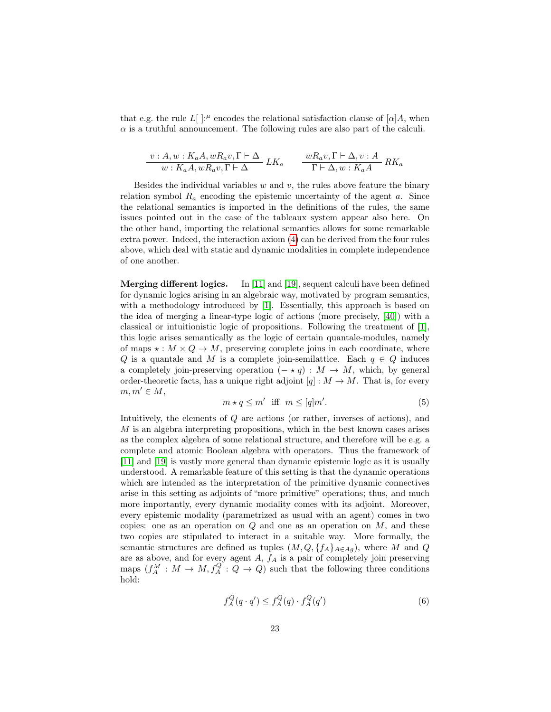that e.g. the rule  $L[$  :<sup> $\mu$ </sup> encodes the relational satisfaction clause of [ $\alpha$ ]A, when  $\alpha$  is a truthful announcement. The following rules are also part of the calculi.

$$
\frac{v:A,w:K_aA,wR_av,\Gamma\vdash\Delta}{w:K_aA,wR_av,\Gamma\vdash\Delta}LK_a\qquad \frac{wR_av,\Gamma\vdash\Delta,v:A}{\Gamma\vdash\Delta,w:K_aA}RK_a
$$

Besides the individual variables  $w$  and  $v$ , the rules above feature the binary relation symbol  $R_a$  encoding the epistemic uncertainty of the agent a. Since the relational semantics is imported in the definitions of the rules, the same issues pointed out in the case of the tableaux system appear also here. On the other hand, importing the relational semantics allows for some remarkable extra power. Indeed, the interaction axiom [\(4\)](#page-18-0) can be derived from the four rules above, which deal with static and dynamic modalities in complete independence of one another.

Merging different logics. In [\[11\]](#page-58-4) and [\[19\]](#page-59-6), sequent calculi have been defined for dynamic logics arising in an algebraic way, motivated by program semantics, with a methodology introduced by [\[1\]](#page-58-8). Essentially, this approach is based on the idea of merging a linear-type logic of actions (more precisely, [\[40\]](#page-60-9)) with a classical or intuitionistic logic of propositions. Following the treatment of [\[1\]](#page-58-8), this logic arises semantically as the logic of certain quantale-modules, namely of maps  $\star : M \times Q \to M$ , preserving complete joins in each coordinate, where Q is a quantale and M is a complete join-semilattice. Each  $q \in Q$  induces a completely join-preserving operation  $(- \star q) : M \to M$ , which, by general order-theoretic facts, has a unique right adjoint  $[q]: M \to M$ . That is, for every  $m, m' \in M$ ,

<span id="page-22-0"></span>
$$
m \star q \le m' \quad \text{iff} \quad m \le [q]m'.\tag{5}
$$

Intuitively, the elements of Q are actions (or rather, inverses of actions), and M is an algebra interpreting propositions, which in the best known cases arises as the complex algebra of some relational structure, and therefore will be e.g. a complete and atomic Boolean algebra with operators. Thus the framework of [\[11\]](#page-58-4) and [\[19\]](#page-59-6) is vastly more general than dynamic epistemic logic as it is usually understood. A remarkable feature of this setting is that the dynamic operations which are intended as the interpretation of the primitive dynamic connectives arise in this setting as adjoints of "more primitive" operations; thus, and much more importantly, every dynamic modality comes with its adjoint. Moreover, every epistemic modality (parametrized as usual with an agent) comes in two copies: one as an operation on  $Q$  and one as an operation on  $M$ , and these two copies are stipulated to interact in a suitable way. More formally, the semantic structures are defined as tuples  $(M, Q, \{f_A\}_{A \in Ag})$ , where M and Q are as above, and for every agent  $A, f_A$  is a pair of completely join preserving maps  $(f_A^M : M \to M, f_A^Q : Q \to Q)$  such that the following three conditions hold:

$$
f_A^Q(q \cdot q') \le f_A^Q(q) \cdot f_A^Q(q')
$$
\n<sup>(6)</sup>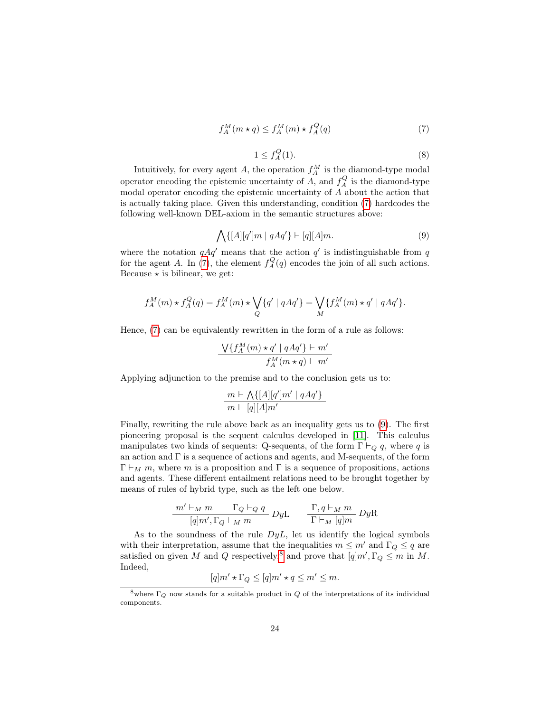$$
f_A^M(m \star q) \le f_A^M(m) \star f_A^Q(q) \tag{7}
$$

$$
1 \le f_A^Q(1). \tag{8}
$$

<span id="page-23-0"></span>Intuitively, for every agent A, the operation  $f_A^M$  is the diamond-type modal operator encoding the epistemic uncertainty of A, and  $f_A^Q$  is the diamond-type modal operator encoding the epistemic uncertainty of A about the action that is actually taking place. Given this understanding, condition [\(7\)](#page-23-0) hardcodes the following well-known DEL-axiom in the semantic structures above:

$$
\bigwedge \{ [A][q']m \mid qAq' \} \vdash [q][A]m. \tag{9}
$$

<span id="page-23-1"></span>where the notation  $qAq'$  means that the action q' is indistinguishable from q for the agent A. In [\(7\)](#page-23-0), the element  $f_A^Q(q)$  encodes the join of all such actions. Because  $\star$  is bilinear, we get:

$$
f_A^M(m) \star f_A^Q(q) = f_A^M(m) \star \bigvee_Q \{q' \mid qAq'\} = \bigvee_M \{f_A^M(m) \star q' \mid qAq'\}.
$$

Hence, [\(7\)](#page-23-0) can be equivalently rewritten in the form of a rule as follows:

$$
\frac{\bigvee\{f_A^M(m)\star q'\mid qAq'\}\vdash m'}{f_A^M(m\star q)\vdash m'}
$$

Applying adjunction to the premise and to the conclusion gets us to:

$$
\frac{m \vdash \bigwedge\{[A][q']m' \mid qAq'\}}{m \vdash [q][A]m'}
$$

Finally, rewriting the rule above back as an inequality gets us to [\(9\)](#page-23-1). The first pioneering proposal is the sequent calculus developed in [\[11\]](#page-58-4). This calculus manipulates two kinds of sequents: Q-sequents, of the form  $\Gamma \vdash_Q q$ , where q is an action and Γ is a sequence of actions and agents, and M-sequents, of the form  $\Gamma \vdash_M m$ , where m is a proposition and  $\Gamma$  is a sequence of propositions, actions and agents. These different entailment relations need to be brought together by means of rules of hybrid type, such as the left one below.

$$
\frac{m' \vdash_M m \qquad \Gamma_Q \vdash_Q q}{[q]m', \Gamma_Q \vdash_M m} DyL \qquad \frac{\Gamma, q \vdash_M m}{\Gamma \vdash_M [q]m} DyR
$$

As to the soundness of the rule  $DyL$ , let us identify the logical symbols with their interpretation, assume that the inequalities  $m \leq m'$  and  $\Gamma_Q \leq q$  are satisfied on given M and Q respectively,<sup>[8](#page-23-2)</sup> and prove that  $[q]m', \Gamma_Q \leq m$  in M. Indeed,

$$
[q]m' \star \Gamma_Q \leq [q]m' \star q \leq m' \leq m.
$$

<span id="page-23-2"></span><sup>&</sup>lt;sup>8</sup>where  $\Gamma_Q$  now stands for a suitable product in  $Q$  of the interpretations of its individual components.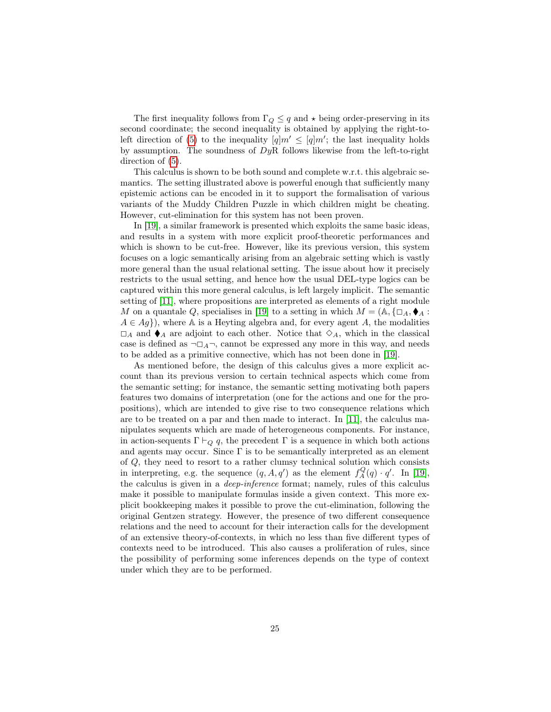The first inequality follows from  $\Gamma_Q \leq q$  and  $\star$  being order-preserving in its second coordinate; the second inequality is obtained by applying the right-to-left direction of [\(5\)](#page-22-0) to the inequality  $[q]m' \leq [q]m'$ ; the last inequality holds by assumption. The soundness of  $DyR$  follows likewise from the left-to-right direction of  $(5)$ .

This calculus is shown to be both sound and complete w.r.t. this algebraic semantics. The setting illustrated above is powerful enough that sufficiently many epistemic actions can be encoded in it to support the formalisation of various variants of the Muddy Children Puzzle in which children might be cheating. However, cut-elimination for this system has not been proven.

In [\[19\]](#page-59-6), a similar framework is presented which exploits the same basic ideas, and results in a system with more explicit proof-theoretic performances and which is shown to be cut-free. However, like its previous version, this system focuses on a logic semantically arising from an algebraic setting which is vastly more general than the usual relational setting. The issue about how it precisely restricts to the usual setting, and hence how the usual DEL-type logics can be captured within this more general calculus, is left largely implicit. The semantic setting of [\[11\]](#page-58-4), where propositions are interpreted as elements of a right module M on a quantale Q, specialises in [\[19\]](#page-59-6) to a setting in which  $M = (\mathbb{A}, \{\Box_A, \blacklozenge_A :$  $A \in Ag$ , where A is a Heyting algebra and, for every agent A, the modalities  $\square_A$  and  $\blacklozenge_A$  are adjoint to each other. Notice that  $\diamond_A$ , which in the classical case is defined as  $\neg \Box_A \neg$ , cannot be expressed any more in this way, and needs to be added as a primitive connective, which has not been done in [\[19\]](#page-59-6).

As mentioned before, the design of this calculus gives a more explicit account than its previous version to certain technical aspects which come from the semantic setting; for instance, the semantic setting motivating both papers features two domains of interpretation (one for the actions and one for the propositions), which are intended to give rise to two consequence relations which are to be treated on a par and then made to interact. In [\[11\]](#page-58-4), the calculus manipulates sequents which are made of heterogeneous components. For instance, in action-sequents  $\Gamma \vdash_Q q$ , the precedent  $\Gamma$  is a sequence in which both actions and agents may occur. Since  $\Gamma$  is to be semantically interpreted as an element of Q, they need to resort to a rather clumsy technical solution which consists in interpreting, e.g. the sequence  $(q, A, q')$  as the element  $f_A^Q(q) \cdot q'$ . In [\[19\]](#page-59-6), the calculus is given in a *deep-inference* format; namely, rules of this calculus make it possible to manipulate formulas inside a given context. This more explicit bookkeeping makes it possible to prove the cut-elimination, following the original Gentzen strategy. However, the presence of two different consequence relations and the need to account for their interaction calls for the development of an extensive theory-of-contexts, in which no less than five different types of contexts need to be introduced. This also causes a proliferation of rules, since the possibility of performing some inferences depends on the type of context under which they are to be performed.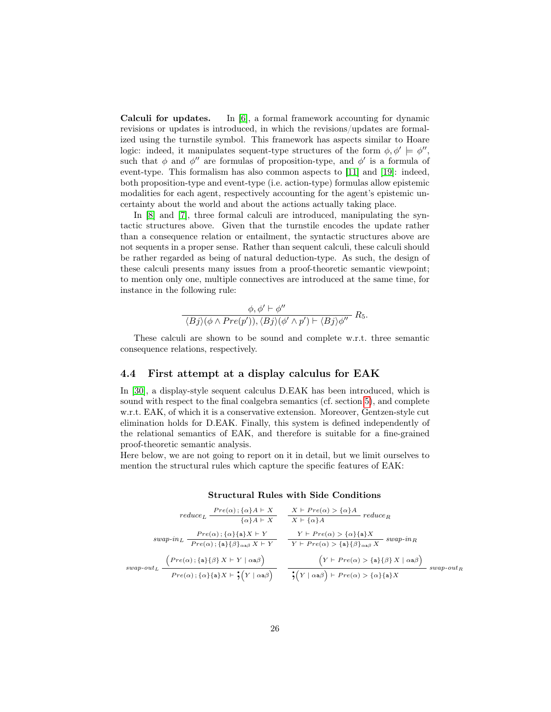Calculi for updates. In [\[6\]](#page-58-5), a formal framework accounting for dynamic revisions or updates is introduced, in which the revisions/updates are formalized using the turnstile symbol. This framework has aspects similar to Hoare logic: indeed, it manipulates sequent-type structures of the form  $\phi, \phi' \models \phi'',$ such that  $\phi$  and  $\phi''$  are formulas of proposition-type, and  $\phi'$  is a formula of event-type. This formalism has also common aspects to [\[11\]](#page-58-4) and [\[19\]](#page-59-6): indeed, both proposition-type and event-type (i.e. action-type) formulas allow epistemic modalities for each agent, respectively accounting for the agent's epistemic uncertainty about the world and about the actions actually taking place.

In [\[8\]](#page-58-7) and [\[7\]](#page-58-6), three formal calculi are introduced, manipulating the syntactic structures above. Given that the turnstile encodes the update rather than a consequence relation or entailment, the syntactic structures above are not sequents in a proper sense. Rather than sequent calculi, these calculi should be rather regarded as being of natural deduction-type. As such, the design of these calculi presents many issues from a proof-theoretic semantic viewpoint; to mention only one, multiple connectives are introduced at the same time, for instance in the following rule:

$$
\frac{\phi, \phi' \vdash \phi''}{\langle Bj \rangle(\phi \land Pre(p')), \langle Bj \rangle(\phi' \land p') \vdash \langle Bj \rangle \phi''} R_5.
$$

These calculi are shown to be sound and complete w.r.t. three semantic consequence relations, respectively.

#### <span id="page-25-0"></span>4.4 First attempt at a display calculus for EAK

In [\[30\]](#page-60-0), a display-style sequent calculus D.EAK has been introduced, which is sound with respect to the final coalgebra semantics (cf. section [5\)](#page-27-0), and complete w.r.t. EAK, of which it is a conservative extension. Moreover, Gentzen-style cut elimination holds for D.EAK. Finally, this system is defined independently of the relational semantics of EAK, and therefore is suitable for a fine-grained proof-theoretic semantic analysis.

Here below, we are not going to report on it in detail, but we limit ourselves to mention the structural rules which capture the specific features of EAK:

| $reduce_L \ \frac{Pre(\alpha) : \{\alpha\}A \vdash X}{\{\alpha\}A \vdash X}$                                                                                                             | $\frac{X \vdash Pre(\alpha) > {\alpha}A}{X \vdash {\alpha}A} reduce_R$                                                                                                                            |
|------------------------------------------------------------------------------------------------------------------------------------------------------------------------------------------|---------------------------------------------------------------------------------------------------------------------------------------------------------------------------------------------------|
| $swap\text{-}in_L \ \frac{Pre(\alpha)\,;\{\alpha\}\{\mathtt{a}\}X \vdash Y}{Pre(\alpha)\,;\{\mathtt{a}\}\{\beta\}_{\alpha\mathtt{a}\beta}\ X \vdash Y}$                                  | $\frac{Y \vdash Pre(\alpha) > {\alpha}{a}X}{Y \vdash Pre(\alpha) > {\{a\}}{\beta}_{\alpha a\beta}X} \ \ \text{swap-in}_R$                                                                         |
| $\Big(Pre(\alpha) \, ; \{ {\sf a} \} \{ \beta \} \, X \vdash Y \mid \alpha {\sf a} \beta \Big)$<br>$swap$ - $out_L$<br>$Pre(\alpha)$ ; { $\alpha$ }{a}X $\vdash$ ; $(Y   \alpha a\beta)$ | $\left(Y \vdash Pre(\alpha) > \{a\}\{\beta\} X \mid \alpha a\beta\right)$<br>$swap$ -out <sub>R</sub><br>$\frac{1}{2}(Y \mid \alpha \mathbf{a} \beta) \vdash Pre(\alpha) > {\alpha}{\mathbf{a}}X$ |

Structural Rules with Side Conditions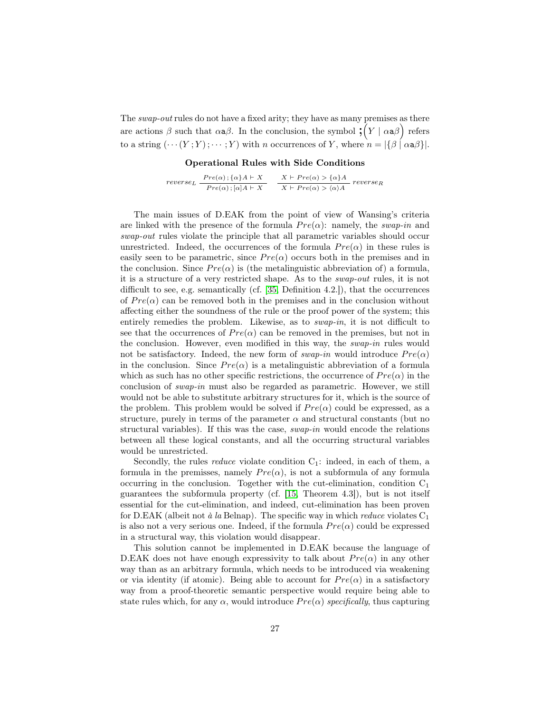The *swap-out* rules do not have a fixed arity; they have as many premises as there are actions  $\beta$  such that  $\alpha \alpha \beta$ . In the conclusion, the symbol  $\mathcal{P}(Y | \alpha \alpha \beta)$  refers to a string  $(\cdots(Y;Y); \cdots; Y)$  with n occurrences of Y, where  $n = |\{\beta \mid \alpha \mathbf{a} \beta\}|$ .

Operational Rules with Side Conditions

 $reverse_L \frac{Pre(\alpha); {\alpha}A \vdash X}{Pre(\alpha); [\alpha]A \vdash X}$  $X \vdash Pre(\alpha) > {\alpha}A$ <br> $X \vdash Pre(\alpha) > {\alpha}A$  reverse<sub>R</sub>

The main issues of D.EAK from the point of view of Wansing's criteria are linked with the presence of the formula  $Pre(\alpha)$ : namely, the swap-in and swap-out rules violate the principle that all parametric variables should occur unrestricted. Indeed, the occurrences of the formula  $Pre(\alpha)$  in these rules is easily seen to be parametric, since  $Pre(\alpha)$  occurs both in the premises and in the conclusion. Since  $Pre(\alpha)$  is (the metalinguistic abbreviation of) a formula, it is a structure of a very restricted shape. As to the swap-out rules, it is not difficult to see, e.g. semantically (cf. [\[35,](#page-60-6) Definition 4.2.]), that the occurrences of  $Pre(\alpha)$  can be removed both in the premises and in the conclusion without affecting either the soundness of the rule or the proof power of the system; this entirely remedies the problem. Likewise, as to swap-in, it is not difficult to see that the occurrences of  $Pre(\alpha)$  can be removed in the premises, but not in the conclusion. However, even modified in this way, the swap-in rules would not be satisfactory. Indeed, the new form of *swap-in* would introduce  $Pre(\alpha)$ in the conclusion. Since  $Pre(\alpha)$  is a metalinguistic abbreviation of a formula which as such has no other specific restrictions, the occurrence of  $Pre(\alpha)$  in the conclusion of swap-in must also be regarded as parametric. However, we still would not be able to substitute arbitrary structures for it, which is the source of the problem. This problem would be solved if  $Pre(\alpha)$  could be expressed, as a structure, purely in terms of the parameter  $\alpha$  and structural constants (but no structural variables). If this was the case, swap-in would encode the relations between all these logical constants, and all the occurring structural variables would be unrestricted.

Secondly, the rules *reduce* violate condition  $C_1$ : indeed, in each of them, a formula in the premisses, namely  $Pre(\alpha)$ , is not a subformula of any formula occurring in the conclusion. Together with the cut-elimination, condition  $C_1$ guarantees the subformula property (cf. [\[15,](#page-58-1) Theorem 4.3]), but is not itself essential for the cut-elimination, and indeed, cut-elimination has been proven for D.EAK (albeit not à la Belnap). The specific way in which *reduce* violates  $C_1$ is also not a very serious one. Indeed, if the formula  $Pre(\alpha)$  could be expressed in a structural way, this violation would disappear.

This solution cannot be implemented in D.EAK because the language of D.EAK does not have enough expressivity to talk about  $Pre(\alpha)$  in any other way than as an arbitrary formula, which needs to be introduced via weakening or via identity (if atomic). Being able to account for  $Pre(\alpha)$  in a satisfactory way from a proof-theoretic semantic perspective would require being able to state rules which, for any  $\alpha$ , would introduce  $Pre(\alpha)$  specifically, thus capturing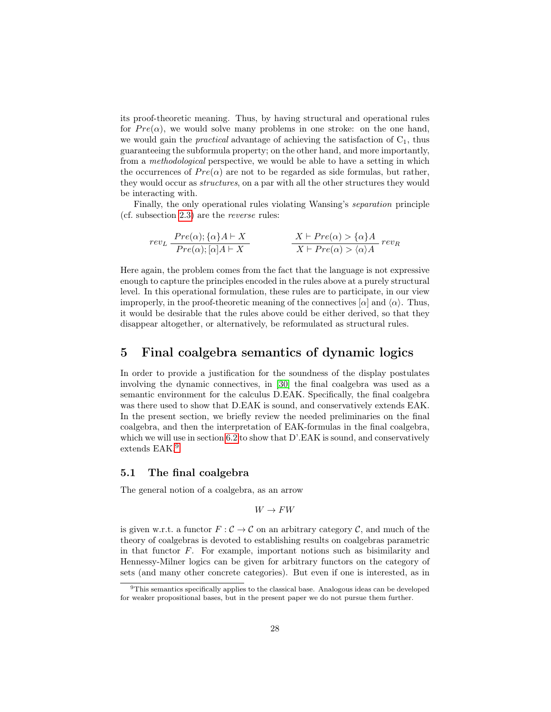its proof-theoretic meaning. Thus, by having structural and operational rules for  $Pre(\alpha)$ , we would solve many problems in one stroke: on the one hand, we would gain the *practical* advantage of achieving the satisfaction of  $C<sub>1</sub>$ , thus guaranteeing the subformula property; on the other hand, and more importantly, from a methodological perspective, we would be able to have a setting in which the occurrences of  $Pre(\alpha)$  are not to be regarded as side formulas, but rather, they would occur as structures, on a par with all the other structures they would be interacting with.

Finally, the only operational rules violating Wansing's separation principle (cf. subsection [2.3\)](#page-10-0) are the reverse rules:

$$
rev_L \frac{Pre(\alpha); \{\alpha\}A \vdash X}{Pre(\alpha); [\alpha]A \vdash X} \qquad \qquad \frac{X \vdash Pre(\alpha) > \{\alpha\}A}{X \vdash Pre(\alpha) > \langle \alpha \rangle A} rev_R
$$

Here again, the problem comes from the fact that the language is not expressive enough to capture the principles encoded in the rules above at a purely structural level. In this operational formulation, these rules are to participate, in our view improperly, in the proof-theoretic meaning of the connectives  $[\alpha]$  and  $\langle \alpha \rangle$ . Thus, it would be desirable that the rules above could be either derived, so that they disappear altogether, or alternatively, be reformulated as structural rules.

## <span id="page-27-0"></span>5 Final coalgebra semantics of dynamic logics

In order to provide a justification for the soundness of the display postulates involving the dynamic connectives, in [\[30\]](#page-60-0) the final coalgebra was used as a semantic environment for the calculus D.EAK. Specifically, the final coalgebra was there used to show that D.EAK is sound, and conservatively extends EAK. In the present section, we briefly review the needed preliminaries on the final coalgebra, and then the interpretation of EAK-formulas in the final coalgebra, which we will use in section [6.2](#page-38-0) to show that D'.EAK is sound, and conservatively extends EAK.<sup>[9](#page-27-2)</sup>

#### <span id="page-27-1"></span>5.1 The final coalgebra

The general notion of a coalgebra, as an arrow

$$
W\to F W
$$

is given w.r.t. a functor  $F : \mathcal{C} \to \mathcal{C}$  on an arbitrary category  $\mathcal{C}$ , and much of the theory of coalgebras is devoted to establishing results on coalgebras parametric in that functor  $F$ . For example, important notions such as bisimilarity and Hennessy-Milner logics can be given for arbitrary functors on the category of sets (and many other concrete categories). But even if one is interested, as in

<span id="page-27-2"></span><sup>9</sup>This semantics specifically applies to the classical base. Analogous ideas can be developed for weaker propositional bases, but in the present paper we do not pursue them further.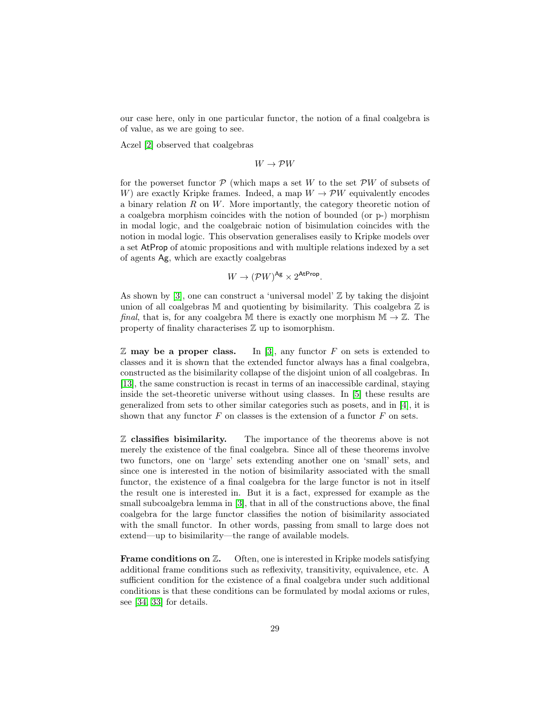our case here, only in one particular functor, the notion of a final coalgebra is of value, as we are going to see.

Aczel [\[2\]](#page-58-9) observed that coalgebras

 $W \to \mathcal{P}W$ 

for the powerset functor  $\mathcal P$  (which maps a set W to the set  $\mathcal P W$  of subsets of W) are exactly Kripke frames. Indeed, a map  $W \to \mathcal{P}W$  equivalently encodes a binary relation  $R$  on  $W$ . More importantly, the category theoretic notion of a coalgebra morphism coincides with the notion of bounded (or p-) morphism in modal logic, and the coalgebraic notion of bisimulation coincides with the notion in modal logic. This observation generalises easily to Kripke models over a set AtProp of atomic propositions and with multiple relations indexed by a set of agents Ag, which are exactly coalgebras

$$
W \to (\mathcal{P}W)^{\mathsf{Ag}} \times 2^{\mathsf{AtProp}}.
$$

As shown by [\[3\]](#page-58-10), one can construct a 'universal model'  $\mathbb{Z}$  by taking the disjoint union of all coalgebras  $M$  and quotienting by bisimilarity. This coalgebra  $Z$  is final, that is, for any coalgebra M there is exactly one morphism  $\mathbb{M} \to \mathbb{Z}$ . The property of finality characterises Z up to isomorphism.

 $\mathbb Z$  may be a proper class. In [\[3\]](#page-58-10), any functor F on sets is extended to classes and it is shown that the extended functor always has a final coalgebra, constructed as the bisimilarity collapse of the disjoint union of all coalgebras. In [\[13\]](#page-58-11), the same construction is recast in terms of an inaccessible cardinal, staying inside the set-theoretic universe without using classes. In [\[5\]](#page-58-12) these results are generalized from sets to other similar categories such as posets, and in [\[4\]](#page-58-13), it is shown that any functor  $F$  on classes is the extension of a functor  $F$  on sets.

 $\mathbb Z$  classifies bisimilarity. The importance of the theorems above is not merely the existence of the final coalgebra. Since all of these theorems involve two functors, one on 'large' sets extending another one on 'small' sets, and since one is interested in the notion of bisimilarity associated with the small functor, the existence of a final coalgebra for the large functor is not in itself the result one is interested in. But it is a fact, expressed for example as the small subcoalgebra lemma in [\[3\]](#page-58-10), that in all of the constructions above, the final coalgebra for the large functor classifies the notion of bisimilarity associated with the small functor. In other words, passing from small to large does not extend—up to bisimilarity—the range of available models.

Frame conditions on  $\mathbb{Z}$ . Often, one is interested in Kripke models satisfying additional frame conditions such as reflexivity, transitivity, equivalence, etc. A sufficient condition for the existence of a final coalgebra under such additional conditions is that these conditions can be formulated by modal axioms or rules, see [\[34,](#page-60-10) [33\]](#page-60-11) for details.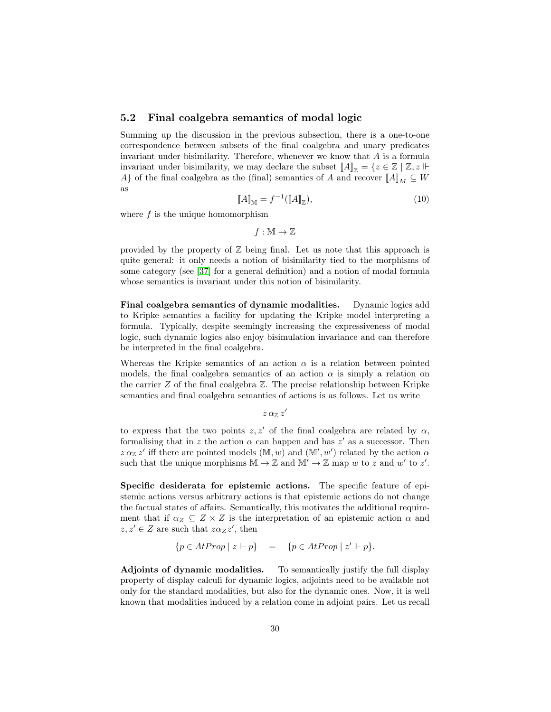#### <span id="page-29-0"></span>5.2 Final coalgebra semantics of modal logic

Summing up the discussion in the previous subsection, there is a one-to-one correspondence between subsets of the final coalgebra and unary predicates invariant under bisimilarity. Therefore, whenever we know that  $A$  is a formula invariant under bisimilarity, we may declare the subset  $[[A]]_{\mathbb{Z}} = \{z \in \mathbb{Z} \mid \mathbb{Z}, z \Vdash$ A} of the final coalgebra as the (final) semantics of A and recover  $\llbracket A \rrbracket_M \subseteq W$ as

$$
\llbracket A \rrbracket_{\mathbb{M}} = f^{-1}(\llbracket A \rrbracket_{\mathbb{Z}}),\tag{10}
$$

where  $f$  is the unique homomorphism

 $f : \mathbb{M} \to \mathbb{Z}$ 

provided by the property of  $\mathbb Z$  being final. Let us note that this approach is quite general: it only needs a notion of bisimilarity tied to the morphisms of some category (see [\[37\]](#page-60-12) for a general definition) and a notion of modal formula whose semantics is invariant under this notion of bisimilarity.

Final coalgebra semantics of dynamic modalities. Dynamic logics add to Kripke semantics a facility for updating the Kripke model interpreting a formula. Typically, despite seemingly increasing the expressiveness of modal logic, such dynamic logics also enjoy bisimulation invariance and can therefore be interpreted in the final coalgebra.

Whereas the Kripke semantics of an action  $\alpha$  is a relation between pointed models, the final coalgebra semantics of an action  $\alpha$  is simply a relation on the carrier  $Z$  of the final coalgebra  $Z$ . The precise relationship between Kripke semantics and final coalgebra semantics of actions is as follows. Let us write

 $z\, \alpha_\mathbb{Z}\, z'$ 

to express that the two points  $z, z'$  of the final coalgebra are related by  $\alpha$ , formalising that in z the action  $\alpha$  can happen and has z' as a successor. Then  $z \alpha_{\mathbb{Z}} z'$  iff there are pointed models  $(\mathbb{M}, w)$  and  $(\mathbb{M}', w')$  related by the action  $\alpha$ such that the unique morphisms  $\mathbb{M} \to \mathbb{Z}$  and  $\mathbb{M}' \to \mathbb{Z}$  map w to z and w' to z'.

<span id="page-29-2"></span>Specific desiderata for epistemic actions. The specific feature of epistemic actions versus arbitrary actions is that epistemic actions do not change the factual states of affairs. Semantically, this motivates the additional requirement that if  $\alpha_Z \subseteq Z \times Z$  is the interpretation of an epistemic action  $\alpha$  and  $z, z' \in Z$  are such that  $z \alpha_Z z'$ , then

$$
\{p \in AtProp \mid z \Vdash p\} = \{p \in AtProp \mid z' \Vdash p\}.
$$

<span id="page-29-1"></span>Adjoints of dynamic modalities. To semantically justify the full display property of display calculi for dynamic logics, adjoints need to be available not only for the standard modalities, but also for the dynamic ones. Now, it is well known that modalities induced by a relation come in adjoint pairs. Let us recall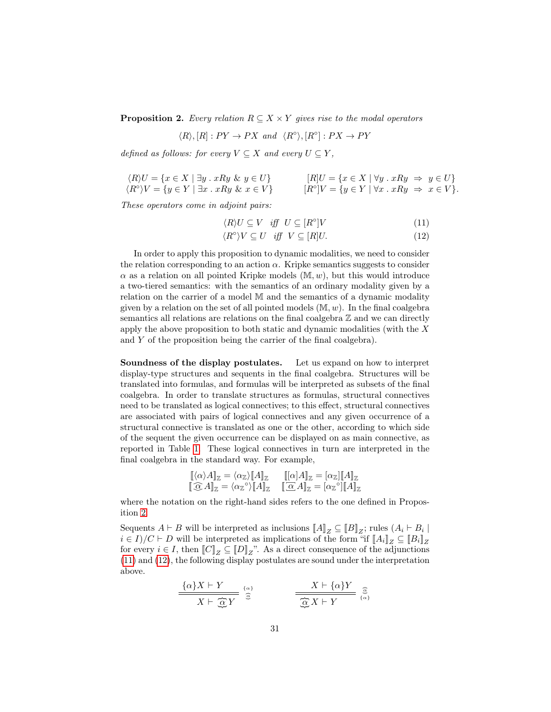**Proposition 2.** Every relation  $R \subseteq X \times Y$  gives rise to the modal operators

$$
\langle R \rangle, [R] : PY \to PX \text{ and } \langle R^{\circ} \rangle, [R^{\circ}] : PX \to PY
$$

defined as follows: for every  $V \subseteq X$  and every  $U \subseteq Y$ ,

$$
\langle R \rangle U = \{ x \in X \mid \exists y \, . \, xRy \& y \in U \} \qquad [R]U = \{ x \in X \mid \forall y \, . \, xRy \Rightarrow y \in U \} \n\langle R^{\circ} \rangle V = \{ y \in Y \mid \exists x \, . \, xRy \& x \in V \} \qquad [R^{\circ} \mid V = \{ y \in Y \mid \forall x \, . \, xRy \Rightarrow x \in V \}.
$$

These operators come in adjoint pairs:

<span id="page-30-1"></span><span id="page-30-0"></span>
$$
\langle R \rangle U \subseteq V \quad \text{iff} \quad U \subseteq [R^{\circ}]V \tag{11}
$$

$$
\langle R^{\circ} \rangle V \subseteq U \quad \text{iff} \quad V \subseteq [R]U. \tag{12}
$$

In order to apply this proposition to dynamic modalities, we need to consider the relation corresponding to an action  $\alpha$ . Kripke semantics suggests to consider  $\alpha$  as a relation on all pointed Kripke models  $(M, w)$ , but this would introduce a two-tiered semantics: with the semantics of an ordinary modality given by a relation on the carrier of a model M and the semantics of a dynamic modality given by a relation on the set of all pointed models  $(M, w)$ . In the final coalgebra semantics all relations are relations on the final coalgebra  $\mathbb Z$  and we can directly apply the above proposition to both static and dynamic modalities (with the  $X$ and Y of the proposition being the carrier of the final coalgebra).

Soundness of the display postulates. Let us expand on how to interpret display-type structures and sequents in the final coalgebra. Structures will be translated into formulas, and formulas will be interpreted as subsets of the final coalgebra. In order to translate structures as formulas, structural connectives need to be translated as logical connectives; to this effect, structural connectives are associated with pairs of logical connectives and any given occurrence of a structural connective is translated as one or the other, according to which side of the sequent the given occurrence can be displayed on as main connective, as reported in Table [1.](#page-31-0) These logical connectives in turn are interpreted in the final coalgebra in the standard way. For example,

$$
\begin{aligned}\n\left[ \langle \alpha \rangle A \right]_{\mathbb{Z}} &= \langle \alpha_{\mathbb{Z}} \rangle \llbracket A \rrbracket_{\mathbb{Z}} \qquad \left[ [\alpha] A \right]_{\mathbb{Z}} = [\alpha_{\mathbb{Z}}] \llbracket A \rrbracket_{\mathbb{Z}} \\
\left[ \begin{array}{cc} \widehat{\alpha} & A \rrbracket_{\mathbb{Z}} = \langle \alpha_{\mathbb{Z}}^{\circ} \rangle \llbracket A \rrbracket_{\mathbb{Z}} \end{array} \right] \\
\left[ \begin{array}{c} \widehat{\alpha} & A \rrbracket_{\mathbb{Z}} = [\alpha_{\mathbb{Z}}^{\circ}] \llbracket A \rrbracket_{\mathbb{Z}} \end{array} \right]\n\end{aligned}
$$

where the notation on the right-hand sides refers to the one defined in Proposition [2.](#page-29-1)

Sequents  $A \vdash B$  will be interpreted as inclusions  $[[A]]_Z \subseteq [[B]]_Z$ ; rules  $(A_i \vdash B_i \mid$  $i \in I$ )/ $C \vdash D$  will be interpreted as implications of the form "if  $[[A_i]]_Z \subseteq [[B_i]]_Z$ for every  $i \in I$ , then  $\llbracket C \rrbracket_Z \subseteq \llbracket D \rrbracket_Z$ ". As a direct consequence of the adjunctions [\(11\)](#page-30-0) and [\(12\)](#page-30-1), the following display postulates are sound under the interpretation above.

$$
\frac{\{\alpha\}X \vdash Y}{X \vdash \underbrace{\widehat{\alpha}}_{\mathcal{L}} Y} \stackrel{\{\alpha\}}{\widehat{\alpha}} \qquad \qquad \frac{X \vdash \{\alpha\}Y}{\underbrace{\widehat{\alpha}}_{\mathcal{L}} X \vdash Y} \stackrel{\widehat{\alpha}}{\{\alpha\}}
$$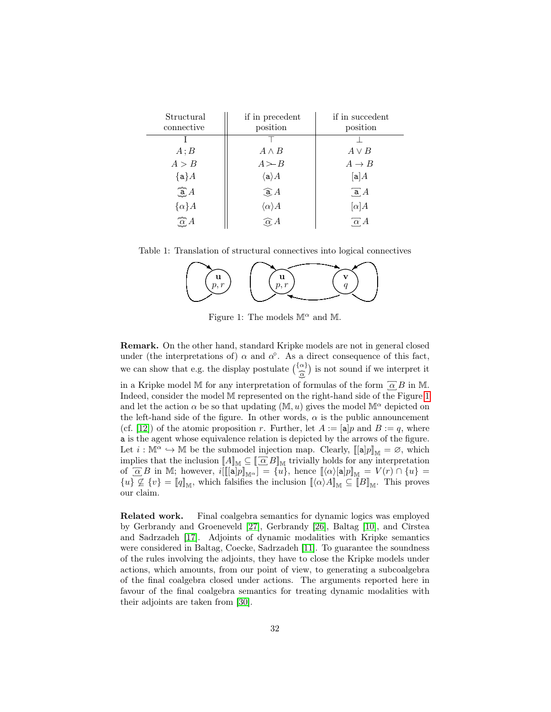| Structural                 | if in precedent                | if in succedent   |
|----------------------------|--------------------------------|-------------------|
| connective                 | position                       | position          |
|                            |                                |                   |
| A; B                       | $A \wedge B$                   | $A \vee B$        |
| A > B                      | $A \rightarrow B$              | $A \rightarrow B$ |
| ${a}A$                     | $\langle \texttt{a} \rangle A$ | [a]A              |
| $\widehat{\mathbf{a}}$ $A$ | $\widehat{A}$                  | $\overline{a}A$   |
| $\{\alpha\}A$              | $\langle \alpha \rangle A$     | $[\alpha]A$       |
| $\overline{\alpha}A$       | $\widehat{\alpha} A$           | $\alpha$ A        |

Table 1: Translation of structural connectives into logical connectives

<span id="page-31-0"></span>

<span id="page-31-1"></span>Figure 1: The models  $\mathbb{M}^{\alpha}$  and  $\mathbb{M}$ .

Remark. On the other hand, standard Kripke models are not in general closed under (the interpretations of)  $\alpha$  and  $\alpha^{\circ}$ . As a direct consequence of this fact, we can show that e.g. the display postulate  $\left(\frac{\{\alpha\}}{\hat{\alpha}}\right)$  is not sound if we interpret it ∽ in a Kripke model M for any interpretation of formulas of the form  $\overline{\alpha} B$  in M. Indeed, consider the model M represented on the right-hand side of the Figure [1](#page-31-1) and let the action  $\alpha$  be so that updating  $(M, u)$  gives the model  $M^{\alpha}$  depicted on the left-hand side of the figure. In other words,  $\alpha$  is the public announcement (cf. [\[12\]](#page-58-0)) of the atomic proposition r. Further, let  $A := [\mathbf{a}]p$  and  $B := q$ , where a is the agent whose equivalence relation is depicted by the arrows of the figure. Let  $i : \mathbb{M}^{\alpha} \hookrightarrow \mathbb{M}$  be the submodel injection map. Clearly,  $\llbracket [\mathbf{a}]p \rrbracket_{\mathbb{M}} = \varnothing$ , which implies that the inclusion  $[\![A]\!]_{\mathbb{M}} \subseteq [\![\overline{\alpha}\,B]\!]_{\mathbb{M}}$  trivially holds for any interpretation of  $\overline{\alpha} B$  in M; however,  $i[[[\mathbf{a}]p]_{\mathbb{M}^{\alpha}}] = \overline{\{u\}}$ , hence  $[\langle \alpha \rangle [\mathbf{a}]p]_{\mathbb{M}} = V(r) \cap \{u\} =$  $\{u\} \nsubseteq \{v\} = [q]_M$ , which falsifies the inclusion  $[\langle \alpha \rangle A]_M \subseteq [B]_M$ . This proves our claim.

Related work. Final coalgebra semantics for dynamic logics was employed by Gerbrandy and Groeneveld [\[27\]](#page-59-7), Gerbrandy [\[26\]](#page-59-8), Baltag [\[10\]](#page-58-14), and Cîrstea and Sadrzadeh [\[17\]](#page-59-9). Adjoints of dynamic modalities with Kripke semantics were considered in Baltag, Coecke, Sadrzadeh [\[11\]](#page-58-4). To guarantee the soundness of the rules involving the adjoints, they have to close the Kripke models under actions, which amounts, from our point of view, to generating a subcoalgebra of the final coalgebra closed under actions. The arguments reported here in favour of the final coalgebra semantics for treating dynamic modalities with their adjoints are taken from [\[30\]](#page-60-0).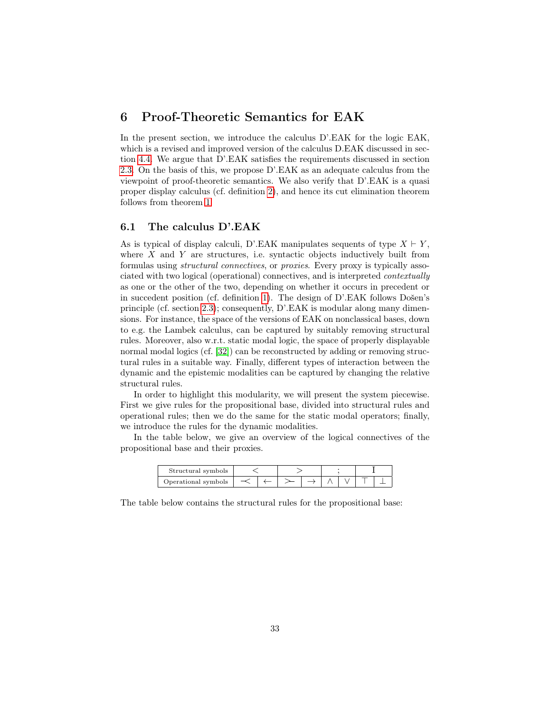### <span id="page-32-0"></span>6 Proof-Theoretic Semantics for EAK

In the present section, we introduce the calculus  $D'$ . EAK for the logic EAK, which is a revised and improved version of the calculus  $D.EAK$  discussed in section [4.4.](#page-25-0) We argue that D'.EAK satisfies the requirements discussed in section [2.3.](#page-10-0) On the basis of this, we propose D'.EAK as an adequate calculus from the viewpoint of proof-theoretic semantics. We also verify that D'.EAK is a quasi proper display calculus (cf. definition [2\)](#page-12-2), and hence its cut elimination theorem follows from theorem [1.](#page-13-2)

#### <span id="page-32-1"></span>6.1 The calculus D'.EAK

As is typical of display calculi, D'.EAK manipulates sequents of type  $X \vdash Y$ , where  $X$  and  $Y$  are structures, i.e. syntactic objects inductively built from formulas using structural connectives, or proxies. Every proxy is typically associated with two logical (operational) connectives, and is interpreted contextually as one or the other of the two, depending on whether it occurs in precedent or in succedent position (cf. definition [1\)](#page-5-0). The design of D'.EAK follows Došen's principle (cf. section [2.3\)](#page-10-0); consequently, D'.EAK is modular along many dimensions. For instance, the space of the versions of EAK on nonclassical bases, down to e.g. the Lambek calculus, can be captured by suitably removing structural rules. Moreover, also w.r.t. static modal logic, the space of properly displayable normal modal logics (cf. [\[32\]](#page-60-3)) can be reconstructed by adding or removing structural rules in a suitable way. Finally, different types of interaction between the dynamic and the epistemic modalities can be captured by changing the relative structural rules.

In order to highlight this modularity, we will present the system piecewise. First we give rules for the propositional base, divided into structural rules and operational rules; then we do the same for the static modal operators; finally, we introduce the rules for the dynamic modalities.

In the table below, we give an overview of the logical connectives of the propositional base and their proxies.

| Structural symbols  |  |  |  |  |  |  |  |  |
|---------------------|--|--|--|--|--|--|--|--|
| Operational symbols |  |  |  |  |  |  |  |  |

The table below contains the structural rules for the propositional base: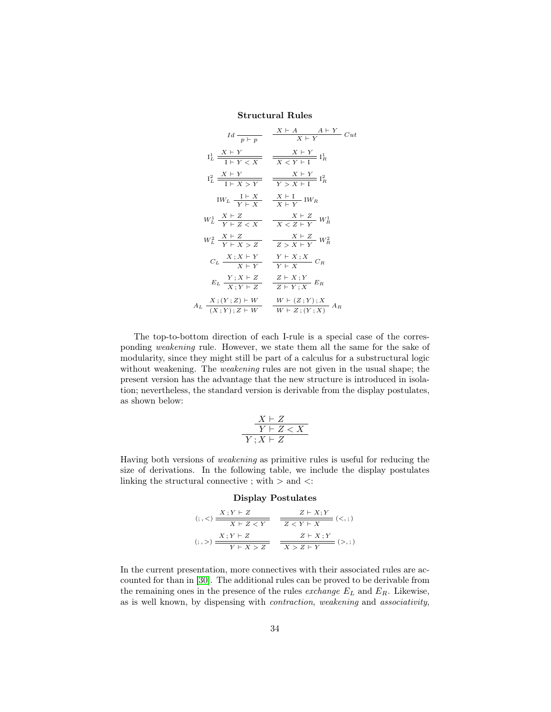Structural Rules

$$
Id \frac{}{}_{p+p} \frac{X \vdash A \qquad A \vdash Y}{X \vdash Y} \quad Cut
$$
\n
$$
I_L^1 \frac{X \vdash Y}{1 \vdash Y < X} \frac{}{}_{X \vdash Y} \frac{}{}_{X \vdash Y} I_R^1
$$
\n
$$
I_L^2 \frac{X \vdash Y}{1 \vdash X > Y} \frac{}{}_{X \vdash Y} \frac{}{}_{Y \vdash X} I_R^2
$$
\n
$$
IW_L \frac{1 \vdash X}{Y \vdash X} \frac{}{}_{X \vdash Y} \frac{}{}_{X \vdash Y} IW_R
$$
\n
$$
W_L^1 \frac{X \vdash Z}{Y \vdash Z < X} \frac{}{}_{X \vdash Z} \frac{}{}_{X \vdash Z} W_R^1
$$
\n
$$
W_L^2 \frac{X \vdash Z}{Y \vdash X > Z} \frac{}{}_{Z \vdash X \vdash Y} W_R^2
$$
\n
$$
C_L \frac{X \vdash Z}{X \vdash Y} \frac{}{}_{Y \vdash X \vdash X} \frac{}{}_{Y \vdash X \vdash X} C_R
$$
\n
$$
E_L \frac{Y \vdash X \vdash Z}{X \vdash Y \vdash Z} \frac{Z \vdash X \vdash Y}{Z \vdash Y \vdash X} E_R
$$
\n
$$
A_L \frac{X \vdash (Y \vdash Z) \vdash W}{X \vdash Y \vdash Z} \frac{W \vdash (Z \vdash Y) \vdash X}{W \vdash Z \vdash (Y \vdash X)} A_R
$$

The top-to-bottom direction of each I-rule is a special case of the corresponding weakening rule. However, we state them all the same for the sake of modularity, since they might still be part of a calculus for a substructural logic without weakening. The *weakening* rules are not given in the usual shape; the present version has the advantage that the new structure is introduced in isolation; nevertheless, the standard version is derivable from the display postulates, as shown below:

$$
\frac{X \vdash Z}{Y \vdash Z < X}
$$
  
 
$$
Y \, ; X \vdash Z
$$

Having both versions of weakening as primitive rules is useful for reducing the size of derivations. In the following table, we include the display postulates linking the structural connective ; with  $>$  and  $\lt$ :

#### Display Postulates

$$
(\cdot, <) \frac{X:Y \vdash Z}{X \vdash Z < Y} \quad \frac{Z \vdash X;Y}{Z < Y \vdash X} \quad (<, ;)
$$
\n
$$
(\cdot, >) \frac{X:Y \vdash Z}{Y \vdash X > Z} \quad \frac{Z \vdash X;Y}{X > Z \vdash Y} \quad (<, ;)
$$

In the current presentation, more connectives with their associated rules are accounted for than in [\[30\]](#page-60-0). The additional rules can be proved to be derivable from the remaining ones in the presence of the rules *exchange*  $E_L$  and  $E_R$ . Likewise, as is well known, by dispensing with contraction, weakening and associativity,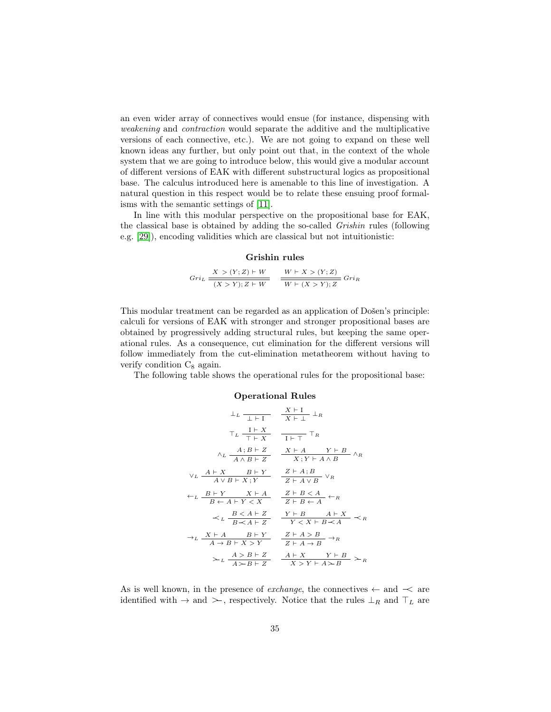an even wider array of connectives would ensue (for instance, dispensing with weakening and contraction would separate the additive and the multiplicative versions of each connective, etc.). We are not going to expand on these well known ideas any further, but only point out that, in the context of the whole system that we are going to introduce below, this would give a modular account of different versions of EAK with different substructural logics as propositional base. The calculus introduced here is amenable to this line of investigation. A natural question in this respect would be to relate these ensuing proof formalisms with the semantic settings of [\[11\]](#page-58-4).

In line with this modular perspective on the propositional base for EAK, the classical base is obtained by adding the so-called Grishin rules (following e.g. [\[29\]](#page-59-10)), encoding validities which are classical but not intuitionistic:

#### Grishin rules

$$
Gri_L \frac{X > (Y;Z) \vdash W}{(X > Y); Z \vdash W} \quad \frac{W \vdash X > (Y;Z)}{W \vdash (X > Y); Z} \, Gri_R
$$

This modular treatment can be regarded as an application of Došen's principle: calculi for versions of EAK with stronger and stronger propositional bases are obtained by progressively adding structural rules, but keeping the same operational rules. As a consequence, cut elimination for the different versions will follow immediately from the cut-elimination metatheorem without having to verify condition  $C_8$  again.

The following table shows the operational rules for the propositional base:

#### Operational Rules

$$
\frac{1}{L} \sum \frac{X+I}{X+I} \quad \frac{X+I}{X+I} \quad \frac{1}{L} R
$$
\n
$$
T_L \frac{I+X}{T+X} \quad \frac{I+T}{I+T} \quad T_R
$$
\n
$$
\frac{A; B+Z}{A \land B+Z} \quad \frac{X+A}{X; Y+A \land B} \quad \frac{Y+B}{A \land B}
$$
\n
$$
\frac{YL}{AYB+X; Y} \quad \frac{Z+A; B}{Z+A \lor B} \quad \frac{YR}{Z+A \lor B} \quad \frac{YR}{Z+A \lor B} \quad \frac{X+B}{Z+B+A} \quad \frac{X+B}{Z+B+A} \quad \frac{X+B}{Z+B+A} \quad \frac{X+B}{X \land X+B+A} \quad \frac{X+B}{X \land X+B} \quad \frac{X+A}{X \land B+Y} \quad \frac{X+A}{X \land B} \quad \frac{X+A}{X \land B} \quad \frac{X+A}{X \land B} \quad \frac{X+A}{X \land B} \quad \frac{X+A}{X \land Y+A} \quad \frac{X+B}{X \land Y} \quad \frac{X+A}{X \land Y+A} \quad \frac{X+B}{X \land Y} \quad \frac{X+A}{X \land Y+A \land B} \quad \frac{X+A}{X \land Y+A \land B} \quad \frac{X+A}{X \land Y+A \land B} \quad \frac{X+A}{X \land Y+A \land B} \quad \frac{X+A}{X \land Y+A \land B} \quad \frac{X+A}{X \land Y+A \land B} \quad \frac{X+A}{X \land Y+A \land B} \quad \frac{X+A}{X \land Y+A \land B} \quad \frac{X+A}{X \land Y+A \land B} \quad \frac{X+A}{X \land Y+A \land B} \quad \frac{X+A}{X \land Y+A \land B} \quad \frac{X+A}{X \land Y+A \land B} \quad \frac{X+A}{X \land Y+A \land B} \quad \frac{X+A}{X \land Y+A \land B} \quad \frac{X+A}{X \land Y+A \land B} \quad \frac{X+A}{X \land Y+A \land B} \quad \frac{X+A}{X \land Y+A \land B} \quad \frac{X+A}{X \land Y+A \land B} \quad \frac{X+A}{X \land Y+A \land B} \quad \frac{X+A}{X \land Y+A \land B} \quad \frac{X+A}{X \land Y+A \land B} \quad \frac{X+A}{X \land Y+A \land
$$

As is well known, in the presence of *exchange*, the connectives  $\leftarrow$  and  $\prec$  are identified with  $\rightarrow$  and  $\rightarrow$ , respectively. Notice that the rules  $\perp_R$  and  $\top_L$  are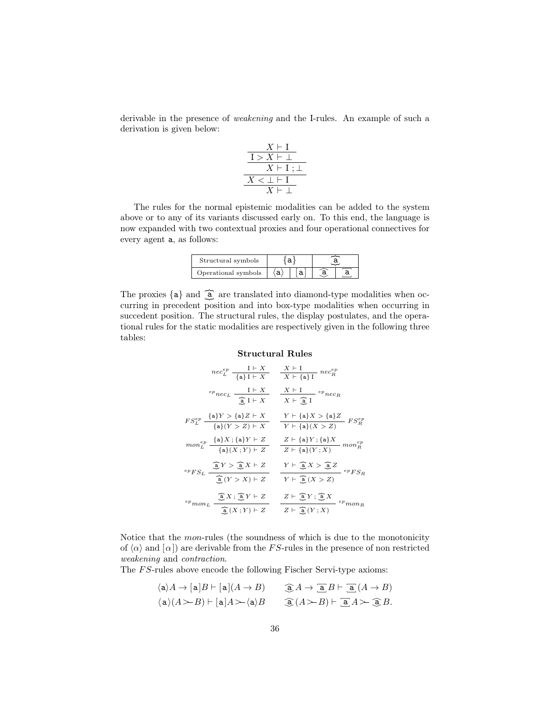derivable in the presence of weakening and the I-rules. An example of such a derivation is given below:

$$
\frac{\frac{X \vdash \text{I}}{1 > X \vdash \perp}}{X \vdash \text{I}; \perp}
$$

$$
\frac{X < \perp \vdash \text{I}}{X \vdash \perp}
$$

The rules for the normal epistemic modalities can be added to the system above or to any of its variants discussed early on. To this end, the language is now expanded with two contextual proxies and four operational connectives for every agent a, as follows:

| Structural symbols  |  |  |  |  |
|---------------------|--|--|--|--|
| Operational symbols |  |  |  |  |

The proxies  $\{a\}$  and  $\widehat{a}$  are translated into diamond-type modalities when oc curring in precedent position and into box-type modalities when occurring in succedent position. The structural rules, the display postulates, and the operational rules for the static modalities are respectively given in the following three tables:

#### Structural Rules

$$
nec_L^{ep} \frac{1+X}{\{a\}I+X} \frac{X+I}{X+\{a\}I} \cdot nec_R^{ep}
$$
\n
$$
e_{p}nc_L \frac{I+X}{\widehat{a}I+X} \frac{X+I}{X+\widehat{a}I} \cdot e_{p}nc_R
$$
\n
$$
FS_L^{ep} \frac{\{a\}Y > \{a\}Z+X}{\{a\}(Y>Z)+X} \frac{Y+\{a\}X > \{a\}Z}{Y+\{a\}(X>Z)} FS_R^{ep}
$$
\n
$$
mon_L^{ep} \frac{\{a\}X; \{a\}Y+Z}{\{a\}(X;Y)+Z} \frac{Z+\{a\}Y; \{a\}X}{Z+\{a\}(Y;X)} \cdot mon_R^{ep}
$$
\n
$$
e_{p}F_{SL} \frac{\widehat{a}Y > \widehat{a}X+Z}{\widehat{a}(Y>X)+Z} \frac{Y+\widehat{a}X > \widehat{a}Z}{Y+\widehat{a}(X>Z)} \cdot e_{p}F_{SR}
$$
\n
$$
e_{p}T_{SR} \frac{\widehat{a}Y > \widehat{a}X+Z}{\widehat{a}(Y>X)+Z} \frac{Y+\widehat{a}X > \widehat{a}Z}{Y+\widehat{a}(X>Z)} \cdot e_{p}F_{SR}
$$
\n
$$
e_{p}T_{SR} \frac{\widehat{a}X; \widehat{a}Y+Z}{\widehat{a}(X;Y)+Z} \frac{Z+\widehat{a}Y; \widehat{a}X}{Z+\widehat{a}(Y;X)} \cdot e_{p}T_{SR}
$$

Notice that the mon-rules (the soundness of which is due to the monotonicity of  $\langle \alpha \rangle$  and  $\langle \alpha \rangle$  are derivable from the FS-rules in the presence of non restricted weakening and contraction.

The FS-rules above encode the following Fischer Servi-type axioms:

$$
\begin{aligned}\n\langle \mathsf{a} \rangle A &\rightarrow [\mathsf{a}]B \vdash [\mathsf{a}](A \to B) & \widehat{\mathsf{a}}A \to \overline{\mathsf{a}}B \vdash \overline{\mathsf{a}}(A \to B) \\
\langle \mathsf{a} \rangle (A \succ B) \vdash [\mathsf{a}]A \succ \langle \mathsf{a} \rangle B & \widehat{\mathsf{a}}(A \succ B) \vdash \overline{\mathsf{a}}A \succ \widehat{\mathsf{a}}B.\n\end{aligned}
$$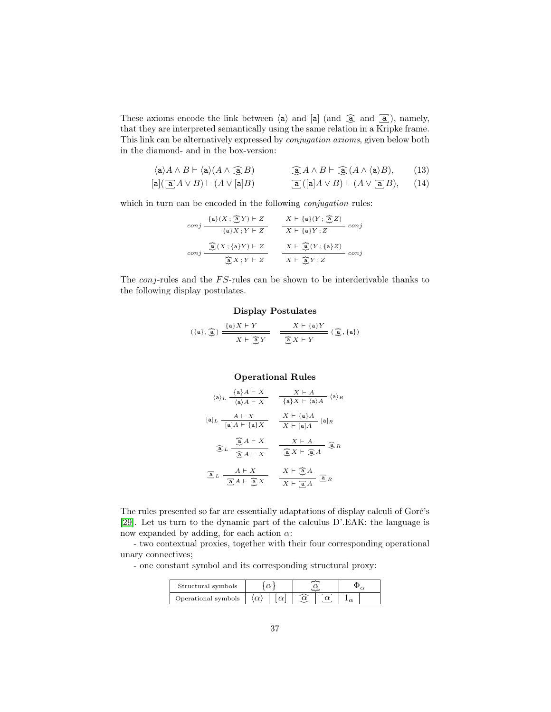These axioms encode the link between  $\langle a \rangle$  and  $\lbrack a \rbrack$  (and  $\hat{a}$ ), namely, that they are interpreted semantically using the same relation in a Kripke frame. This link can be alternatively expressed by conjugation axioms, given below both in the diamond- and in the box-version:

<span id="page-36-0"></span>
$$
\langle \mathbf{a} \rangle A \wedge B \vdash \langle \mathbf{a} \rangle (A \wedge \widehat{\mathbf{a}} B) \qquad \widehat{\mathbf{a}} A \wedge B \vdash \widehat{\mathbf{a}} (A \wedge \langle \mathbf{a} \rangle B), \qquad (13)
$$
  
\n
$$
[\mathbf{a}] (\widehat{\mathbf{a}} A \vee B) \vdash (A \vee [\mathbf{a}] B) \qquad \widehat{\mathbf{a}} ([\mathbf{a}] A \vee B) \vdash (A \vee \widehat{\mathbf{a}} B), \qquad (14)
$$

which in turn can be encoded in the following *conjugation* rules:

$$
conj \frac{\{a\}(X; \frac{\widehat{a}}{\widehat{a}}Y) \vdash Z}{\{a\}X; Y \vdash Z} \frac{X \vdash \{a\}(Y; \frac{\widehat{a}}{\widehat{a}}Z)}{X \vdash \{a\}Y; Z} \text{ conj}
$$
  

$$
conj \frac{\widehat{a}}{\widehat{a}}(X; \{a\}Y) \vdash Z}{\frac{\widehat{a}}{\widehat{a}}X; Y \vdash Z} \frac{X \vdash \widehat{a}(Y; \{a\}Z)}{X \vdash \widehat{a}(Y; \{a\}Z)} \text{ conj}
$$

The *conj*-rules and the  $FS$ -rules can be shown to be interderivable thanks to the following display postulates.

#### Display Postulates

$$
(\{a\},\,\widehat{\underline{a}}\,)\xrightarrow{\{a\}X\;\vdash\;Y\;\;}\quad\frac{X\vdash \{a\}Y}{\underbrace{\widehat{a}\,X\vdash Y\;\;}}\quad \frac{X\vdash \{a\}Y}{\underbrace{\widehat{a}\,X\vdash Y\;\;}}\;(\,\widehat{\underline{a}}\,,\{a\})
$$

#### Operational Rules

$$
\langle \mathbf{a} \rangle_L \frac{\{ \mathbf{a} \} A + X}{\langle \mathbf{a} \rangle A + X} = \frac{X + A}{\{ \mathbf{a} \} X + \langle \mathbf{a} \rangle A} \langle \mathbf{a} \rangle_R
$$

$$
[\mathbf{a}]_L \frac{A + X}{[\mathbf{a}]_A + [\mathbf{a}]_X} = \frac{X + \{ \mathbf{a} \} A}{X + [\mathbf{a}]_A} [\mathbf{a}]_R
$$

$$
\widehat{\mathbf{a}}_L \frac{\widehat{\mathbf{a}}_A + X}{\widehat{\mathbf{a}}_A + X} = \frac{X + A}{\widehat{\mathbf{a}}_L X + \widehat{\mathbf{a}}_A} \widehat{\mathbf{a}}_R
$$

$$
\widehat{\mathbf{a}}_L \frac{A + X}{\widehat{\mathbf{a}}_A + \widehat{\mathbf{a}}_A} = \frac{X + \widehat{\mathbf{a}}_A}{X + \widehat{\mathbf{a}}_A} \widehat{\mathbf{a}}_R
$$

The rules presented so far are essentially adaptations of display calculi of Goré's [\[29\]](#page-59-10). Let us turn to the dynamic part of the calculus D'.EAK: the language is now expanded by adding, for each action  $\alpha$ :

- two contextual proxies, together with their four corresponding operational unary connectives;

- one constant symbol and its corresponding structural proxy:

| Structural symbols  |  |  |  |  |  |  |
|---------------------|--|--|--|--|--|--|
| Operational symbols |  |  |  |  |  |  |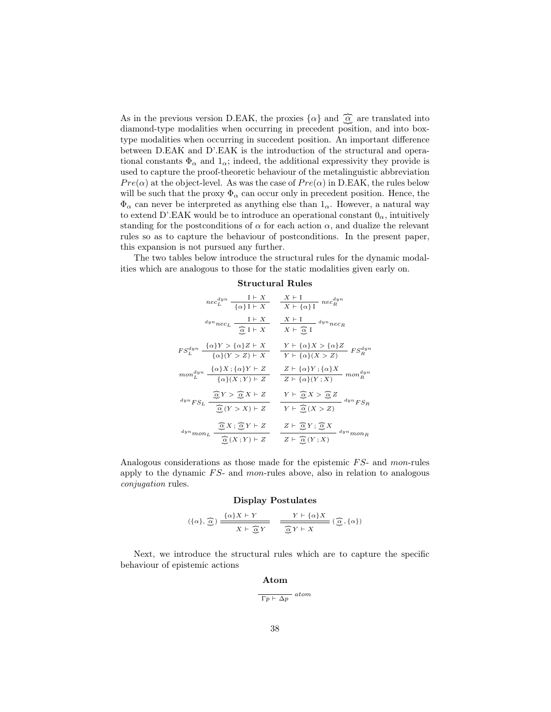As in the previous version D.EAK, the proxies  $\{\alpha\}$  and  $\widehat{\alpha}$  are translated into diamond-type modalities when occurring in precedent position, and into boxtype modalities when occurring in succedent position. An important difference between D.EAK and D'.EAK is the introduction of the structural and operational constants  $\Phi_{\alpha}$  and  $1_{\alpha}$ ; indeed, the additional expressivity they provide is used to capture the proof-theoretic behaviour of the metalinguistic abbreviation  $Pre(\alpha)$  at the object-level. As was the case of  $Pre(\alpha)$  in D.EAK, the rules below will be such that the proxy  $\Phi_{\alpha}$  can occur only in precedent position. Hence, the  $\Phi_{\alpha}$  can never be interpreted as anything else than  $1_{\alpha}$ . However, a natural way to extend D'.EAK would be to introduce an operational constant  $0_{\alpha}$ , intuitively standing for the postconditions of  $\alpha$  for each action  $\alpha$ , and dualize the relevant rules so as to capture the behaviour of postconditions. In the present paper, this expansion is not pursued any further.

The two tables below introduce the structural rules for the dynamic modalities which are analogous to those for the static modalities given early on.

#### Structural Rules

| $nec_L^{dyn}$ $\frac{I \vdash X}{\{\alpha\} I \vdash X}$                                                                                                                                   | $\frac{X \vdash \textbf{I}}{X \vdash \{\alpha\} \textbf{I}} \ n e c_R^{dyn}$                                                                            |
|--------------------------------------------------------------------------------------------------------------------------------------------------------------------------------------------|---------------------------------------------------------------------------------------------------------------------------------------------------------|
| $\label{eq:1} \begin{aligned} \textit{dyn}_{\textit{nec}_{L}}\; \frac{\mathrm{I}\vdash X}{\underset{\text{O}}{\underbrace{\alpha}}\; \mathrm{I}\vdash X} \end{aligned}$                    | $X \vdash I$ $\longrightarrow$ $\downarrow^{dyn}$ $\parallel$<br>$\overline{X}$ $\vdash \underline{\widehat{\alpha}}$ I                                 |
| $FS_L^{dyn} \xrightarrow{\{\alpha\}Y > {\{\alpha\}Z \vdash X}} \frac{\{\alpha\}Y > {\{\alpha\}Z \vdash X}}{\{\alpha\}(Y > Z) \vdash X}$                                                    | $\frac{Y \vdash \{\alpha\}X > \{\alpha\}Z}{Y \vdash \{\alpha\}(X > Z)}\ FS_R^{dyn}$                                                                     |
| $mon_L^{dyn} \xrightarrow{\{\alpha\}X \; ; \; \{\alpha\}Y \; \vdash \; Z} \; \overline{\{\alpha\}(X \; ; \; Y) \; \vdash \; Z}$                                                            | $Z \vdash \{\alpha\}Y \,;\{\alpha\}X$<br>$\frac{1}{Z \vdash \{\alpha\}(Y;X)} \ \ mon_R^{dyn}$                                                           |
| $\widehat{\mathop{\rm \mathfrak{S}}\nolimits} Y > \widehat{\mathop{\rm \mathfrak{S}}\nolimits} X \vdash Z$<br>$^{dyn}FS_L$<br>$\overline{\widehat{\underline{\alpha}}\, (Y > X) \vdash Z}$ | $Y \vdash \underbrace{\widehat{\alpha} X > \widehat{\alpha} Z}_{\text{d}yn}$<br>$Y \vdash \overline{\mathcal{Q}}(X > Z)$                                |
| $\widehat{Q} X$ ; $\widehat{Q} Y \vdash Z$<br>${}^{dyn}mon_L$<br>$\widehat{\alpha}(X;Y) \vdash Z$                                                                                          | $Z \vdash \widehat{\underset{\sim}{\alpha}} Y \, ; \, \widehat{\underset{\sim}{\alpha}} X$<br>$\ ^{dyn}mon_R$<br>$Z \vdash \overline{\mathcal{Q}}(Y;X)$ |

Analogous considerations as those made for the epistemic  $FS$ - and mon-rules apply to the dynamic  $FS$ - and mon-rules above, also in relation to analogous conjugation rules.

#### Display Postulates

$$
(\{\alpha\},\widehat{\mathcal{Q}})\xrightarrow{\{\alpha\}X\vdash Y}\qquad\xrightarrow{\qquad Y\vdash \{\alpha\}X}\ (\widehat{\mathcal{Q}},\{\alpha\})
$$

Next, we introduce the structural rules which are to capture the specific behaviour of epistemic actions

#### Atom

$$
\overline{\Gamma p \vdash \Delta p} \text{ atom}
$$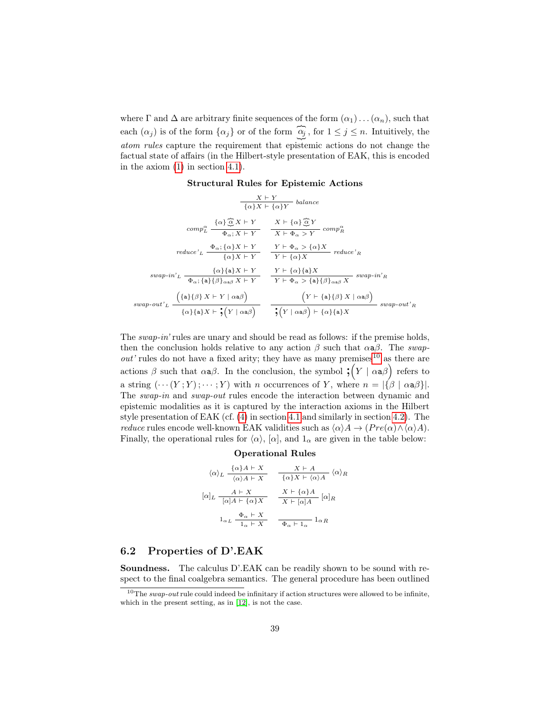where  $\Gamma$  and  $\Delta$  are arbitrary finite sequences of the form  $(\alpha_1) \dots (\alpha_n)$ , such that each  $(\alpha_j)$  is of the form  $\{\alpha_j\}$  or of the form  $\widehat{\alpha_j}$ , for  $1 \leq j \leq n$ . Intuitively, the atom rules capture the requirement that epistemic actions do not change the factual state of affairs (in the Hilbert-style presentation of EAK, this is encoded in the axiom [\(1\)](#page-18-0) in section [4.1\)](#page-16-1).

#### Structural Rules for Epistemic Actions

$$
\frac{X \vdash Y}{\{\alpha\}X \vdash \{\alpha\}Y} \text{ balance}
$$
\n
$$
comp_{L}^{\alpha} \frac{\{\alpha\} \widehat{\alpha}X \vdash Y}{\Phi_{\alpha}; X \vdash Y} \frac{X \vdash \{\alpha\} \widehat{\alpha}Y}{X \vdash \Phi_{\alpha} > Y} comp_{R}^{\alpha}
$$
\n
$$
reduce'_{L} \frac{\Phi_{\alpha}; \{\alpha\}X \vdash Y}{\{\alpha\}X \vdash Y} \frac{Y \vdash \Phi_{\alpha} > \{\alpha\}X}{Y \vdash \{\alpha\}X} reduce'_{R}
$$
\n
$$
swap\text{-}in'L \frac{\{\alpha\}\{a\}X \vdash Y}{\Phi_{\alpha}; \{a\}\{\beta\}_{\alpha a \beta}X \vdash Y} \frac{Y \vdash \{\alpha\}X}{Y \vdash \Phi_{\alpha} > \{a\}\{\beta\}_{\alpha a \beta}X} swap\text{-}in'n
$$
\n
$$
swap\text{-}out'L \frac{\{\{a\}\{\beta\}X \vdash Y \mid \alpha a \beta\}}{\{\alpha\}\{a\}X \vdash \mathbf{y}\{x \vdash \mathbf{a}\}} \frac{\left(Y \vdash \{a\}\{\beta\}X \mid \alpha a \beta\right)}{\left(Y \vdash \{a\}\{\beta\}X \vdash \alpha a \beta\right)} swap\text{-}out'n
$$
\n
$$
swap\text{-}out'n
$$

The swap-in' rules are unary and should be read as follows: if the premise holds, then the conclusion holds relative to any action  $\beta$  such that  $\alpha a\beta$ . The swap $out'$  rules do not have a fixed arity; they have as many premises<sup>[10](#page-38-1)</sup> as there are actions  $\beta$  such that  $\alpha a\beta$ . In the conclusion, the symbol  $\mathfrak{f}(Y \mid \alpha a\beta)$  refers to a string  $(\cdots(Y;Y); \cdots; Y)$  with n occurrences of Y, where  $n = |\{\beta \mid \alpha \neq \beta\}|$ . The swap-in and swap-out rules encode the interaction between dynamic and epistemic modalities as it is captured by the interaction axioms in the Hilbert style presentation of EAK (cf. [\(4\)](#page-18-0) in section [4.1](#page-16-1) and similarly in section [4.2\)](#page-19-0). The *reduce* rules encode well-known EAK validities such as  $\langle \alpha \rangle A \rightarrow (Pre(\alpha) \wedge \langle \alpha \rangle A)$ . Finally, the operational rules for  $\langle \alpha \rangle$ ,  $[\alpha]$ , and  $1_{\alpha}$  are given in the table below:

#### Operational Rules

$$
\langle \alpha \rangle_L \frac{\{\alpha\}A \vdash X}{\langle \alpha \rangle A \vdash X} \quad \frac{X \vdash A}{\{\alpha\}X \vdash \langle \alpha \rangle A} \quad \langle \alpha \rangle_R
$$

$$
[\alpha]_L \frac{A \vdash X}{[\alpha]A \vdash \{\alpha\}X} \quad \frac{X \vdash \{\alpha\}A}{X \vdash [\alpha]A} \quad [\alpha]_R
$$

$$
1_{\alpha} \underbrace{A}_{\alpha} \vdash X \quad \frac{X \vdash \{\alpha\}A}{\Phi_{\alpha} \vdash 1_{\alpha}} \quad 1_{\alpha} R
$$

#### <span id="page-38-0"></span>6.2 Properties of D'.EAK

Soundness. The calculus D'.EAK can be readily shown to be sound with respect to the final coalgebra semantics. The general procedure has been outlined

<span id="page-38-1"></span> $10$ The swap-out rule could indeed be infinitary if action structures were allowed to be infinite, which in the present setting, as in [\[12\]](#page-58-0), is not the case.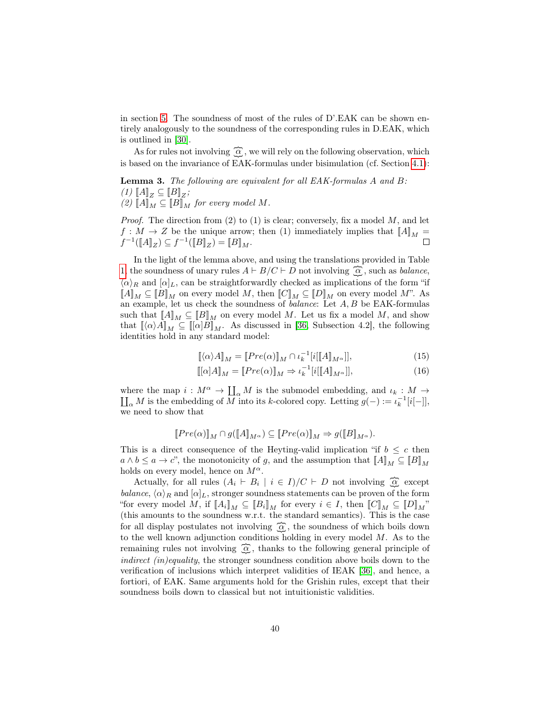in section [5.](#page-27-0) The soundness of most of the rules of D'.EAK can be shown entirely analogously to the soundness of the corresponding rules in D.EAK, which is outlined in [\[30\]](#page-60-0).

As for rules not involving  $\widehat{\alpha}$ , we will rely on the following observation, which is based on the invariance of EAK-formulas under bisimulation (cf. Section [4.1\)](#page-16-1):

Lemma 3. The following are equivalent for all EAK-formulas A and B:  $(1)$   $[A]_Z \subseteq [B]_Z;$  $(2)$   $\llbracket A \rrbracket_M \subseteq \llbracket B \rrbracket_M$  for every model M.

*Proof.* The direction from  $(2)$  to  $(1)$  is clear; conversely, fix a model M, and let  $f: M \to Z$  be the unique arrow; then (1) immediately implies that  $[[A]]_M =$  $f^{-1}(\llbracket A \rrbracket_Z) \subseteq f^{-1}(\llbracket B \rrbracket_Z) = \llbracket B \rrbracket_M.$ 

In the light of the lemma above, and using the translations provided in Table [1,](#page-31-0) the soundness of unary rules  $A \vdash B/C \vdash D$  not involving  $\widehat{A}$ , such as *balance*,  $\langle \alpha \rangle_R$  and  $[\alpha]_L$ , can be straightforwardly checked as implications of the form "if  $\llbracket A \rrbracket_M \subseteq [B]_M$  on every model M, then  $\llbracket C \rrbracket_M \subseteq [D]_M$  on every model M". As an example, let us check the soundness of *balance*: Let  $A, B$  be EAK-formulas such that  $[[A]]_M \subseteq [[B]]_M$  on every model M. Let us fix a model M, and show that  $\llbracket \langle \alpha \rangle A \rrbracket_M \subseteq \llbracket [\alpha] B \rrbracket_M$ . As discussed in [\[36,](#page-60-13) Subsection 4.2], the following identities hold in any standard model:

$$
\[\![\langle \alpha \rangle A]\!]_M = [\![Pre(\alpha)]\!]_M \cap \iota_k^{-1}[\![i][\![A]\!]_{M^\alpha}]],\tag{15}
$$

$$
\llbracket [\alpha]A \rrbracket_M = \llbracket Pre(\alpha) \rrbracket_M \Rightarrow \iota_k^{-1}[i[\llbracket A \rrbracket_{M^\alpha}]], \tag{16}
$$

where the map  $i : M^{\alpha} \to \coprod_{\alpha} M$  is the submodel embedding, and  $\iota_k : M \to \coprod_{\alpha} M$  is the embedding of M into its k-colored copy. Letting  $g(-) := \iota_k^{-1}[i] - [j]$ ,  $\alpha$  M is the embedding of  $\overline{M}$  into its k-colored copy. Letting  $g(-) := \iota_k^{-1}[i[-]],$ we need to show that

$$
[\![Pre(\alpha)]\!]_M\cap g([\![A]\!]_{M^\alpha})\subseteq [\![Pre(\alpha)]\!]_M\Rightarrow g([\![B]\!]_{M^\alpha}).
$$

This is a direct consequence of the Heyting-valid implication "if  $b \leq c$  then  $a \wedge b \leq a \rightarrow c$ , the monotonicity of g, and the assumption that  $[[A]]_M \subseteq [[B]]_M$ holds on every model, hence on  $M^{\alpha}$ .

Actually, for all rules  $(A_i \vdash B_i \mid i \in I)/C \vdash D$  not involving  $\widehat{Q}$  except balance,  $\langle \alpha \rangle_R$  and  $[\alpha]_L$ , stronger soundness statements can be proven of the form "for every model M, if  $[\![A_i]\!]_M \subseteq [\![B_i]\!]_M$  for every  $i \in I$ , then  $[\![C]\!]_M \subseteq [\![D]\!]_M$ " (this amounts to the soundness w.r.t. the standard semantics). This is the case for all display postulates not involving  $\widehat{\alpha}$ , the soundness of which boils down to the well known adjunction conditions holding in every model M. As to the remaining rules not involving  $\widehat{\alpha}$ , thanks to the following general principle of indirect (in)equality, the stronger soundness condition above boils down to the verification of inclusions which interpret validities of IEAK [\[36\]](#page-60-13), and hence, a fortiori, of EAK. Same arguments hold for the Grishin rules, except that their soundness boils down to classical but not intuitionistic validities.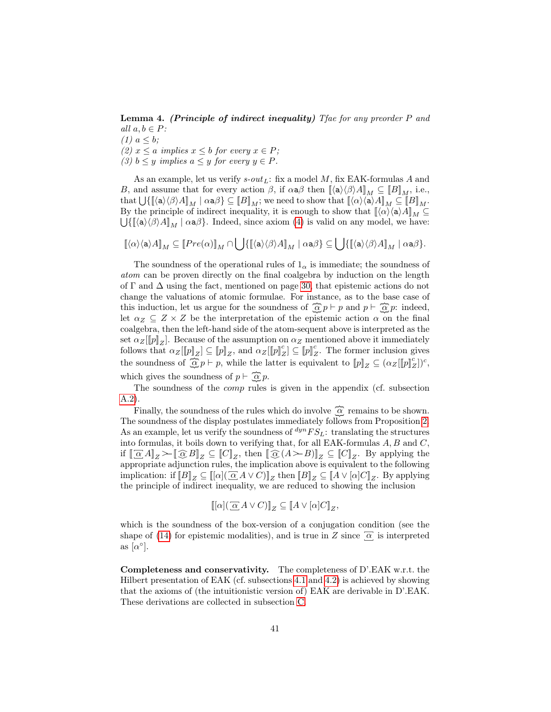Lemma 4. (Principle of indirect inequality) Tfae for any preorder P and all  $a, b \in P$ :

 $(1)$   $a \leq b$ ; (2)  $x \le a$  implies  $x \le b$  for every  $x \in P$ ; (3)  $b \leq y$  implies  $a \leq y$  for every  $y \in P$ .

As an example, let us verify  $s\text{-}out_L$ : fix a model M, fix EAK-formulas A and B, and assume that for every action  $\beta$ , if  $\alpha \alpha \beta$  then  $\langle [\alpha \rangle \langle \beta \rangle A]_M \subseteq [B]_M$ , i.e.,  $\text{that } \bigcup \{ \llbracket \langle \mathsf{a} \rangle \langle \beta \rangle A \rrbracket_M \mid \alpha \mathsf{a} \beta \} \subseteq \llbracket B \rrbracket_M; \text{ we need to show that } \llbracket \langle \alpha \rangle \langle \mathsf{a} \rangle A \rrbracket_M \subseteq \llbracket B \rrbracket_M.$ By the principle of indirect inequality, it is enough to show that  $\llbracket \langle \alpha \rangle \langle \mathsf{a} \rangle A \rrbracket_M \subseteq$  $\bigcup \{ [\![\langle a \rangle \langle \beta \rangle A]\!]_M \mid \alpha a \beta \}$ . Indeed, since axiom [\(4\)](#page-18-0) is valid on any model, we have:

$$
[\![\langle \alpha \rangle \langle \mathsf{a} \rangle A ]\!]_M \subseteq [\![Pre(\alpha)]\!]_M \cap \bigcup \{ [\![\langle \mathsf{a} \rangle \langle \beta \rangle A ]\!]_M \mid \alpha \mathsf{a} \beta \} \subseteq \bigcup \{ [\![\langle \mathsf{a} \rangle \langle \beta \rangle A ]\!]_M \mid \alpha \mathsf{a} \beta \}.
$$

The soundness of the operational rules of  $1_{\alpha}$  is immediate; the soundness of atom can be proven directly on the final coalgebra by induction on the length of  $\Gamma$  and  $\Delta$  using the fact, mentioned on page [30,](#page-29-2) that epistemic actions do not change the valuations of atomic formulae. For instance, as to the base case of this induction, let us argue for the soundness of  $\widehat{\mathcal{Q}} p \vdash p$  and  $p \vdash \widehat{\mathcal{Q}} p$ : indeed, let  $\alpha_Z \subseteq Z \times Z$  be the interpretation of the epistemic action  $\alpha$  on the final coalgebra, then the left-hand side of the atom-sequent above is interpreted as the set  $\alpha_Z[\![p]\!]_Z$ . Because of the assumption on  $\alpha_Z$  mentioned above it immediately follows that  $\alpha_Z[[p]_Z] \subseteq [p]_Z$ , and  $\alpha_Z[[p]_Z^c] \subseteq [p]_Z^c$ . The former inclusion gives the soundness of  $\widehat{\mathcal{Q}} p \vdash p$ , while the latter is equivalent to  $[\![p]\!]_Z \subseteq (\alpha_Z[[p]]_Z^c])^c$ , which gives the soundness of  $p \vdash \widehat{\mathbb{Q}} p$ .

The soundness of the *comp* rules is given in the appendix (cf. subsection [A.2\)](#page-46-0).

Finally, the soundness of the rules which do involve  $\widehat{\alpha}$  remains to be shown. The soundness of the display postulates immediately follows from Proposition [2.](#page-29-1) As an example, let us verify the soundness of  $\frac{dyn}{FS_L}$ : translating the structures into formulas, it boils down to verifying that, for all EAK-formulas  $A, B$  and  $C$ , if  $[\![\overline{\alpha}A]\!]_Z \succeq [\![\overline{\alpha}B]\!]_Z \subseteq [\![C]\!]_Z$ , then  $[\![\overline{\alpha}(A \searrow B)]\!]_Z \subseteq [\![C]\!]_Z$ . By applying the appropriate adjunction rules, the implication above is equivalent to the following implication: if  $[[B]]_Z \subseteq [[[\alpha](\overline{\alpha}A \vee C)]]_Z$  then  $[[B]]_Z \subseteq [[A \vee [\alpha]C]]_Z$ . By applying the principle of indirect inequality, we are reduced to showing the inclusion

$$
\llbracket [\alpha] (\overline{\alpha} A \vee C) \rrbracket_Z \subseteq \llbracket A \vee [\alpha] C \rrbracket_Z,
$$

which is the soundness of the box-version of a conjugation condition (see the shape of [\(14\)](#page-36-0) for epistemic modalities), and is true in Z since  $\overline{\alpha}$  is interpreted as  $\lbrack \alpha^\circ \rbrack$ .

Completeness and conservativity. The completeness of D'.EAK w.r.t. the Hilbert presentation of EAK (cf. subsections [4.1](#page-16-1) and [4.2\)](#page-19-0) is achieved by showing that the axioms of (the intuitionistic version of) EAK are derivable in D'.EAK. These derivations are collected in subsection [C.](#page-50-0)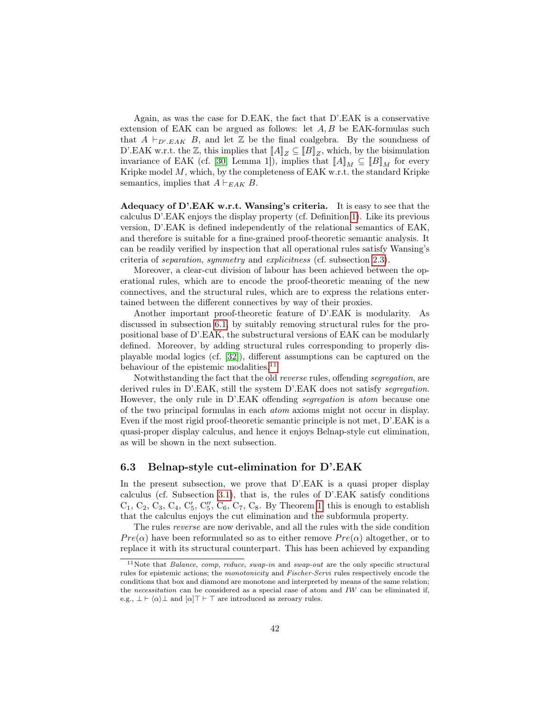Again, as was the case for D.EAK, the fact that D'.EAK is a conservative extension of EAK can be argued as follows: let  $A, B$  be EAK-formulas such that  $A \vdash_{D', EAK} B$ , and let  $\mathbb{Z}$  be the final coalgebra. By the soundness of D'.EAK w.r.t. the  $\mathbb{Z}$ , this implies that  $[[A]]_Z \subseteq [[B]]_Z$ , which, by the bisimulation invariance of EAK (cf. [\[30,](#page-60-0) Lemma 1]), implies that  $[[A]]_M \subseteq [[B]]_M$  for every Kripke model  $M$ , which, by the completeness of EAK w.r.t. the standard Kripke semantics, implies that  $A \vdash_{EAK} B$ .

Adequacy of D'.EAK w.r.t. Wansing's criteria. It is easy to see that the calculus D'.EAK enjoys the display property (cf. Definition [1\)](#page-5-0). Like its previous version, D'.EAK is defined independently of the relational semantics of EAK, and therefore is suitable for a fine-grained proof-theoretic semantic analysis. It can be readily verified by inspection that all operational rules satisfy Wansing's criteria of separation, symmetry and explicitness (cf. subsection [2.3\)](#page-10-0).

Moreover, a clear-cut division of labour has been achieved between the operational rules, which are to encode the proof-theoretic meaning of the new connectives, and the structural rules, which are to express the relations entertained between the different connectives by way of their proxies.

Another important proof-theoretic feature of D'.EAK is modularity. As discussed in subsection [6.1,](#page-32-1) by suitably removing structural rules for the propositional base of D'.EAK, the substructural versions of EAK can be modularly defined. Moreover, by adding structural rules corresponding to properly displayable modal logics (cf. [\[32\]](#page-60-3)), different assumptions can be captured on the behaviour of the epistemic modalities.<sup>[11](#page-41-1)</sup>

Notwithstanding the fact that the old reverse rules, offending segregation, are derived rules in D'.EAK, still the system D'.EAK does not satisfy segregation. However, the only rule in D'.EAK offending segregation is atom because one of the two principal formulas in each atom axioms might not occur in display. Even if the most rigid proof-theoretic semantic principle is not met, D'.EAK is a quasi-proper display calculus, and hence it enjoys Belnap-style cut elimination, as will be shown in the next subsection.

#### <span id="page-41-0"></span>6.3 Belnap-style cut-elimination for D'.EAK

In the present subsection, we prove that D'.EAK is a quasi proper display calculus (cf. Subsection [3.1\)](#page-12-1), that is, the rules of D'.EAK satisfy conditions  $C_1, C_2, C_3, C_4, C'_5, C''_5, C_6, C_7, C_8$ . By Theorem [1,](#page-13-2) this is enough to establish that the calculus enjoys the cut elimination and the subformula property.

The rules reverse are now derivable, and all the rules with the side condition  $Pre(\alpha)$  have been reformulated so as to either remove  $Pre(\alpha)$  altogether, or to replace it with its structural counterpart. This has been achieved by expanding

<span id="page-41-1"></span><sup>&</sup>lt;sup>11</sup>Note that *Balance*, *comp*, *reduce*, *swap-in* and *swap-out* are the only specific structural rules for epistemic actions; the monotonicity and Fischer-Servi rules respectively encode the conditions that box and diamond are monotone and interpreted by means of the same relation; the necessitation can be considered as a special case of atom and  $IW$  can be eliminated if, e.g.,  $\bot \vdash \langle \alpha \rangle \bot$  and  $[\alpha] \top \vdash \top$  are introduced as zeroary rules.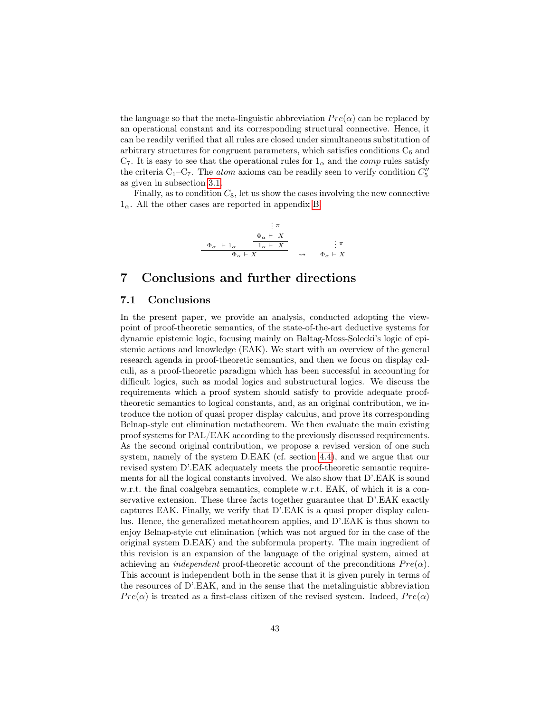the language so that the meta-linguistic abbreviation  $Pre(\alpha)$  can be replaced by an operational constant and its corresponding structural connective. Hence, it can be readily verified that all rules are closed under simultaneous substitution of arbitrary structures for congruent parameters, which satisfies conditions  $C_6$  and  $C_7$ . It is easy to see that the operational rules for  $1_\alpha$  and the *comp* rules satisfy the criteria  $C_1-C_7$ . The *atom* axioms can be readily seen to verify condition  $C_5''$ as given in subsection [3.1.](#page-12-1)

Finally, as to condition  $C_8$ , let us show the cases involving the new connective  $1_{\alpha}$ . All the other cases are reported in appendix [B.](#page-47-0)



## <span id="page-42-0"></span>7 Conclusions and further directions

#### <span id="page-42-1"></span>7.1 Conclusions

In the present paper, we provide an analysis, conducted adopting the viewpoint of proof-theoretic semantics, of the state-of-the-art deductive systems for dynamic epistemic logic, focusing mainly on Baltag-Moss-Solecki's logic of epistemic actions and knowledge (EAK). We start with an overview of the general research agenda in proof-theoretic semantics, and then we focus on display calculi, as a proof-theoretic paradigm which has been successful in accounting for difficult logics, such as modal logics and substructural logics. We discuss the requirements which a proof system should satisfy to provide adequate prooftheoretic semantics to logical constants, and, as an original contribution, we introduce the notion of quasi proper display calculus, and prove its corresponding Belnap-style cut elimination metatheorem. We then evaluate the main existing proof systems for PAL/EAK according to the previously discussed requirements. As the second original contribution, we propose a revised version of one such system, namely of the system D.EAK (cf. section [4.4\)](#page-25-0), and we argue that our revised system D'.EAK adequately meets the proof-theoretic semantic requirements for all the logical constants involved. We also show that D'.EAK is sound w.r.t. the final coalgebra semantics, complete w.r.t. EAK, of which it is a conservative extension. These three facts together guarantee that D'.EAK exactly captures EAK. Finally, we verify that D'.EAK is a quasi proper display calculus. Hence, the generalized metatheorem applies, and D'.EAK is thus shown to enjoy Belnap-style cut elimination (which was not argued for in the case of the original system D.EAK) and the subformula property. The main ingredient of this revision is an expansion of the language of the original system, aimed at achieving an *independent* proof-theoretic account of the preconditions  $Pre(\alpha)$ . This account is independent both in the sense that it is given purely in terms of the resources of D'.EAK, and in the sense that the metalinguistic abbreviation  $Pre(\alpha)$  is treated as a first-class citizen of the revised system. Indeed,  $Pre(\alpha)$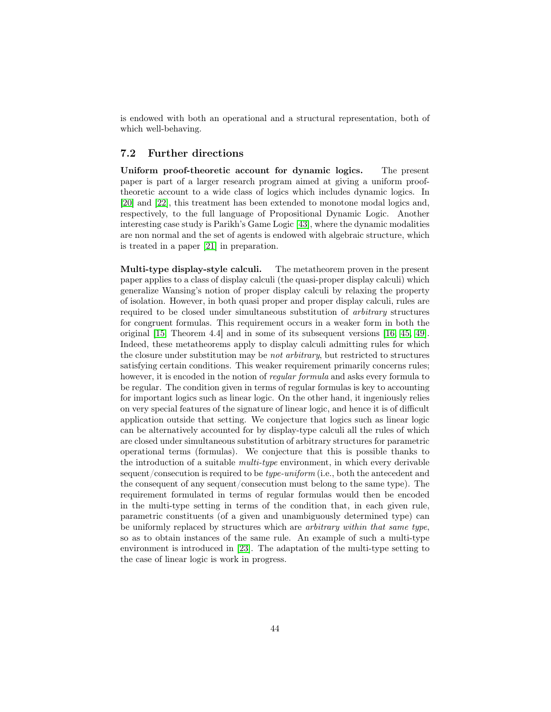is endowed with both an operational and a structural representation, both of which well-behaving.

#### <span id="page-43-0"></span>7.2 Further directions

Uniform proof-theoretic account for dynamic logics. The present paper is part of a larger research program aimed at giving a uniform prooftheoretic account to a wide class of logics which includes dynamic logics. In [\[20\]](#page-59-11) and [\[22\]](#page-59-12), this treatment has been extended to monotone modal logics and, respectively, to the full language of Propositional Dynamic Logic. Another interesting case study is Parikh's Game Logic [\[43\]](#page-60-14), where the dynamic modalities are non normal and the set of agents is endowed with algebraic structure, which is treated in a paper [\[21\]](#page-59-13) in preparation.

Multi-type display-style calculi. The metatheorem proven in the present paper applies to a class of display calculi (the quasi-proper display calculi) which generalize Wansing's notion of proper display calculi by relaxing the property of isolation. However, in both quasi proper and proper display calculi, rules are required to be closed under simultaneous substitution of arbitrary structures for congruent formulas. This requirement occurs in a weaker form in both the original [\[15,](#page-58-1) Theorem 4.4] and in some of its subsequent versions [\[16,](#page-59-4) [45,](#page-61-5) [49\]](#page-61-3). Indeed, these metatheorems apply to display calculi admitting rules for which the closure under substitution may be not arbitrary, but restricted to structures satisfying certain conditions. This weaker requirement primarily concerns rules; however, it is encoded in the notion of *regular formula* and asks every formula to be regular. The condition given in terms of regular formulas is key to accounting for important logics such as linear logic. On the other hand, it ingeniously relies on very special features of the signature of linear logic, and hence it is of difficult application outside that setting. We conjecture that logics such as linear logic can be alternatively accounted for by display-type calculi all the rules of which are closed under simultaneous substitution of arbitrary structures for parametric operational terms (formulas). We conjecture that this is possible thanks to the introduction of a suitable multi-type environment, in which every derivable sequent/consecution is required to be *type-uniform* (i.e., both the antecedent and the consequent of any sequent/consecution must belong to the same type). The requirement formulated in terms of regular formulas would then be encoded in the multi-type setting in terms of the condition that, in each given rule, parametric constituents (of a given and unambiguously determined type) can be uniformly replaced by structures which are arbitrary within that same type, so as to obtain instances of the same rule. An example of such a multi-type environment is introduced in [\[23\]](#page-59-0). The adaptation of the multi-type setting to the case of linear logic is work in progress.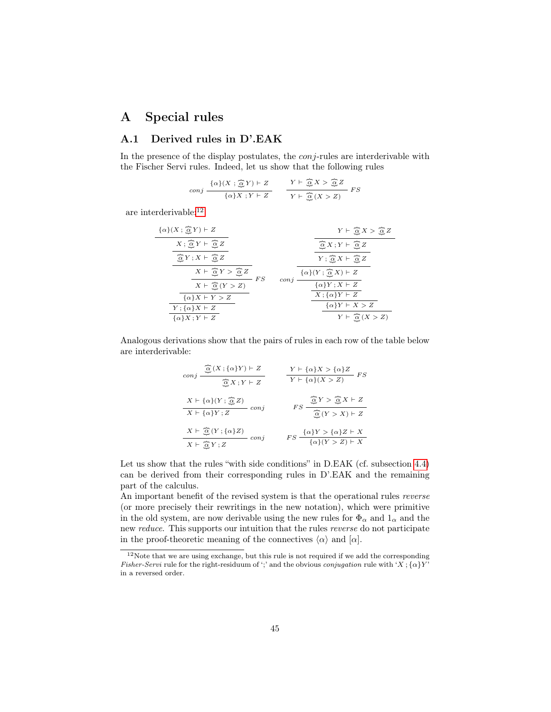## <span id="page-44-0"></span>A Special rules

## <span id="page-44-1"></span>A.1 Derived rules in D'.EAK

In the presence of the display postulates, the *conj*-rules are interderivable with the Fischer Servi rules. Indeed, let us show that the following rules

$$
conj \ \frac{\{\alpha\}(X \ ; \ \widehat{\underline{\alpha}} \ Y) \vdash Z}{\{\alpha\} X \ ; Y \vdash Z} \qquad \frac{Y \vdash \ \widehat{\underline{\alpha}} \ X > \ \widehat{\underline{\alpha}} \ Z}{Y \vdash \ \widehat{\underline{\alpha}} \ (X > Z)} \ FS
$$

are interderivable:  $\rm ^{12}$  $\rm ^{12}$  $\rm ^{12}$ 

$$
\frac{\{\alpha\}(X;\frac{\widehat{\alpha}Y)\vdash Z}{X;\frac{\widehat{\alpha}Y\vdash \widehat{\alpha}Z}{X}}}{\frac{\widehat{\alpha}Y;X\vdash \widehat{\alpha}Z}{X\vdash \widehat{\alpha}Z}}{\frac{X\vdash \widehat{\alpha}Y>\widehat{\alpha}Z}{X\vdash \widehat{\alpha}Z}}
$$
\n
$$
\frac{X\vdash \widehat{\alpha}Y}{X\vdash \widehat{\alpha}(Y>Z)}
$$
\n
$$
\frac{X\vdash \widehat{\alpha}Y>\widehat{\alpha}Z}{X\vdash \widehat{\alpha}(Y>Z)}
$$
\n
$$
\frac{X\vdash \widehat{\alpha}(Y>Z)}{\{\alpha\}X\vdash Y>Z}
$$
\n
$$
\frac{\{\alpha\}(Y;\widehat{\alpha}X\vdash Z)}{X\vdash \{\alpha\}Y\vdash Z}
$$
\n
$$
\frac{\{\alpha\}(Y\vdash Z)}{X\vdash \{\alpha\}Y\vdash Z}
$$
\n
$$
\frac{\{\alpha\}(Y\vdash Z)}{Y\vdash \widehat{\alpha}(X>Z)}
$$

Analogous derivations show that the pairs of rules in each row of the table below are interderivable:

$$
\begin{array}{ccc}\n\hline\n\text{conj} & \frac{\widehat{\mathbb{Q}}(X; \{\alpha\}Y) \vdash Z}{\widehat{\mathbb{Q}}X; Y \vdash Z} & Y \vdash \{\alpha\}X > \{\alpha\}Z \\\\ \hline\nX \vdash \{\alpha\}(Y; \frac{\widehat{\mathbb{Q}}Z}{\widehat{\mathbb{Q}}X; Y \vdash Z} & \text{conj} & FS \\\hline\nX \vdash \{\alpha\}Y; Z & \text{conj} & FS \\\hline\n\frac{X \vdash \widehat{\mathbb{Q}}(Y; \{\alpha\}Z)}{\widehat{\mathbb{Q}}(Y > X) \vdash Z} \\
\hline\nX \vdash \widehat{\mathbb{Q}}(Y; \{\alpha\}Z) & \text{conj} & FS \\\hline\nY \vdash \widehat{\mathbb{Q}}(Y > Z) \vdash X \\
\hline\n\end{array}
$$

Let us show that the rules "with side conditions" in D.EAK (cf. subsection [4.4\)](#page-25-0) can be derived from their corresponding rules in D'.EAK and the remaining part of the calculus.

An important benefit of the revised system is that the operational rules reverse (or more precisely their rewritings in the new notation), which were primitive in the old system, are now derivable using the new rules for  $\Phi_{\alpha}$  and  $1_{\alpha}$  and the new reduce. This supports our intuition that the rules reverse do not participate in the proof-theoretic meaning of the connectives  $\langle \alpha \rangle$  and  $[\alpha]$ .

<span id="page-44-2"></span> $12$ Note that we are using exchange, but this rule is not required if we add the corresponding *Fisher-Servi* rule for the right-residuum of ';' and the obvious *conjugation* rule with 'X;  $\{\alpha\}Y'$ in a reversed order.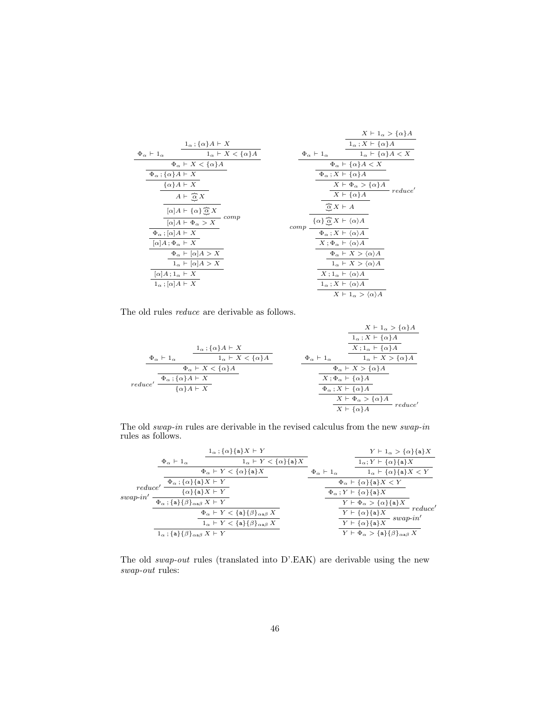|                                          |                                                            |                                                                                  | $X \vdash 1_{\alpha} > {\alpha}A$                     |
|------------------------------------------|------------------------------------------------------------|----------------------------------------------------------------------------------|-------------------------------------------------------|
|                                          | $1_\alpha$ ; { $\alpha$ } $A \vdash X$                     |                                                                                  | $1_\alpha$ ; $X \vdash \{\alpha\}A$                   |
| $\Phi_{\alpha} \vdash 1_{\alpha}$        | $1_{\alpha} \vdash X < \{\alpha\}A$                        | $\Phi_{\alpha} \vdash 1_{\alpha}$                                                | $1_{\alpha}$ + $\{\alpha\}A < X$                      |
|                                          | $\Phi_{\alpha} \vdash X \lt \{\alpha\}A$                   |                                                                                  | $\Phi_{\alpha} \vdash \{\alpha\} A < X$               |
| $\Phi_{\alpha}$ ; $\{\alpha\}A \vdash X$ |                                                            |                                                                                  | $\Phi_{\alpha}$ ; $X \vdash \{\alpha\}A$              |
|                                          | $\{\alpha\}A \vdash X$                                     |                                                                                  | $X \vdash \Phi_{\alpha} > {\alpha} A$<br>reduce'      |
|                                          | $A \vdash \overline{\alpha} X$                             |                                                                                  | $X \vdash \{\alpha\}A$                                |
|                                          | $[\alpha]A \vdash {\alpha} \overline{\hat{\alpha}} X$      | $\alpha X \vdash A$                                                              |                                                       |
|                                          | $-$ comp<br>$\overline{[\alpha]A\vdash \Phi_{\alpha} > X}$ | $\{\alpha\} \stackrel{\frown}{\alpha} X \vdash \langle \alpha \rangle A$<br>comp |                                                       |
| $\Phi_{\alpha}$ ; $[\alpha]A \vdash X$   |                                                            |                                                                                  | $\Phi_{\alpha}$ : $X \vdash \langle \alpha \rangle A$ |
| $[\alpha]A; \Phi_{\alpha} \vdash X$      |                                                            |                                                                                  | $X:\Phi_{\alpha}\vdash \langle \alpha \rangle A$      |
|                                          | $\Phi_{\alpha} \vdash [\alpha] A > X$                      |                                                                                  | $\Phi_{\alpha} \vdash X > \langle \alpha \rangle A$   |
|                                          | $1_{\alpha}$ $\vdash \lbrack \alpha \rbrack A > X$         |                                                                                  | $1_{\alpha} \vdash X > \langle \alpha \rangle A$      |
| $\alpha$ $A$ ; $1_{\alpha}$ $\vdash$ $X$ |                                                            |                                                                                  | $X: 1_{\alpha} \vdash \langle \alpha \rangle A$       |
| $1_{\alpha}$ ; $[\alpha]A \vdash X$      |                                                            |                                                                                  | $1_{\alpha}$ ; $X \vdash \langle \alpha \rangle A$    |
|                                          |                                                            |                                                                                  | $X \vdash 1_{\alpha} > \langle \alpha \rangle A$      |

The old rules reduce are derivable as follows.

|         |                                             |                                       |                                | $X \vdash 1_{\alpha} > {\alpha}A$        |
|---------|---------------------------------------------|---------------------------------------|--------------------------------|------------------------------------------|
|         |                                             |                                       |                                | $1_{\alpha}$ ; $X \vdash \{\alpha\}A$    |
|         |                                             | $1_{\alpha}$ ; $\{\alpha\}A \vdash X$ |                                | $X: 1_{\alpha} \vdash \{\alpha\}A$       |
|         | $\Phi_{\alpha} \vdash 1_{\alpha}$           | $1_{\alpha} \vdash X \lt \{\alpha\}A$ | $\Phi_{\alpha}$ + $1_{\alpha}$ | $1_{\alpha} \vdash X > {\alpha}A$        |
|         |                                             | $\Phi_{\alpha} \vdash X < {\alpha}$   |                                | $\Phi_{\alpha} \vdash X > {\alpha} A$    |
|         | $\Phi_{\alpha}$ ; { $\alpha$ } A $\vdash X$ |                                       |                                | $X; \Phi_{\alpha} \vdash \{\alpha\}A$    |
| reduce' | $\{\alpha\}A \vdash X$                      |                                       |                                | $\Phi_{\alpha}$ ; $X \vdash \{\alpha\}A$ |
|         |                                             |                                       |                                | $X \vdash \Phi_{\alpha} > {\alpha} A$    |
|         |                                             |                                       |                                | reduce'<br>$X \vdash \{\alpha\}A$        |

The old swap-in rules are derivable in the revised calculus from the new swap-in rules as follows.

|                           |                                                                               | $1_{\alpha}$ ; { $\alpha$ }{a}X + Y                                 |                                   | $Y \vdash 1_{\alpha} > {\alpha} {\alpha} X$                                               |  |
|---------------------------|-------------------------------------------------------------------------------|---------------------------------------------------------------------|-----------------------------------|-------------------------------------------------------------------------------------------|--|
|                           | $\Phi_{\alpha} \vdash 1_{\alpha}$                                             | $1_{\alpha}$ $\vdash$ Y $\lt$ { $\alpha$ }{a}X                      |                                   | $1_{\alpha}$ ; $Y \vdash \{\alpha\}\{\mathbf{a}\}X$                                       |  |
|                           |                                                                               | $\Phi_{\alpha}$ $\vdash$ Y $\lt$ { $\alpha$ }{a}X                   | $\Phi_{\alpha} \vdash 1_{\alpha}$ | $1_{\alpha}$ $\vdash \{\alpha\}\{\mathbf{a}\}X < Y$                                       |  |
|                           | $\Phi_\alpha\mathbin{;}\{\alpha\}\{\mathtt{a}\}X\vdash Y$                     |                                                                     |                                   | $\Phi_{\alpha} \vdash \{\alpha\}\{\mathbf{a}\}X < Y$                                      |  |
| reduce'<br>$swap$ - $in'$ | $\{\alpha\}\{\mathbf{a}\}X \vdash Y$                                          |                                                                     |                                   | $\Phi_{\alpha}$ ; $Y \vdash {\alpha} {\{a\}} X$                                           |  |
|                           | $\Phi_{\alpha}$ ; {a}{ $\beta$ } <sub><math>\alpha</math>a</sub> $X \vdash Y$ |                                                                     |                                   | $Y \vdash \Phi_{\alpha} > {\alpha} {\{a\}} X$                                             |  |
|                           |                                                                               | $\Phi_{\alpha} \vdash Y < {\{a\}} {\{\beta\}}_{\alpha} \boxtimes X$ |                                   | reduce'<br>$Y \vdash \{\alpha\}\{\mathsf{a}\}X$                                           |  |
|                           |                                                                               | $1_{\alpha} \vdash Y < \{a\} {\{\beta\}}_{\alpha} \beta X$          |                                   | $swap-in'$<br>$Y \vdash \{\alpha\}\{\mathsf{a}\}X$                                        |  |
|                           | $1_{\alpha}$ ; {a}{ $\beta$ } <sub><math>\alpha</math>a</sub> $X \vdash Y$    |                                                                     |                                   | $Y \vdash \Phi_{\alpha} > {\bf a} {\bf \{\alpha\}} \{\beta\}_{\alpha \mathbf{a} \beta} X$ |  |

The old swap-out rules (translated into D'.EAK) are derivable using the new swap-out rules: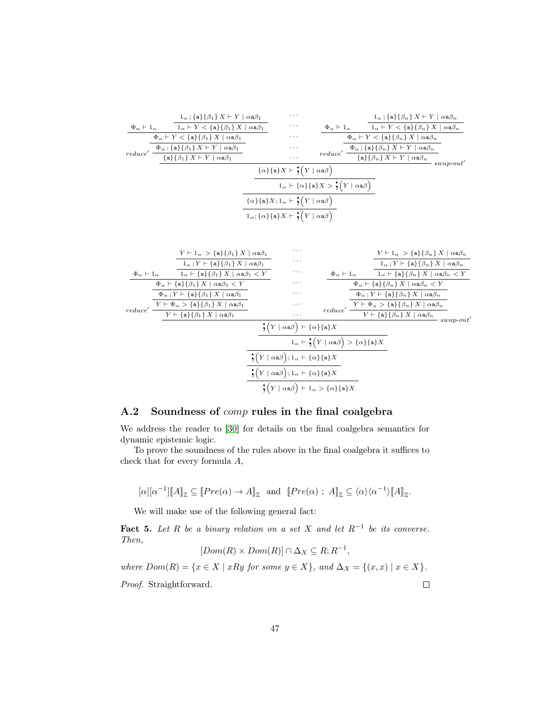

#### <span id="page-46-0"></span>A.2 Soundness of comp rules in the final coalgebra

We address the reader to [\[30\]](#page-60-0) for details on the final coalgebra semantics for dynamic epistemic logic.

To prove the soundness of the rules above in the final coalgebra it suffices to check that for every formula A,

$$
[\alpha][\alpha^{-1}][A]_{\mathbb{Z}} \subseteq [\![Pre(\alpha) \to A]_{\mathbb{Z}} \text{ and } [\![Pre(\alpha) ; A]_{\mathbb{Z}} \subseteq \langle \alpha \rangle \langle \alpha^{-1} \rangle \llbracket A \rrbracket_{\mathbb{Z}}.
$$

We will make use of the following general fact:

<span id="page-46-1"></span>**Fact 5.** Let R be a binary relation on a set X and let  $R^{-1}$  be its converse. Then,

$$
[Dom(R) \times Dom(R)] \cap \Delta_X \subseteq R; R^{-1},
$$

where  $Dom(R) = \{x \in X \mid xRy \text{ for some } y \in X\}$ , and  $\Delta_X = \{(x, x) \mid x \in X\}$ . Proof. Straightforward.  $\Box$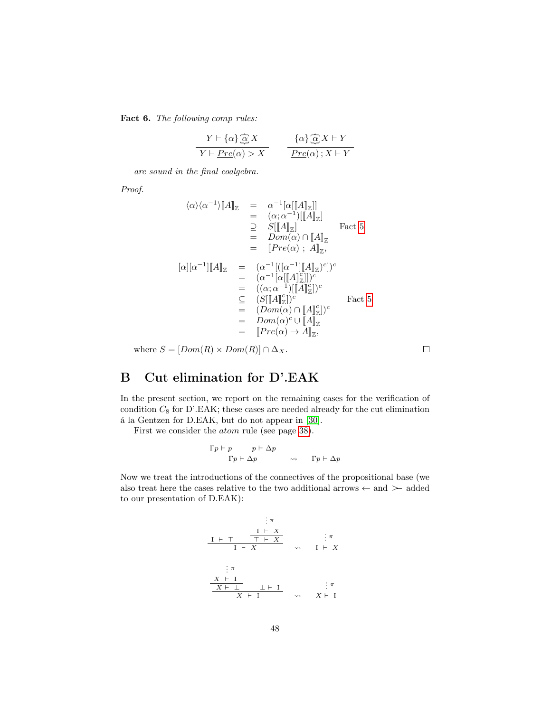Fact 6. The following comp rules:

$$
\frac{Y \vdash \{\alpha\} \overline{\hat{\omega}} X}{Y \vdash \underline{Pre(\alpha)} > X} \qquad \frac{\{\alpha\} \overline{\hat{\omega}} X \vdash Y}{\underline{Pre(\alpha)}; X \vdash Y}
$$

are sound in the final coalgebra.

Proof.

$$
\langle \alpha \rangle \langle \alpha^{-1} \rangle [A]_{\mathbb{Z}} = \alpha^{-1} [\alpha [[A]_{\mathbb{Z}}]]
$$
  
\n
$$
= (\alpha; \alpha^{-1}) [[A]_{\mathbb{Z}}]
$$
  
\n
$$
\supseteq S[[A]_{\mathbb{Z}}]
$$
  
\n
$$
= Dom(\alpha) \cap [A]_{\mathbb{Z}}
$$
  
\n
$$
= [Pre(\alpha) ; A]_{\mathbb{Z}},
$$
  
\n
$$
[\alpha][\alpha^{-1}][A]_{\mathbb{Z}} = (\alpha^{-1} [([\alpha^{-1} [[A]_{\mathbb{Z}}^{\circ})^c])^c]
$$
  
\n
$$
= (\alpha^{-1} [\alpha [[A]_{\mathbb{Z}}^c])^c
$$
  
\n
$$
= ((\alpha; \alpha^{-1}) [[A]_{\mathbb{Z}}^c])^c
$$
  
\n
$$
= (S[[A]_{\mathbb{Z}}^c))^c
$$
  
\n
$$
= (Dom(\alpha) \cap [A]_{\mathbb{Z}}^c)^c
$$
  
\n
$$
= Dom(\alpha)^c \cup [A]_{\mathbb{Z}}^c
$$
  
\n
$$
= [Pre(\alpha) \rightarrow A]_{\mathbb{Z}},
$$

where  $S = [Dom(R) \times Dom(R)] \cap \Delta_X$ .

<span id="page-47-0"></span>B Cut elimination for D'.EAK

In the present section, we report on the remaining cases for the verification of condition  $C_8$  for D'.EAK; these cases are needed already for the cut elimination á la Gentzen for D.EAK, but do not appear in [\[30\]](#page-60-0).

First we consider the atom rule (see page [38\)](#page-36-0).

$$
\begin{array}{c|cc}\n\Gamma p \vdash p & p \vdash \Delta p \\
\hline\n\Gamma p \vdash \Delta p & \leadsto & \Gamma p \vdash \Delta p\n\end{array}
$$

Now we treat the introductions of the connectives of the propositional base (we also treat here the cases relative to the two additional arrows  $\leftarrow$  and  $\leftarrow$  added to our presentation of D.EAK):

$$
\begin{array}{cccc}\n & & \vdots \pi \\
 & & & \underline{I} \vdash X \\
 & & I \vdash X \\
 & & I \vdash X\n\end{array} \quad \rightarrow \quad \begin{array}{c}\n & & \vdots \pi \\
 & & \vdots \pi \\
 & & \downarrow \pi \\
 & & I \vdash X\n\end{array}
$$
\n
$$
\begin{array}{cccc}\n & & \vdots \pi \\
 & & X \vdash 1 \\
 & & X \vdash 1\n\end{array} \quad \rightarrow \quad \begin{array}{c}\n & & \vdots \pi \\
 & & \vdots \pi \\
 & & X \vdash 1\n\end{array}
$$

 $\Box$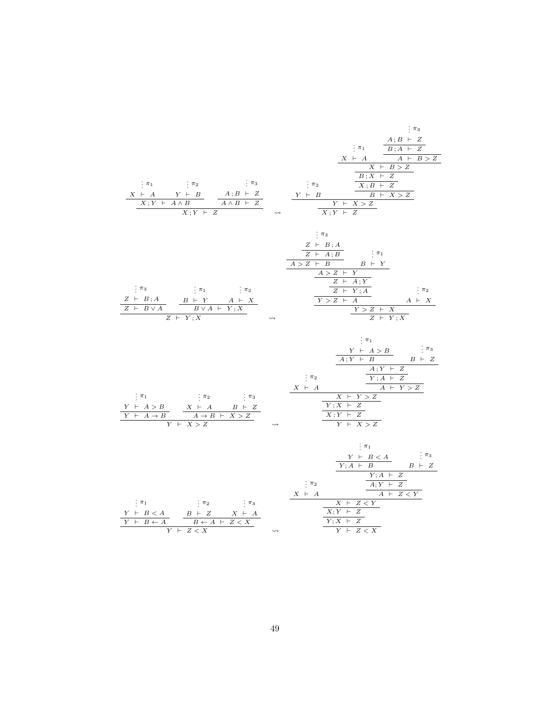. . . π<sup>1</sup> X ` A . . . π<sup>2</sup> Y ` B X ; Y ` A ∧ B . . . π<sup>3</sup> A ; B ` Z A ∧ B ` Z X ; Y ` Z . . . π<sup>2</sup> Y ` B . . . π<sup>1</sup> X ` A . . . π<sup>3</sup> A ; B ` Z B ; A ` Z A ` B > Z X ` B > Z B ; X ` Z X ; B ` Z B ` X > Z Y ` X > Z X ; Y ` Z . . . π<sup>3</sup> Z ` B ; A Z ` B ∨ A . . . π<sup>1</sup> B ` Y . . . π<sup>2</sup> A ` X B ∨ A ` Y ; X Z ` Y ; X . . . π<sup>3</sup> Z ` B ; A Z ` A ; B A > Z ` B . . . π<sup>1</sup> B ` Y A > Z ` Y Z ` A ; Y Z ` Y ; A Y > Z ` A . . . π<sup>2</sup> A ` X Y > Z ` X Z ` Y ; X . . . π<sup>1</sup> Y ` A > B Y ` A → B . . . π<sup>2</sup> X ` A . . . π<sup>3</sup> B ` Z A → B ` X > Z Y ` X > Z . . . π<sup>2</sup> X ` A . . . π<sup>1</sup> Y ` A > B A ; Y ` B . . . π<sup>3</sup> B ` Z A ; Y ` Z Y ; A ` Z A ` Y > Z X ` Y > Z Y ; X ` Z X ; Y ` Z Y ` X > Z . . . π<sup>1</sup> Y ` B < A Y ` B ← A . . . π<sup>2</sup> B ` Z . . . π<sup>3</sup> X ` A B ← A ` Z < X Y ` Z < X . . . π<sup>2</sup> X ` A . . . π<sup>1</sup> Y ` B < A Y ; A ` B . . . π<sup>3</sup> B ` Z Y ; A ` Z A; Y ` Z A ` Z < Y X ` Z < Y X; Y ` Z Y ; X ` Z Y ` Z < X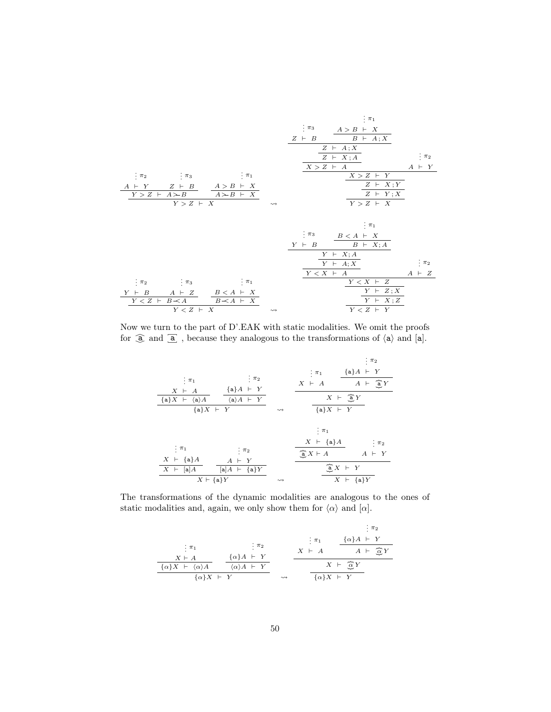. . . π<sup>2</sup> A ` Y . . . π<sup>3</sup> Z ` B Y > Z ` A ∧ B . . . π<sup>1</sup> A > B ` X A ∧ B ` X Y > Z ` X . . . π<sup>3</sup> Z ` B . . . π<sup>1</sup> A > B ` X B ` A ; X Z ` A ; X Z ` X ; A X > Z ` A . . . π<sup>2</sup> A ` Y X > Z ` Y Z ` X ; Y Z ` Y ; X Y > Z ` X . . . π<sup>2</sup> Y ` B . . . π<sup>3</sup> A ` Z Y < Z ` B <sup>∧</sup>A . . . π<sup>1</sup> B < A ` X B <sup>∧</sup>A ` X Y < Z ` X . . . π<sup>3</sup> Y ` B . . . π<sup>1</sup> B < A ` X B ` X; A Y ` X; A Y ` A; X Y < X ` A . . . π<sup>2</sup> A ` Z Y < X ` Z Y ` Z ; X Y ` X ; Z Y < Z ` Y

Now we turn to the part of D'.EAK with static modalities. We omit the proofs for  $\widehat{a}$  and  $\overline{a}$ , because they analogous to the transformations of  $\langle a \rangle$  and  $[a]$ .

|                                              |                                    |                    |                        | : $\pi_2$                         |
|----------------------------------------------|------------------------------------|--------------------|------------------------|-----------------------------------|
|                                              |                                    |                    | $\pi_1$                | ${a}A \vdash Y$                   |
| $\cdot \pi_1$                                | . $\pi_2$<br>${a}A \vdash Y$       |                    | $X \vdash A$           | $A \vdash \mathbf{\widehat{a}} Y$ |
| $X \vdash A$<br>${a}X + \langle a \rangle A$ | $\langle a \rangle A$ $\vdash$ $Y$ |                    |                        | $X$ + $\mathfrak{D}Y$             |
| ${a}X \vdash Y$                              |                                    | $\rightsquigarrow$ | ${a}X \vdash Y$        |                                   |
|                                              |                                    |                    | $\cdot \pi_1$          |                                   |
|                                              |                                    |                    | $X \vdash \{a\}A$      | : $\pi_2$                         |
| $\pi_1$                                      | : $\pi_2$                          |                    | $\bigoplus X \vdash A$ | $A \vdash Y$                      |
| $X \vdash \{a\}A$                            | $A \vdash Y$                       |                    |                        |                                   |
| $X \vdash \lceil a \rceil A$                 | $[a]A \vdash \{a\}Y$               |                    |                        | $\mathfrak{F}X$ + Y               |
| $X \vdash \{a\}Y$                            |                                    | $\rightsquigarrow$ |                        | $X \vdash \{a\}Y$                 |

The transformations of the dynamic modalities are analogous to the ones of static modalities and, again, we only show them for  $\langle \alpha \rangle$  and  $[\alpha]$ .

$$
\begin{array}{cccc}\n & \vdots & \pi_1 & \vdots & \pi_2 \\
 & \vdots & \pi_1 & \vdots & \pi_2 \\
 & X \vdash A & \text{if } \pi_2 \\
 & \hline\n & \text{if } \pi_1 \text{ and } \pi_2 \text{ and } \pi_1 \text{ and } \pi_2 \text{ and } \pi_1 \text{ and } \pi_2 \text{ and } \pi_1 \text{ and } \pi_2 \text{ and } \pi_1 \text{ and } \pi_2 \text{ and } \pi_1 \text{ and } \pi_2 \text{ and } \pi_1 \text{ and } \pi_2 \text{ and } \pi_1 \text{ and } \pi_2 \text{ and } \pi_1 \text{ and } \pi_2 \text{ and } \pi_1 \text{ and } \pi_2 \text{ and } \pi_1 \text{ and } \pi_2 \text{ and } \pi_1 \text{ and } \pi_2 \text{ and } \pi_1 \text{ and } \pi_2 \text{ and } \pi_1 \text{ and } \pi_2 \text{ and } \pi_1 \text{ and } \pi_2 \text{ and } \pi_1 \text{ and } \pi_2 \text{ and } \pi_1 \text{ and } \pi_2 \text{ and } \pi_1 \text{ and } \pi_2 \text{ and } \pi_1 \text{ and } \pi_2 \text{ and } \pi_1 \text{ and } \pi_2 \text{ and } \pi_1 \text{ and } \pi_2 \text{ and } \pi_1 \text{ and } \pi_2 \text{ and } \pi_1 \text{ and } \pi_2 \text{ and } \pi_1 \text{ and } \pi_2 \text{ and } \pi_1 \text{ and } \pi_2 \text{ and } \pi_1 \text{ and } \pi_2 \text{ and } \pi_1 \text{ and } \pi_2 \text{ and } \pi_1 \text{ and } \pi_2 \text{ and } \pi_1 \text{ and } \pi_2 \text{ and } \pi_1 \text{ and } \pi_2 \text{ and } \pi_1 \text{ and } \pi_2 \text{ and } \pi_1 \text{ and } \pi_2 \text{ and } \pi_1 \text{ and } \pi_2 \text{ and } \pi_1 \text{ and } \pi_2 \text{ and } \pi_2 \text{ and } \pi_1 \text{ and } \pi_2 \text{ and } \pi_1 \text{ and } \pi_2 \text{ and } \pi_1 \text{ and } \pi_2 \text{ and } \pi_1 \text{ and } \pi
$$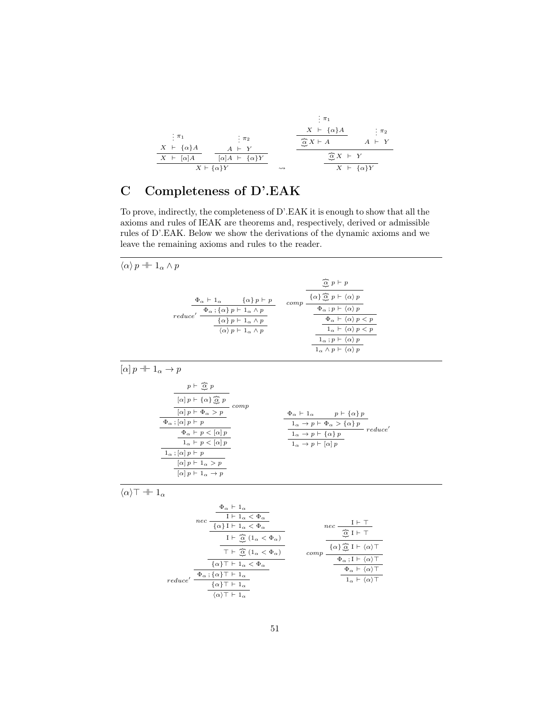|                        |                                                               |                    | $\pi_1$                       |                        |
|------------------------|---------------------------------------------------------------|--------------------|-------------------------------|------------------------|
| $\frac{1}{2}$ $\pi_1$  |                                                               |                    | $X \vdash \{\alpha\}A$        | $\therefore \pi_2$     |
| $X \vdash \{\alpha\}A$ | $\frac{1}{2}$ $\pi_2$<br>$A \vdash Y$                         |                    | $\widehat{\alpha} X \vdash A$ | $A \vdash Y$           |
| $X \vdash [\alpha] A$  | $\lbrack \alpha \rbrack A \rbrack + \lbrack \alpha \rbrack Y$ |                    | $\widehat{\alpha} X + Y$      |                        |
|                        | $X \vdash \{\alpha\}Y$                                        | $\rightsquigarrow$ |                               | $X \vdash \{\alpha\}Y$ |

# <span id="page-50-0"></span>C Completeness of D'.EAK

To prove, indirectly, the completeness of D'.EAK it is enough to show that all the axioms and rules of IEAK are theorems and, respectively, derived or admissible rules of D'.EAK. Below we show the derivations of the dynamic axioms and we leave the remaining axioms and rules to the reader.

| $\langle \alpha \rangle p + 1_{\alpha} \wedge p$                                                                                                                                                                                                                                                                                                                                                                                                                                                                                                                                                                                                |                                                                                                                                                                                                                                                                                                                                                                                                                       |
|-------------------------------------------------------------------------------------------------------------------------------------------------------------------------------------------------------------------------------------------------------------------------------------------------------------------------------------------------------------------------------------------------------------------------------------------------------------------------------------------------------------------------------------------------------------------------------------------------------------------------------------------------|-----------------------------------------------------------------------------------------------------------------------------------------------------------------------------------------------------------------------------------------------------------------------------------------------------------------------------------------------------------------------------------------------------------------------|
| $reduce' \xrightarrow{\begin{tabular}{c} $\Phi_\alpha \vdash 1_\alpha$ & $\{ \alpha \}$ $p \vdash p$ \\ \hline $\Phi_\alpha$ : $\{ \alpha \}$ $p \vdash 1_\alpha \land p$ \\ \hline $\{ \alpha \}$ $p \vdash 1_\alpha \land p$ \\ \hline \end{tabular} } \quad \\ \begin{tabular}{c} $comp \xrightarrow{\begin{tabular}{c} $\{ \alpha \}$ $\widehat{\boxtimes}$ $p \vdash \langle \alpha \rangle $p$ \\ \hline $\Phi_\alpha$ : $p \vdash \langle \alpha \rangle $p$ \\ \hline $\Phi_\alpha \vdash (\alpha) $p$ \\ \hline \end{tabular} } \end{tabular}$<br>$\langle \alpha \rangle p \vdash 1_{\alpha} \wedge p$                                | $\widehat{\alpha}$ $p \vdash p$<br>$\qquad \Phi_\alpha \mathbin{;} p\vdash \langle\alpha\rangle\, p$<br>$\frac{\Phi_{\alpha} + \langle \alpha \rangle p < p}{1 + \langle \alpha \rangle p \langle p \rangle}$<br>$1_{\alpha} \vdash \langle \alpha \rangle p < p$<br>$\frac{1_{\alpha} : p \vdash \langle \alpha \rangle p}{1_{\alpha} \land p \vdash \langle \alpha \rangle p}$                                      |
| $[\alpha] p + 1_\alpha \rightarrow p$<br>$p\,\vdash\, \widehat{\underbar{\alpha}}\ p$<br>$\overline{\frac{[\alpha]\,p\vdash \{\alpha\}\,\overline{\hat{\alpha}}\ p\,}{[\alpha]\,p\vdash \Phi_{\alpha} > p\,}}\;comp$<br>$\Phi_{\alpha}$ ; $[\alpha]$ $p \vdash p$<br>$\Phi_{\alpha}$ $\vdash$ $p$ $\lt$ $[\alpha]$ $p$<br>$\overline{ \left. 1_\alpha \vdash p < [\alpha] \, p }$<br>$1_{\alpha}$ ; $[\alpha]$ $p \vdash p$<br>$[\alpha] p \vdash 1_{\alpha} > p$<br>$\boxed{\alpha}$ $p \vdash 1_{\alpha} \rightarrow p$                                                                                                                       | $\begin{array}{l} \Phi_{\alpha} \vdash \mathbf{1}_{\alpha} \qquad \quad p \vdash \{\alpha\}\, p \\ \dfrac{\mathbf{1}_{\alpha} \to p \vdash \Phi_{\alpha} > \{\alpha\}\, p}{\mathbf{1}_{\alpha} \to p \vdash \{\alpha\}\, p} \quad \  \  \, \textit{reduce'} \end{array}$<br>$\overline{1_{\alpha} \rightarrow p \vdash [\alpha]} p$                                                                                   |
| $\langle \alpha \rangle$ T + $1_{\alpha}$<br>$\label{eq:11} \begin{array}{c} \dfrac{\Phi_\alpha\,\vdash\,\mathbf{1}_\alpha}{\mathbf{I}\,\vdash\,\mathbf{1}_\alpha\,<\,\Phi_\alpha} \\ \hline \{\alpha\}\,\mathbf{I}\,\vdash\,\mathbf{1}_\alpha\,\leq\,\Phi_\alpha \end{array}$<br>I $\vdash \overline{\alpha}$ (1 <sub><math>\alpha</math></sub> $\varphi$ <sub><math>\alpha</math></sub> )<br>$\top \vdash \overline{\hat{\alpha}} \ (1_{\alpha} < \Phi_{\alpha})$<br>$\{\alpha\}$ T + $1_{\alpha} < \Phi_{\alpha}$<br>$reduce' \, \overline{\frac{\Phi_{\alpha} \, ; \{\alpha\} \top \vdash 1_{\alpha}}{\{\alpha\} \top \vdash 1_{\alpha}} }$ | $\displaystyle n e c \; \frac{1 \vdash \; \perp}{\underbrace{\widehat{\alpha}} \; I \vdash \top}$<br>$comp \, \, \overline{ \underbrace{ \, \{ \alpha \} \, \widehat{\underbrace{\alpha}} \, I \vdash \, \langle \alpha \rangle \, \top }_{ \Phi_{\alpha} \, ; \, I \, \vdash \, \langle \alpha \rangle \, \top }$<br>$\Phi_{\alpha} \vdash \langle \alpha \rangle \top$<br>$1_{\alpha}$ + $\langle \alpha \rangle$ T |

 $\langle \alpha \rangle$ T + 1 $_{\alpha}$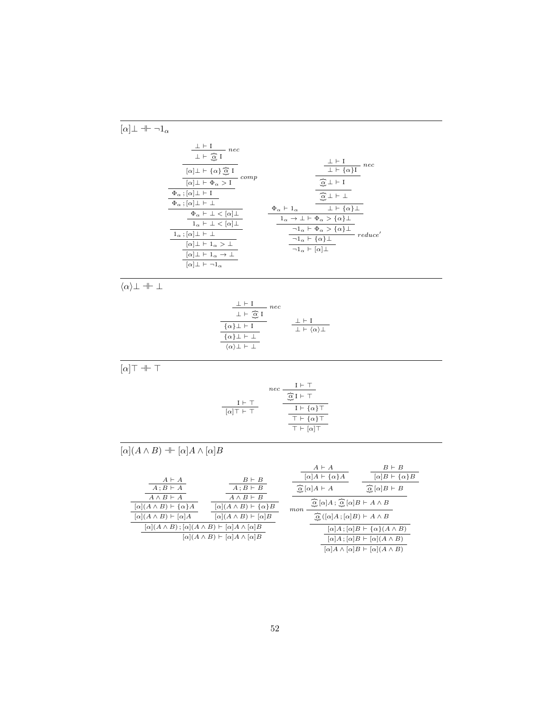$$
[\alpha] \perp + \neg 1_{\alpha}
$$
\n
$$
\frac{\perp \vdash I}{\perp \hat{\alpha} I} \text{ nec\n
$$
\frac{[\alpha] \perp \vdash \{ \alpha \} \hat{\alpha} \perp}_{\text{for } \alpha \neq 1} \text{ compo\n
$$
\frac{\frac{\bot \vdash I}{\alpha] \perp \vdash \{ \alpha \} \hat{\alpha} \perp}_{\text{for } \alpha \neq 1} \text{ compo\n
$$
\frac{\frac{\bot \vdash I}{\alpha \perp \vdash \{ \alpha \} \perp}_{\text{for } \alpha \neq 1} \text{ compo\n
$$
\frac{\frac{\bot \vdash I}{\bot \vdash \{ \alpha \} \perp}_{\text{for } \alpha \neq 1} \text{ conp\n
$$
\frac{\frac{\bot \vdash I}{\bot \vdash \{ \alpha \} \perp}_{\text{for } \alpha \neq 1} \text{ conp\n
$$
\frac{\frac{\bot \vdash I}{\bot \vdash \{ \alpha \} \perp}_{\text{for } \alpha \neq 1} \text{ vec\n
$$
\frac{\frac{\bot \vdash I}{\alpha \perp \vdash \{ \alpha \} \perp}_{\text{for } \alpha \neq 1} \text{ conp\n
$$
\frac{\frac{\bot \vdash I}{\alpha \perp}_{\text{for } \alpha \neq 1} \text{ conp\n
$$
\frac{\frac{\bot \vdash I}{\alpha \perp}_{\text{for } \alpha \neq 1} \text{ vec\n
$$
\frac{\frac{\bot \vdash I}{\alpha \perp}_{\text{for } \alpha \neq 1}}{\frac{\frac{\bot \vdash I}{\alpha \perp}_{\text{for } \alpha \neq 1}}{\frac{\frac{\bot \vdash I}{\alpha \perp}_{\text{for } \alpha \neq 1}}{\frac{\frac{\bot \vdash I}{\alpha \perp}_{\text{for } \alpha \neq 1}}{\frac{\frac{\bot \vdash I}{\alpha \perp}_{\text{for } \alpha \neq 1}}{\frac{\frac{\bot \vdash I}{\alpha \perp}_{\text{for } \alpha \neq 1}}{\frac{\frac{\bot \vdash I}{\alpha \perp}_{
$$
$$
$$
$$
$$
$$
$$
$$
$$
$$
$$

 $\overline{[\alpha]\top \dashv \vdash \top}$ 

$$
\begin{array}{cc|} & nec & \underline{\overbrace{\overbrace{\overline{\alpha}}}\underline{I}\vdash \top} \\ \hline \hline [\alpha]\top \vdash \top & & \underline{\overbrace{\overline{\alpha}}\underline{I}\vdash \top} \\ & & \underline{I}\vdash \{\alpha\}\top \\ & & \underline{\overbrace{\overline{\tau}\vdash \{\alpha\}\top} \\ & \top \vdash [\alpha]\top} \end{array}
$$

 $\bot \vdash \langle \alpha \rangle \bot$ 

 $\{\alpha\} \perp \vdash \perp$  $\langle \alpha \rangle$ ⊥ ⊢ ⊥

 $\overline{[\alpha](A \wedge B)} \dashv \vdash [\alpha] A \wedge [\alpha] B$ 

|                                                                  |                                                                                                                                                 | $A \vdash A$<br>$\lbrack \alpha \rbrack A \vdash \{ \alpha \} A$              | $B \vdash B$<br>$\lbrack \alpha \rbrack B \vdash \{ \alpha \} B$                                               |
|------------------------------------------------------------------|-------------------------------------------------------------------------------------------------------------------------------------------------|-------------------------------------------------------------------------------|----------------------------------------------------------------------------------------------------------------|
| $A \vdash A$<br>$A:B\vdash A$                                    | $B \vdash B$<br>$A: B \vdash B$                                                                                                                 | $\alpha$ [ $\alpha$ ] $A \vdash A$                                            | $\alpha$ [ $\alpha$ ] $B \vdash B$                                                                             |
| $A \wedge B \vdash A$<br>$[\alpha](A \wedge B) \vdash {\alpha}A$ | $A \wedge B \vdash B$<br>$[\alpha](A \wedge B) \vdash {\alpha} B$                                                                               | $\widehat{\alpha}[\alpha]A; \widehat{\alpha}[\alpha]B\vdash A\wedge B$<br>mon |                                                                                                                |
| $[\alpha](A \wedge B) \vdash [\alpha]A$                          | $[\alpha](A \wedge B) \vdash [\alpha]B$                                                                                                         | $\widehat{\alpha}$ ([ $\alpha$ ] $A$ ; [ $\alpha$ ] $B$ ) $\vdash A \wedge B$ |                                                                                                                |
|                                                                  | $[\alpha](A \wedge B)$ ; $[\alpha](A \wedge B) \vdash [\alpha]A \wedge [\alpha]B$<br>$[\alpha](A \wedge B) \vdash [\alpha] A \wedge [\alpha] B$ |                                                                               | $[\alpha]A; [\alpha]B \vdash {\alpha}(A \wedge B)$                                                             |
|                                                                  |                                                                                                                                                 |                                                                               | $[\alpha]A; [\alpha]B \vdash [\alpha](A \wedge B)$<br>$[\alpha]A \wedge [\alpha]B \vdash [\alpha](A \wedge B)$ |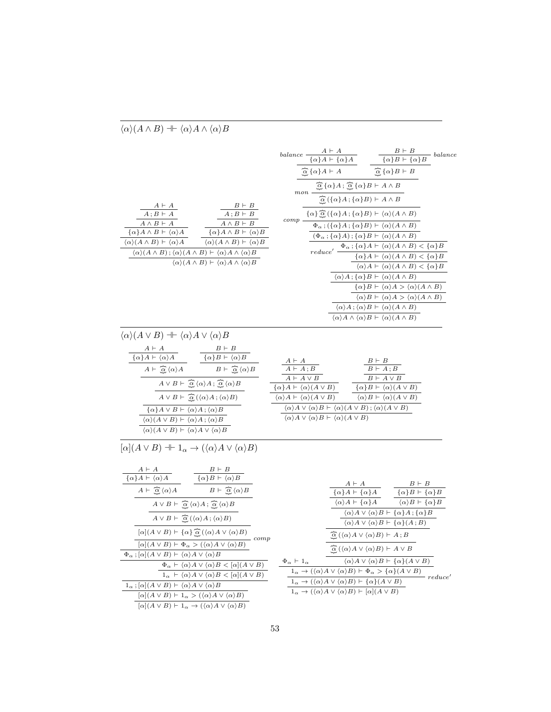| $\begin{array}{c c}\n & B \vdash B \\  \hline\n A \, ; B \vdash B \\  \hline\n A \land B \vdash B\n \end{array}$<br>$\frac{A \vdash A}{A \; ;B \vdash A}$<br>$\overline{A \wedge B} \vdash A$<br>$\frac{\overbrace{\{\alpha\}}A \wedge B \vdash \langle \alpha \rangle A}{\{\alpha\}A \wedge B \vdash \langle \alpha \rangle A}$ $\frac{\overbrace{\{\alpha\}}A \wedge B \vdash \langle \alpha \rangle B}{\{\alpha\}A \wedge B \vdash \langle \alpha \rangle B}$<br>$\langle \alpha \rangle (A \wedge B) \vdash \langle \alpha \rangle A \qquad \quad \langle \alpha \rangle (A \wedge B) \vdash \langle \alpha \rangle B$<br>$\langle \alpha \rangle (A \wedge B)$ ; $\langle \alpha \rangle (A \wedge B)$ $\vdash \langle \alpha \rangle A \wedge \langle \alpha \rangle B$<br>$\langle \alpha \rangle (A \wedge B) \vdash \langle \alpha \rangle A \wedge \langle \alpha \rangle B$                                                                                                                                                                                                                                                                                                                                                                                                                                                                                                                                                                                                                                              | balance $\frac{A \vdash A}{\{\alpha\}A \vdash \{\alpha\}A}$ $\frac{B \vdash B}{\{\alpha\}B \vdash \{\alpha\}B}$ balance<br>$\widehat{\mathcal{Q}}\left\{\alpha\right\} A \vdash A \qquad \qquad \widehat{\mathcal{Q}}\left\{\alpha\right\} B \vdash B$<br>$\cfrac{\overbrace{\alpha}{\alpha}\{\alpha\}A;\overbrace{\alpha}{\alpha}\{\alpha\}B\vdash A\wedge B}{\overbrace{\alpha}{\alpha}\{(\alpha\}A;\{\alpha\}B)\vdash A\wedge B}$<br>$\{\alpha\}\overline{\Omega}\left(\{\alpha\}A\,;\{\alpha\}B\right)\vdash \langle \alpha\rangle(A\wedge B)$<br>$comp -$<br>$\Phi_{\alpha}$ ; ({ $\alpha$ } $\overline{A}$ ; { $\alpha$ } $\overline{B}$ ) $\vdash \langle \alpha \rangle (A \wedge B)$<br>$(\Phi_{\alpha}; {\alpha}A); {\alpha}B \vdash \langle \alpha \rangle(A \wedge B)$<br>$reduce' \begin{array}{c} \Phi_{\alpha}\mathbin{;} \{\alpha\}A\vdash \langle \alpha\rangle(A\wedge B)<\{\alpha\}B \\ \hline \{\alpha\}A\vdash \langle \alpha\rangle(A\wedge B)<\{\alpha\}B \end{array}$<br>$\langle \alpha \rangle A \vdash \langle \alpha \rangle (A \wedge B) < \{ \alpha \} B$<br>$\langle \alpha \rangle A$ ; $\{\alpha\} B \vdash \langle \alpha \rangle (A \wedge B)$<br>$\{\alpha\}B \vdash \langle \alpha \rangle A > \langle \alpha \rangle (A \wedge B)$<br>$\langle \alpha \rangle B \vdash \langle \alpha \rangle A > \langle \alpha \rangle (A \wedge B)$<br>$\langle \alpha \rangle A$ ; $\langle \alpha \rangle B \vdash \langle \alpha \rangle (A \wedge B)$<br>$\langle \alpha \rangle A \wedge \langle \alpha \rangle B \vdash \langle \alpha \rangle (A \wedge B)$ |
|-------------------------------------------------------------------------------------------------------------------------------------------------------------------------------------------------------------------------------------------------------------------------------------------------------------------------------------------------------------------------------------------------------------------------------------------------------------------------------------------------------------------------------------------------------------------------------------------------------------------------------------------------------------------------------------------------------------------------------------------------------------------------------------------------------------------------------------------------------------------------------------------------------------------------------------------------------------------------------------------------------------------------------------------------------------------------------------------------------------------------------------------------------------------------------------------------------------------------------------------------------------------------------------------------------------------------------------------------------------------------------------------------------------------------------------------------------------------------------------------------------------------------------------|---------------------------------------------------------------------------------------------------------------------------------------------------------------------------------------------------------------------------------------------------------------------------------------------------------------------------------------------------------------------------------------------------------------------------------------------------------------------------------------------------------------------------------------------------------------------------------------------------------------------------------------------------------------------------------------------------------------------------------------------------------------------------------------------------------------------------------------------------------------------------------------------------------------------------------------------------------------------------------------------------------------------------------------------------------------------------------------------------------------------------------------------------------------------------------------------------------------------------------------------------------------------------------------------------------------------------------------------------------------------------------------------------------------------------------------------------------------------------------------------------------------------------------------------------------------------------------------------|
| $\langle \alpha \rangle (A \vee B) \dashv \vdash \langle \alpha \rangle A \vee \langle \alpha \rangle B$<br>$\begin{array}{c c}\nA + A \\ \hline\n\frac{A + A}{\{ \alpha \} A + \langle \alpha \rangle A} & \frac{B + B}{\{ \alpha \} B + \langle \alpha \rangle B} \\ \hline\nA + \overline{\hat{\alpha}} \langle \alpha \rangle A & B + \overline{\hat{\alpha}} \langle \alpha \rangle B & A + A \, ; B \\ \hline\n\end{array}$<br>$A \vee B \vdash \widehat{\alpha} \langle \alpha \rangle A$ ; $\widehat{\alpha} \langle \alpha \rangle B$<br>$A \vee B \vdash \widehat{\alpha} (\langle \alpha \rangle A ; \langle \alpha \rangle B)$<br>$\{\alpha\}A \vee B \vdash \langle \alpha \rangle A ; \langle \alpha \rangle B$<br>$\langle \alpha \rangle (A \vee B) \vdash \langle \alpha \rangle A ; \langle \alpha \rangle B$<br>$\langle \alpha \rangle (A \vee B) \vdash \langle \alpha \rangle A \vee \langle \alpha \rangle B$                                                                                                                                                                                                                                                                                                                                                                                                                                                                                                                                                                                                | $\begin{array}{c c}\nA \vdash A \\ \hline\nA \vdash A \, ; B \\ \hline\nA \vdash A \lor B \\ \hline\n\{\alpha\} A \vdash \langle \alpha \rangle (A \lor B) \\ \hline\n\langle \alpha \rangle A \vdash \langle \alpha \rangle (A \lor P) \rangle\n\end{array}\n\qquad\n\begin{array}{c}\nB \vdash B \\ \hline\nB \vdash A \, ; B \\ \hline\nB \vdash A \lor B \\ \hline\n\{\alpha\} B \vdash \langle \alpha \rangle (A \lor B) \\ \hline\n\end{array}$<br>$\langle \alpha \rangle A \vdash \langle \alpha \rangle (A \vee B) \qquad \langle \alpha \rangle B \vdash \langle \alpha \rangle (A \vee B)$<br>$\langle \alpha \rangle A \vee \langle \alpha \rangle B \vdash \langle \alpha \rangle (A \vee B) ; \langle \alpha \rangle (A \vee B)$<br>$\langle \alpha \rangle A \vee \langle \alpha \rangle B \vdash \langle \alpha \rangle (A \vee B)$                                                                                                                                                                                                                                                                                                                                                                                                                                                                                                                                                                                                                                                                                                                                         |
| $[\alpha](A \vee B) \dashv \vdash 1_{\alpha} \rightarrow (\langle \alpha \rangle A \vee \langle \alpha \rangle B)$<br>$\frac{A \vdash A}{\{\alpha\}A \vdash \langle \alpha \rangle A} \qquad \qquad \frac{B \vdash B}{\{\alpha\}B \vdash \langle \alpha \rangle B}$<br>$A \vdash \widehat{\underline{\alpha}} \, \langle \alpha \rangle A \qquad \qquad B \vdash \widehat{\underline{\alpha}} \, \langle \alpha \rangle B$<br>$A \vee B \vdash \widehat{\alpha} \langle \alpha \rangle A$ ; $\widehat{\alpha} \langle \alpha \rangle B$<br>$A \vee B \vdash \widehat{\alpha}(\langle \alpha \rangle A; \langle \alpha \rangle B)$<br>$[\alpha](A \vee B) \vdash {\alpha} \overline{\mathcal{C}} (\langle \alpha \rangle A \vee \langle \alpha \rangle B)$<br>$\equiv$ comp<br>$[\alpha](A \vee B) \vdash \Phi_{\alpha} > (\langle \alpha \rangle A \vee \langle \alpha \rangle B)$<br>$\Phi_{\alpha}$ ; $[\alpha](A \vee B) \vdash \langle \alpha \rangle A \vee \langle \alpha \rangle B$<br>$\Phi_{\alpha} \vdash \langle \alpha \rangle A \vee \langle \alpha \rangle B \langle \alpha   (A \vee B)$<br>$1_{\alpha} \vdash \langle \alpha \rangle A \vee \langle \alpha \rangle B < [\alpha](A \vee B)$<br>$1_{\alpha}$ ; $[\alpha](A \vee B) \vdash \langle \alpha \rangle A \vee \langle \alpha \rangle B$<br>$[\alpha](A \vee B) \vdash 1_{\alpha} > (\langle \alpha \rangle A \vee \langle \alpha \rangle B)$<br>$[\alpha](A \vee B) \vdash 1_{\alpha} \rightarrow (\langle \alpha \rangle A \vee \langle \alpha \rangle B)$ | $\begin{array}{cc} A \vdash A & B \vdash B \\ \hline \{\alpha\}A \vdash \{\alpha\}A & \begin{array}{c} B \vdash B \\ \hline \{\alpha\}B \vdash \{\alpha\}B \end{array} \end{array}$<br>$\overline{\langle \alpha \rangle A \vdash \{\alpha\} A}$ $\overline{\langle \alpha \rangle B \vdash \{\alpha\} B}$<br>$\langle \alpha \rangle A \vee \langle \alpha \rangle B \vdash \{ \alpha \} A ; \{ \alpha \} B$<br>$\langle \alpha \rangle A \vee \langle \alpha \rangle B \vdash \{ \alpha \} (A \, ; B)$<br>$\widehat{\mathcal{Q}}\left( \langle \alpha \rangle A \vee \langle \alpha \rangle B \right) \vdash A; B$<br>$\widehat{\alpha}$ ( $\langle \alpha \rangle A \vee \langle \alpha \rangle B$ ) $\vdash A \vee B$<br>$\langle \alpha \rangle A \vee \langle \alpha \rangle B \vdash \{ \alpha \} (A \vee B)$<br>$\Phi_{\alpha} \vdash 1_{\alpha}$<br>$1_{\alpha} \rightarrow (\langle \alpha \rangle A \vee \langle \alpha \rangle B) \vdash \Phi_{\alpha} > {\alpha \} (A \vee B)$<br>reduce'<br>$1_{\alpha} \rightarrow (\langle \alpha \rangle A \vee \langle \alpha \rangle B) \vdash \{ \alpha \}(A \vee B)$<br>$1_{\alpha} \rightarrow (\langle \alpha \rangle A \vee \langle \alpha \rangle B) \vdash [\alpha](A \vee B)$                                                                                                                                                                                                                                                                                                                                                    |

 $\langle \alpha \rangle (A \wedge B) \dashv \vdash \langle \alpha \rangle A \wedge \langle \alpha \rangle B$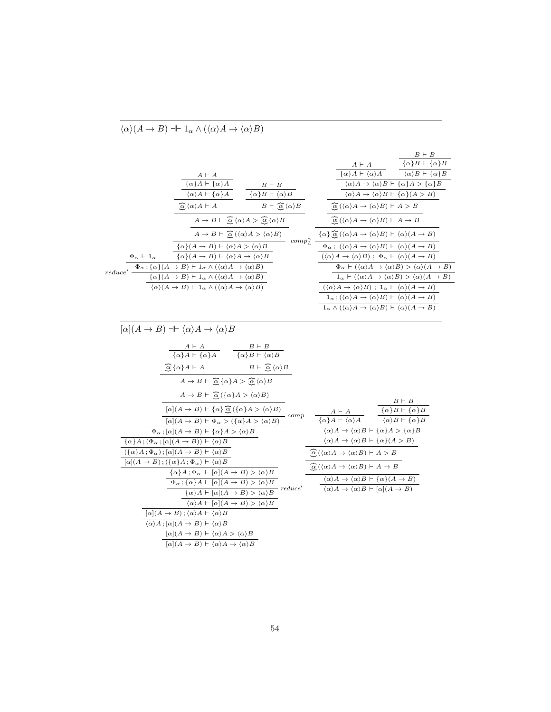|                                                                                                                                                                                                                                                                                                                                         |                                                                                                                                                                                                                                                   |                                                                                                                                                                                                                                                                                                                 | $B \vdash B$                                                                                                                                                          |
|-----------------------------------------------------------------------------------------------------------------------------------------------------------------------------------------------------------------------------------------------------------------------------------------------------------------------------------------|---------------------------------------------------------------------------------------------------------------------------------------------------------------------------------------------------------------------------------------------------|-----------------------------------------------------------------------------------------------------------------------------------------------------------------------------------------------------------------------------------------------------------------------------------------------------------------|-----------------------------------------------------------------------------------------------------------------------------------------------------------------------|
|                                                                                                                                                                                                                                                                                                                                         |                                                                                                                                                                                                                                                   |                                                                                                                                                                                                                                                                                                                 | $\frac{A \vdash A}{\{\alpha\}A \vdash \langle \alpha \rangle A} \qquad \frac{\overline{\{\alpha\}B \vdash \{\alpha\}B}}{\langle \alpha \rangle B \vdash \{\alpha\}B}$ |
|                                                                                                                                                                                                                                                                                                                                         |                                                                                                                                                                                                                                                   |                                                                                                                                                                                                                                                                                                                 |                                                                                                                                                                       |
|                                                                                                                                                                                                                                                                                                                                         | $\begin{array}{c c} & A \vdash A \\ \hline \{\alpha\}A \vdash \{\alpha\}A \\ \hline \langle \alpha \rangle A \vdash \{\alpha\}A \end{array} \qquad \begin{array}{c} B \vdash B \\ \hline \{\alpha\}B \vdash \langle \alpha \rangle B \end{array}$ |                                                                                                                                                                                                                                                                                                                 | $\langle \alpha \rangle A \to \langle \alpha \rangle B \vdash \{\alpha\} A \geq {\alpha\} B$                                                                          |
|                                                                                                                                                                                                                                                                                                                                         |                                                                                                                                                                                                                                                   |                                                                                                                                                                                                                                                                                                                 | $\langle \alpha \rangle A \rightarrow \langle \alpha \rangle B \vdash \{ \alpha \} (A > B)$                                                                           |
| $\alpha \langle \alpha \rangle A \vdash A$                                                                                                                                                                                                                                                                                              | $B \vdash \widehat{\alpha} \langle \alpha \rangle B$                                                                                                                                                                                              | $\alpha (\langle \alpha \rangle A \to \langle \alpha \rangle B) \vdash A > B$                                                                                                                                                                                                                                   |                                                                                                                                                                       |
|                                                                                                                                                                                                                                                                                                                                         | $A \rightarrow B \vdash \widehat{\underline{\alpha}} \, \langle \alpha \rangle A > \widehat{\underline{\alpha}} \, \overline{\langle \alpha \rangle B}$                                                                                           | $\widehat{\alpha}(\langle \alpha \rangle A \to \langle \alpha \rangle B) \vdash A \to B$                                                                                                                                                                                                                        |                                                                                                                                                                       |
| $A \to B \vdash \widehat{\alpha} (\langle \alpha \rangle A > \langle \alpha \rangle B)$                                                                                                                                                                                                                                                 |                                                                                                                                                                                                                                                   |                                                                                                                                                                                                                                                                                                                 |                                                                                                                                                                       |
| $\{\alpha\}(A \to B) \vdash \langle \alpha \rangle A > \langle \alpha \rangle B$                                                                                                                                                                                                                                                        | $-$ comp $_{L}^{\alpha}$ $-$                                                                                                                                                                                                                      | $\frac{\{\alpha\}\bigoplus^{\infty}_{\infty}(\langle \alpha \rangle A \to \langle \alpha \rangle B) \vdash \langle \alpha \rangle(A \to B) \over \Phi_{\alpha} \, ; \; (\langle \alpha \rangle A \to \langle \alpha \rangle B) \vdash \langle \alpha \rangle(A \to B) \over$                                    |                                                                                                                                                                       |
| $\{\alpha\}(A \to B) \vdash \langle \alpha \rangle A \to \langle \alpha \rangle B$                                                                                                                                                                                                                                                      |                                                                                                                                                                                                                                                   | $(\langle \alpha \rangle A \rightarrow \langle \alpha \rangle B); \Phi_{\alpha} \vdash \langle \alpha \rangle (A \rightarrow B)$                                                                                                                                                                                |                                                                                                                                                                       |
| $reduce \begin{picture}(150,140)(-110,0){\line(1,0){10}} \put(110,140){\line(1,0){10}} \put(110,140){\line(1,0){10}} \put(110,140){\line(1,0){10}} \put(110,140){\line(1,0){10}} \put(110,140){\line(1,0){10}} \put(110,140){\line(1,0){10}} \put(110,140){\line(1,0){10}} \put(110,140){\line(1,0){10}} \put(110,140){\line(1,0){10}}$ |                                                                                                                                                                                                                                                   |                                                                                                                                                                                                                                                                                                                 | $\Phi_{\alpha} \vdash (\langle \alpha \rangle A \rightarrow \langle \alpha \rangle B) > \langle \alpha \rangle (A \rightarrow B)$                                     |
|                                                                                                                                                                                                                                                                                                                                         |                                                                                                                                                                                                                                                   |                                                                                                                                                                                                                                                                                                                 | $1_{\alpha} \vdash (\langle \alpha \rangle A \rightarrow \langle \alpha \rangle B) > \langle \alpha \rangle (A \rightarrow B)$                                        |
| $B$ ) $\vdash$ 1 <sub><math>\alpha</math></sub> $\land$ ( $\langle \alpha \rangle A \rightarrow \langle \alpha \rangle B$ )                                                                                                                                                                                                             |                                                                                                                                                                                                                                                   | $(\langle \alpha \rangle A \to \langle \alpha \rangle B); 1_\alpha \vdash \langle \alpha \rangle (A \to B)$                                                                                                                                                                                                     |                                                                                                                                                                       |
|                                                                                                                                                                                                                                                                                                                                         |                                                                                                                                                                                                                                                   | $1_{\alpha}$ ; $(\langle \alpha \rangle A \to \langle \alpha \rangle B) \vdash \langle \alpha \rangle (A \to B)$                                                                                                                                                                                                |                                                                                                                                                                       |
|                                                                                                                                                                                                                                                                                                                                         |                                                                                                                                                                                                                                                   | $1_{\alpha} \wedge (\langle \alpha \rangle A \rightarrow \langle \alpha \rangle B) \vdash \langle \alpha \rangle (A \rightarrow B)$                                                                                                                                                                             |                                                                                                                                                                       |
|                                                                                                                                                                                                                                                                                                                                         |                                                                                                                                                                                                                                                   |                                                                                                                                                                                                                                                                                                                 |                                                                                                                                                                       |
| $[\alpha](A \to B) \dashv \langle \alpha \rangle A \to \langle \alpha \rangle B$                                                                                                                                                                                                                                                        |                                                                                                                                                                                                                                                   |                                                                                                                                                                                                                                                                                                                 |                                                                                                                                                                       |
|                                                                                                                                                                                                                                                                                                                                         |                                                                                                                                                                                                                                                   |                                                                                                                                                                                                                                                                                                                 |                                                                                                                                                                       |
| $\begin{array}{c c}\nA \vdash A \\ \hline\n\{\alpha\}A \vdash \{\alpha\}A\n\end{array}\n\quad\n\begin{array}{c c}\nB \vdash B \\ \hline\n\{\alpha\}B \vdash \langle \alpha \rangle B\n\end{array}$                                                                                                                                      |                                                                                                                                                                                                                                                   |                                                                                                                                                                                                                                                                                                                 |                                                                                                                                                                       |
|                                                                                                                                                                                                                                                                                                                                         | $B \vdash \overline{\alpha} \overline{\langle \alpha \rangle B}$                                                                                                                                                                                  |                                                                                                                                                                                                                                                                                                                 |                                                                                                                                                                       |
| $A \to B \vdash \widehat{\alpha} {\{\alpha\} A > \widehat{\alpha} {\{\alpha\} B}$                                                                                                                                                                                                                                                       |                                                                                                                                                                                                                                                   |                                                                                                                                                                                                                                                                                                                 |                                                                                                                                                                       |
| $A \to B \vdash \widehat{\alpha} (\{\alpha\} A > \langle \alpha \rangle B)$                                                                                                                                                                                                                                                             |                                                                                                                                                                                                                                                   |                                                                                                                                                                                                                                                                                                                 |                                                                                                                                                                       |
| $[\alpha](A \to B) \vdash {\alpha} \overline{\hat{\alpha}}({\alpha}A > \langle \alpha \rangle B)$                                                                                                                                                                                                                                       |                                                                                                                                                                                                                                                   | $\begin{array}{cc} & \quad B \vdash B \\ \hline \{\alpha\}A \vdash \langle \alpha \rangle A \end{array} \quad \begin{array}{c} \begin{array}{c} B \vdash B \\ \hline \{\alpha\}B \vdash \{\alpha\}B \end{array} \\ \hline \begin{array}{c} \langle \alpha \rangle B \vdash \{\alpha\}B \end{array} \end{array}$ |                                                                                                                                                                       |
|                                                                                                                                                                                                                                                                                                                                         | $\sim$ comp                                                                                                                                                                                                                                       |                                                                                                                                                                                                                                                                                                                 |                                                                                                                                                                       |
| $[\alpha](A \rightarrow B) \vdash \Phi_{\alpha} > (\{\alpha\}A > \langle \alpha \rangle B)$                                                                                                                                                                                                                                             |                                                                                                                                                                                                                                                   |                                                                                                                                                                                                                                                                                                                 |                                                                                                                                                                       |
| $\Phi_{\alpha}$ ; [ $\alpha$ ]( $A \to B$ ) $\vdash \{\alpha\}A > \langle \alpha \rangle B$<br>$\{\alpha\}A\,;\,(\Phi_{\alpha}\,;[\alpha](A\rightarrow B))\vdash\overline{\langle\alpha\rangle B}$                                                                                                                                      |                                                                                                                                                                                                                                                   | $\frac{\langle \alpha \rangle A \to \langle \alpha \rangle B \vdash \{ \alpha \} A > \{ \alpha \} B}{\langle \alpha \rangle A \to \langle \alpha \rangle B \vdash \{ \alpha \} (A > B)}$                                                                                                                        |                                                                                                                                                                       |
| $(\{\alpha\}A;\Phi_{\alpha});[\alpha](A\rightarrow B)\vdash \langle \alpha \rangle B$                                                                                                                                                                                                                                                   |                                                                                                                                                                                                                                                   |                                                                                                                                                                                                                                                                                                                 |                                                                                                                                                                       |
| $[\alpha](A \to B)$ ; $(\{\alpha\}A; \Phi_{\alpha}) \vdash \langle \alpha \rangle B$                                                                                                                                                                                                                                                    |                                                                                                                                                                                                                                                   | $\widehat{\alpha}(\langle \alpha \rangle A \to \langle \alpha \rangle B) \vdash A > B$                                                                                                                                                                                                                          |                                                                                                                                                                       |
| $\{\alpha\}A; \Phi_{\alpha} \vdash [\alpha](A \rightarrow B) > \langle \alpha \rangle B$                                                                                                                                                                                                                                                |                                                                                                                                                                                                                                                   | $\widehat{\mathcal{Q}}\left(\langle \alpha \rangle A \to \langle \alpha \rangle B\right) \vdash A \to B$                                                                                                                                                                                                        |                                                                                                                                                                       |
| $\Phi_{\alpha}$ ; { $\alpha$ } A $\vdash [\alpha](A \rightarrow B) > \langle \alpha \rangle B$                                                                                                                                                                                                                                          |                                                                                                                                                                                                                                                   | $\langle \alpha \rangle A \rightarrow \langle \alpha \rangle B \vdash \{ \alpha \} (A \rightarrow B)$                                                                                                                                                                                                           |                                                                                                                                                                       |
|                                                                                                                                                                                                                                                                                                                                         | $\overline{\{\alpha\}A\vdash [\alpha](A\rightarrow B) > \langle \alpha \rangle B} \hspace{2mm} reduce'$                                                                                                                                           | $\overline{\langle \alpha \rangle A \to \langle \alpha \rangle B \vdash [\alpha](A \to B)}$                                                                                                                                                                                                                     |                                                                                                                                                                       |
| $\langle \alpha \rangle A \vdash [\alpha](A \rightarrow B) > \langle \alpha \rangle B$                                                                                                                                                                                                                                                  |                                                                                                                                                                                                                                                   |                                                                                                                                                                                                                                                                                                                 |                                                                                                                                                                       |
| $[\alpha](A \to B); \langle \alpha \rangle A \vdash \langle \alpha \rangle B$                                                                                                                                                                                                                                                           |                                                                                                                                                                                                                                                   |                                                                                                                                                                                                                                                                                                                 |                                                                                                                                                                       |
| $\langle \alpha \rangle A$ ; $[\alpha](A \rightarrow B) \vdash \langle \alpha \rangle B$                                                                                                                                                                                                                                                |                                                                                                                                                                                                                                                   |                                                                                                                                                                                                                                                                                                                 |                                                                                                                                                                       |
| $[\alpha](A \to B) \vdash \langle \alpha \rangle A > \langle \alpha \rangle B$                                                                                                                                                                                                                                                          |                                                                                                                                                                                                                                                   |                                                                                                                                                                                                                                                                                                                 |                                                                                                                                                                       |
| $[\alpha](A \to B) \vdash \langle \alpha \rangle A \to \langle \alpha \rangle B$                                                                                                                                                                                                                                                        |                                                                                                                                                                                                                                                   |                                                                                                                                                                                                                                                                                                                 |                                                                                                                                                                       |
|                                                                                                                                                                                                                                                                                                                                         |                                                                                                                                                                                                                                                   |                                                                                                                                                                                                                                                                                                                 |                                                                                                                                                                       |

 $\overline{\langle \alpha \rangle (A \to B) \dashv \vdash 1_{\alpha} \land (\langle \alpha \rangle A \to \langle \alpha \rangle B)}$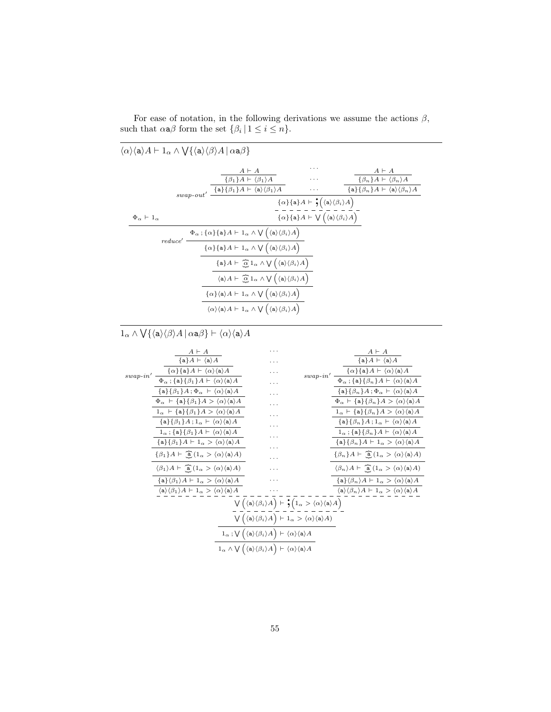| $\langle \alpha \rangle \langle a \rangle A \vdash 1_{\alpha} \wedge \bigvee \{ \langle a \rangle \langle \beta \rangle A \,   \, \alpha a \beta \}$ |                                                                                                                                                                        |                                                                                                                   |                                                                          |  |
|------------------------------------------------------------------------------------------------------------------------------------------------------|------------------------------------------------------------------------------------------------------------------------------------------------------------------------|-------------------------------------------------------------------------------------------------------------------|--------------------------------------------------------------------------|--|
|                                                                                                                                                      | $A \vdash A$<br>$\{\beta_1\}A \vdash \langle \beta_1 \rangle A$                                                                                                        | .<br>$\cdots$                                                                                                     | $A \vdash A$<br>$\{\beta_n\}A \vdash \langle \beta_n \rangle A$          |  |
|                                                                                                                                                      | $swap\text{-}out'\ \frac{\{\mathtt{a}\}\{\beta_1\}A\mathrel{\overline{\vdash}} \langle \mathtt{a} \rangle\langle \beta_1 \rangle A}{\cdot}$                            | $\cdots$                                                                                                          | $\{a\} {\beta_n} A \vdash \langle a \rangle {\langle \beta_n \rangle} A$ |  |
|                                                                                                                                                      |                                                                                                                                                                        | $\{\alpha\}\{\mathsf{a}\}A \vdash \mathsf{\cdot}\bigl(\langle \mathsf{a} \rangle \langle \beta_i \rangle A\bigr)$ |                                                                          |  |
| $\Phi_{\alpha} \vdash 1_{\alpha}$                                                                                                                    |                                                                                                                                                                        | $\{\alpha\}\{\mathtt{a}\}A\vdash \bigvee\Big(\langle \mathtt{a} \rangle \langle \beta_i \rangle A\Big)$           |                                                                          |  |
| reduce'                                                                                                                                              | $\Phi_{\alpha}$ ; { $\alpha$ }{a} $A \vdash 1_{\alpha} \wedge \bigvee (\langle a \rangle \langle \beta_i \rangle A)$                                                   |                                                                                                                   |                                                                          |  |
|                                                                                                                                                      | $\{\alpha\}\{\mathsf{a}\}\{A\vdash 1_\alpha\wedge\bigvee\big(\langle\mathsf{a}\rangle\langle\beta_i\rangle A\big)$                                                     |                                                                                                                   |                                                                          |  |
|                                                                                                                                                      | $\{a\}A \vdash \tilde{\mathcal{Q}} 1_{\alpha} \wedge \bigvee (\langle a \rangle \langle \beta_i \rangle A)$                                                            |                                                                                                                   |                                                                          |  |
|                                                                                                                                                      | $\langle \mathsf{a} \rangle A \vdash \left( \widehat{\alpha} \, 1_{\alpha} \wedge \bigvee \left( \langle \mathsf{a} \rangle \langle \beta_i \rangle A \right) \right)$ |                                                                                                                   |                                                                          |  |
|                                                                                                                                                      | $\{\alpha\}\langle a\rangle A \vdash 1_{\alpha} \wedge \bigvee (\langle a\rangle \langle \beta_i \rangle A)$                                                           |                                                                                                                   |                                                                          |  |
|                                                                                                                                                      | $\langle \alpha \rangle \langle a \rangle A \vdash 1_{\alpha} \wedge \bigvee (\langle a \rangle \langle \beta_i \rangle A)$                                            |                                                                                                                   |                                                                          |  |
|                                                                                                                                                      |                                                                                                                                                                        |                                                                                                                   |                                                                          |  |

For ease of notation, in the following derivations we assume the actions  $\beta$ , such that  $\alpha \mathbf{a} \beta$  form the set  $\{\beta_i \mid 1 \leq i \leq n\}.$ 

#### $1_\alpha \wedge \bigvee \{ \langle \mathtt{a} \rangle \langle \beta \rangle A \, | \, \alpha \mathtt{a} \beta \} \vdash \langle \alpha \rangle \langle \mathtt{a} \rangle A$

|                | $A \vdash A$                                                                                                     |                                                                                                                                                                                                               | $A \vdash A$                                                                                                               |
|----------------|------------------------------------------------------------------------------------------------------------------|---------------------------------------------------------------------------------------------------------------------------------------------------------------------------------------------------------------|----------------------------------------------------------------------------------------------------------------------------|
|                | $\{a\}A \vdash \langle a \rangle A$                                                                              |                                                                                                                                                                                                               | $\{a\}A \vdash \langle a \rangle A$                                                                                        |
|                | $\{\alpha\}\{\mathbf{a}\}\{A \vdash \langle \alpha \rangle \langle \mathbf{a} \rangle A\}$                       | .                                                                                                                                                                                                             | $\{\alpha\}\{\mathbf{a}\}\{A \vdash \langle \alpha \rangle \langle \mathbf{a} \rangle A\}$<br>$\mathit{swap}\text{-}in'$ — |
| $swap$ - $in'$ | $\Phi_{\alpha}$ ; {a} { $\beta_1$ } $A \vdash \langle \alpha \rangle \langle a \rangle A$                        | .                                                                                                                                                                                                             | $\Phi_\alpha$ ; $\{{\tt a}\} \{\beta_n\} A \vdash \langle \alpha \rangle \langle {\tt a} \rangle A$                        |
|                | $\{a\} \{\beta_1\} A$ ; $\Phi_\alpha \vdash \langle \alpha \rangle \langle a \rangle A$                          | .                                                                                                                                                                                                             | $\{a\} {\beta_n} A; \Phi_\alpha \vdash \langle \alpha \rangle \langle \mathsf{a} \rangle A$                                |
|                | $\Phi_{\alpha} \vdash {\mathsf{a}} {\mathsf{B}} {\mathsf{B}}_1$ $A > \langle \alpha \rangle {\mathsf{a}} A$      | .                                                                                                                                                                                                             | $\Phi_{\alpha} \vdash \{\mathsf{a}\}\{\beta_n\}A > \langle \alpha \rangle \langle \mathsf{a} \rangle A$                    |
|                | $1_\alpha \ \,\,\vdash\, \{\mathtt{a}\} \{\beta_1\} A > \langle \alpha \rangle \langle \mathtt{a} \rangle A$     | .                                                                                                                                                                                                             | $1_\alpha \vdash \{\mathtt{a}\} \{\beta_n\} A > \langle \alpha \rangle \langle \mathtt{a} \rangle A$                       |
|                | $\{a\} {\beta_1} A$ ; $1_\alpha \vdash \langle \alpha \rangle \langle a \rangle A$                               | .                                                                                                                                                                                                             | $\{a\} {\beta_n} A; 1_\alpha \vdash \langle \alpha \rangle \langle a \rangle A$                                            |
|                | $1_{\alpha}$ ; {a} { $\beta_1$ } $A \vdash \langle \alpha \rangle \langle a \rangle A$                           | .                                                                                                                                                                                                             | $1_{\alpha}$ ; {a} { $\beta_n$ } $A \vdash \langle \alpha \rangle \langle a \rangle A$                                     |
|                | $\{a\} {\beta_1} A \vdash 1_\alpha > \langle \alpha \rangle \langle a \rangle A$                                 | .                                                                                                                                                                                                             | $\{a\} {\beta_n} A \vdash 1_\alpha > \langle \alpha \rangle \langle a \rangle A$                                           |
|                | $\{\beta_1\}A \vdash \tilde{a}(1_\alpha > \langle \alpha \rangle \langle a \rangle A)$                           | .                                                                                                                                                                                                             | $\{\beta_n\}A \vdash \tilde{a}(1_\alpha > \langle \alpha \rangle \langle a \rangle A)$                                     |
|                | $\langle \beta_1 \rangle A \vdash \tilde{a} (1_\alpha > \langle \alpha \rangle \langle a \rangle A)$             | .                                                                                                                                                                                                             | $\langle \beta_n \rangle A \vdash \widehat{\mathbf{a}}\, (1_\alpha > \langle \alpha \rangle \langle \mathbf{a} \rangle A)$ |
|                | $\{\mathbf{a}\}\langle \beta_1 \rangle A \vdash 1_\alpha > \langle \alpha \rangle \langle \mathbf{a} \rangle A$  | .                                                                                                                                                                                                             | $\{a\} \langle \beta_n \rangle A \vdash 1_\alpha > \langle \alpha \rangle \langle a \rangle A$                             |
|                | $\langle a \rangle \langle \beta_1 \rangle A \vdash 1_\alpha \rangle \langle \alpha \rangle \langle a \rangle A$ |                                                                                                                                                                                                               | $\langle a \rangle \langle \beta_n \rangle A \vdash 1_\alpha > \langle \alpha \rangle \langle a \rangle A$                 |
|                |                                                                                                                  | $\bigvee \Big( \langle \mathtt{a} \rangle \langle \beta_i \rangle A \Big) \vdash \mathbin{\raisebox{1.5pt}{\text{\circle*{1.5}}}} \big( 1_\alpha > \langle \alpha \rangle \langle \mathtt{a} \rangle A \Big)$ |                                                                                                                            |
|                |                                                                                                                  | $\bigvee (\langle a \rangle \langle \beta_i \rangle A) \vdash 1_\alpha > \langle \alpha \rangle \langle a \rangle A)$                                                                                         |                                                                                                                            |
|                |                                                                                                                  | $1_{\alpha}$ ; $\bigvee \big( \langle a \rangle \langle \beta_i \rangle A \big) \vdash \langle \alpha \rangle \langle a \rangle A$                                                                            |                                                                                                                            |
|                |                                                                                                                  | $1_{\alpha} \wedge \bigvee (\langle a \rangle \langle \beta_i \rangle A) \vdash \langle \alpha \rangle \langle a \rangle A$                                                                                   |                                                                                                                            |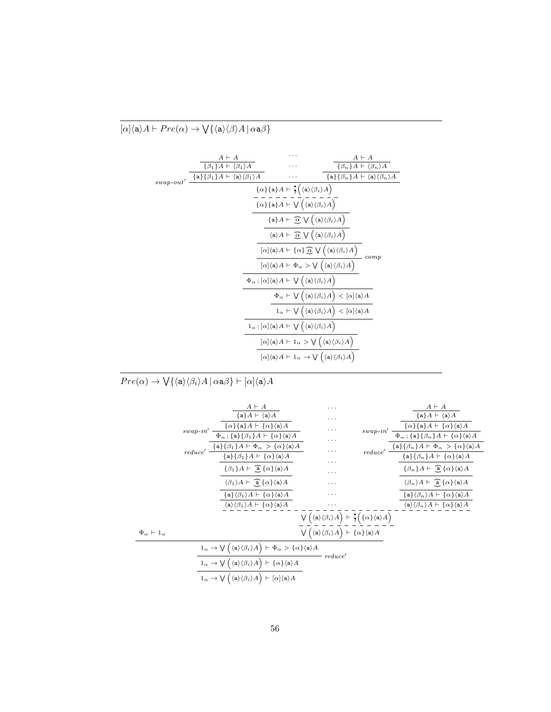### $[\alpha] \langle a \rangle A \vdash Pre(\alpha) \rightarrow \bigvee \{ \langle a \rangle \langle \beta \rangle A \, | \, \alpha a \beta \}$

|              | $A \vdash A$                                                                               |                                                                                                                                       | $A \vdash A$                                                                             |
|--------------|--------------------------------------------------------------------------------------------|---------------------------------------------------------------------------------------------------------------------------------------|------------------------------------------------------------------------------------------|
|              | $\{\beta_1\}A \vdash \langle \beta_1 \rangle A$                                            |                                                                                                                                       | $\{\beta_n\}A \vdash \langle \beta_n \rangle A$                                          |
| $swap$ -out' | $\{\mathtt{a}\} \{\beta_1\} A \vdash \langle \mathtt{a} \rangle \langle \beta_1 \rangle A$ |                                                                                                                                       | $\{\mathsf{a}\}\{\beta_n\}A \vdash \langle \mathsf{a} \rangle \langle \beta_n \rangle A$ |
|              |                                                                                            | $\{\alpha\}\{\mathtt{a}\}A\vdash \mathbf{\dot{y}}\big(\langle\mathtt{a}\rangle\langle\beta_i\rangle A\big)$                           |                                                                                          |
|              |                                                                                            | $\{\alpha\}\{\mathsf{a}\}A \vdash \bigvee \big(\langle \mathsf{a} \rangle \langle \beta_i \rangle A\big)$                             |                                                                                          |
|              |                                                                                            | ${a} A \vdash \tilde{\alpha} \bigvee (\langle a \rangle \langle \beta_i \rangle A)$                                                   |                                                                                          |
|              |                                                                                            | $\langle a \rangle A \vdash \widehat{\alpha} \bigvee (\langle a \rangle \langle \beta_i \rangle A)$                                   |                                                                                          |
|              |                                                                                            | $[\alpha] \langle a \rangle A \vdash \{\alpha\} \overline{\hat{\alpha}} \bigvee (\langle a \rangle \langle \beta_i \rangle A)$        | $_{comp}$                                                                                |
|              |                                                                                            | $[\alpha] \langle a \rangle A \vdash \Phi_{\alpha} > \bigvee (\langle a \rangle \langle \beta_i \rangle A)$                           |                                                                                          |
|              |                                                                                            | $\Phi_{\alpha}$ ; $[\alpha]\langle a \rangle A \vdash \bigvee (\langle a \rangle \langle \beta_i \rangle A)$                          |                                                                                          |
|              |                                                                                            | $\Phi_\alpha \vdash \bigvee \Big( \langle \mathtt{a} \rangle \langle \beta_i \rangle A \Big) < [\alpha] \langle \mathtt{a} \rangle A$ |                                                                                          |
|              |                                                                                            | $1_{\alpha} \vdash \bigvee (\langle a \rangle \langle \beta_i \rangle A) < [\alpha] \langle a \rangle A$                              |                                                                                          |
|              |                                                                                            | $1_{\alpha}$ ; $[\alpha]\langle a \rangle A \vdash \bigvee (\langle a \rangle \langle \beta_i \rangle A)$                             |                                                                                          |
|              |                                                                                            | $[\alpha] \langle a \rangle A \vdash 1_{\alpha} > \bigvee (\langle a \rangle \langle \beta_i \rangle A)$                              |                                                                                          |
|              |                                                                                            | $[\alpha] \langle a \rangle A \vdash 1_{\alpha} \rightarrow \bigvee (\langle a \rangle \langle \beta_i \rangle A)$                    |                                                                                          |

 $Pre (\alpha ) \rightarrow \bigvee \{ \langle {\tt a} \rangle \langle \beta_i \rangle A \, | \, \alpha{\tt a} \beta \} \vdash [\alpha] \langle {\tt a} \rangle A$ 

|                                   | $A \vdash A$                                                                                                                                                                                  | .                                                                                                                   |  | $A \vdash A$                                                                                                                                                                       |
|-----------------------------------|-----------------------------------------------------------------------------------------------------------------------------------------------------------------------------------------------|---------------------------------------------------------------------------------------------------------------------|--|------------------------------------------------------------------------------------------------------------------------------------------------------------------------------------|
|                                   | $\{a\}A \vdash \langle a \rangle A$                                                                                                                                                           | .                                                                                                                   |  | ${a}A \vdash \langle a \rangle A$                                                                                                                                                  |
|                                   | $swap\text{-}in'\ \frac{\{\alpha\}\{\mathtt{a}\}A \vdash \{\alpha\}\langle \mathtt{a}\rangle A}{\Phi_\alpha \; ; \; \{\mathtt{a}\}\{\beta_1\}A \vdash \{\alpha\}\langle \mathtt{a}\rangle A}$ | .                                                                                                                   |  | $swap\text{-}in'\ \frac{\{\alpha\}\{\mathtt a\}A\vdash \{\alpha\}\langle \mathtt a\rangle A}{\Phi_\alpha\ ; \{\mathtt a\}\{\beta_n\}A\vdash \{\alpha\}\langle \mathtt a\rangle A}$ |
|                                   |                                                                                                                                                                                               | .                                                                                                                   |  |                                                                                                                                                                                    |
|                                   | $reduce' \ \frac{\{a\}\{\beta_1\}A \vdash \Phi_\alpha \ > \{\alpha\}\langle a \rangle A}{\{a\}\{\beta_1\}A \vdash \{\alpha\}\langle a \rangle A}$                                             | .                                                                                                                   |  | $reduce' \ \frac{\{a\}\{\beta_n\}A \vdash \Phi_\alpha \ > \{\alpha\}\langle a \rangle A}{\{a\}\{\beta_n\}A \vdash \{\alpha\}\langle a \rangle A}$                                  |
|                                   |                                                                                                                                                                                               | .                                                                                                                   |  |                                                                                                                                                                                    |
|                                   | $\{\beta_1\}A \vdash \widehat{a}\{\alpha\}\langle a \rangle A$                                                                                                                                | .                                                                                                                   |  | $\{\beta_n\}A \vdash \widehat{a}\{\alpha\}\langle a \rangle A$                                                                                                                     |
|                                   | $\langle \beta_1 \rangle A \vdash \hat{a} \{ \alpha \} \langle a \rangle A$                                                                                                                   | .                                                                                                                   |  | $\langle \beta_n \rangle A \vdash \widehat{a} \{ \alpha \} \langle a \rangle A$                                                                                                    |
|                                   | $\{a\}(\beta_1)A \vdash \{\alpha\} \langle a \rangle A$                                                                                                                                       | .                                                                                                                   |  | $\{a\} \langle \beta_n \rangle A \vdash \{\alpha\} \langle a \rangle A$                                                                                                            |
|                                   | $\langle a \rangle \langle \beta_1 \rangle A \vdash \{ \alpha \} \langle a \rangle A$                                                                                                         | .                                                                                                                   |  | $\langle a \rangle \langle \beta_n \rangle A \vdash \{ \alpha \} \langle a \rangle A$                                                                                              |
|                                   |                                                                                                                                                                                               | $\bigvee (\langle a \rangle \langle \beta_i \rangle A) \vdash \mathbf{S} (\{\alpha\} \langle a \rangle A)$          |  |                                                                                                                                                                                    |
| $\Phi_{\alpha} \vdash 1_{\alpha}$ |                                                                                                                                                                                               | $\bigvee \Big( \langle {\tt a} \rangle \langle \beta_i \rangle A \Big) \vdash \{\alpha\} \langle {\tt a} \rangle A$ |  |                                                                                                                                                                                    |
|                                   | $1_{\alpha} \rightarrow \bigvee (\langle a \rangle \langle \beta_i \rangle A \big) \vdash \Phi_{\alpha} > \{\alpha\} \langle a \rangle A$                                                     |                                                                                                                     |  |                                                                                                                                                                                    |
|                                   | reduce'<br>$1_{\alpha} \rightarrow \bigvee \left( \langle {\tt a} \rangle \langle \beta_i \rangle A \right) \vdash \{\alpha\} \langle {\tt a} \rangle A$                                      |                                                                                                                     |  |                                                                                                                                                                                    |
|                                   | $1_{\alpha} \rightarrow \bigvee \big( \langle \mathsf{a} \rangle \langle \beta_i \rangle A \big) \vdash [\alpha] \langle \mathsf{a} \rangle A$                                                |                                                                                                                     |  |                                                                                                                                                                                    |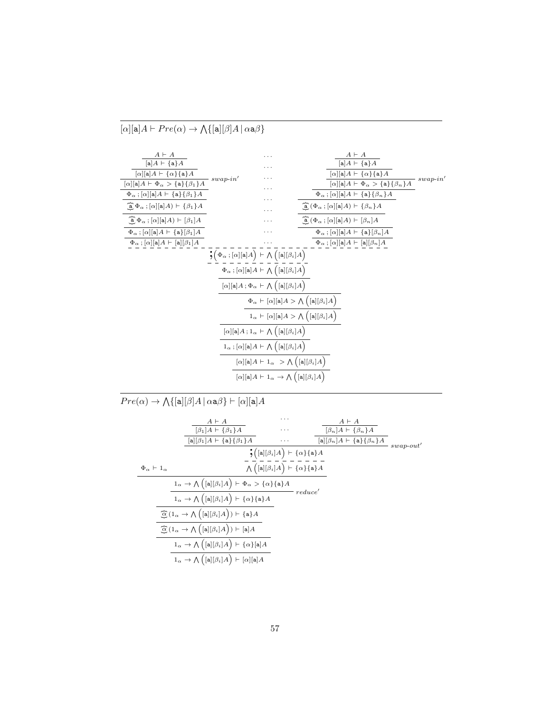| $A \vdash A$                                                                  |             |                                                                                                                              | $A \vdash A$                                                                                            |             |
|-------------------------------------------------------------------------------|-------------|------------------------------------------------------------------------------------------------------------------------------|---------------------------------------------------------------------------------------------------------|-------------|
| $[a]A \vdash \{a\}A$                                                          |             |                                                                                                                              | $[a]A \vdash \{a\}A$                                                                                    |             |
| $[\alpha][\mathtt{a}]A \vdash \{\alpha\}\{\mathtt{a}\}A$                      | $swap$ -in' |                                                                                                                              | $[\alpha][a]A \vdash {\alpha}{a}A$                                                                      | $swap$ -in' |
| $[\alpha][a]A \vdash \Phi_{\alpha} > {\{a\}}{\{\beta_1\}}A$                   |             |                                                                                                                              | $[\alpha][a]A \vdash \Phi_{\alpha} > {\{a\}}{\{\beta_n\}}A$                                             |             |
| $\Phi_{\alpha}$ ; [ $\alpha$ ][a] $A \vdash \{\mathsf{a}\}\{\beta_1\}A$       |             |                                                                                                                              | $\Phi_{\alpha}$ ; [ $\alpha$ ][a] $A \vdash \{\mathsf{a}\}\{\beta_n\}A$                                 |             |
| $\mathbf{a} \Phi_{\alpha}$ ; $[\alpha][\mathbf{a}]A$ + $\{\beta_1\}A$         |             |                                                                                                                              | $\boxed{\mathtt{a}}\left(\Phi_{\alpha}\,;\left[\alpha\right]\![\mathtt{a}]A\right)\vdash\{\beta_{n}\}A$ |             |
| $\widehat{a} \Phi_{\alpha}$ ; $[\alpha][a]A$ ) $\vdash [\beta_1]A$            |             |                                                                                                                              | $\widehat{a}(\Phi_{\alpha} ; [\alpha][a]A) \vdash [\beta_n]A$                                           |             |
| $\Phi_{\alpha}$ ; [ $\alpha$ ][a] $A \vdash \{\mathbf{a}\}$ [ $\beta_1$ ] $A$ |             |                                                                                                                              | $\Phi_{\alpha}$ ; $[\alpha][a]A \vdash {\{a\}}[\beta_n]A$                                               |             |
| $\Phi_{\alpha}$ ; [ $\alpha$ ][a] $A \vdash$ [a][ $\beta_1$ ] $A$             |             |                                                                                                                              | $\Phi_{\alpha}$ ; $[\alpha][a]A \vdash [a][\beta_n]A$                                                   |             |
|                                                                               |             | $\frac{1}{2} \Bigl( \Phi_{\alpha} \: ; [\alpha][\mathtt{a}] A \Bigr) \vdash \bigwedge \Bigl( [\mathtt{a}][\beta_i] A \Bigr)$ |                                                                                                         |             |
|                                                                               |             | $\Phi_{\alpha}$ ; $[\alpha][a]A \vdash \bigwedge ([a][\beta_i]A)$                                                            |                                                                                                         |             |
|                                                                               |             | $[\alpha][\mathsf{a}]A; \Phi_\alpha \vdash \bigwedge ([\mathsf{a}][\beta_i]A)$                                               |                                                                                                         |             |
|                                                                               |             |                                                                                                                              | $\Phi_{\alpha} \vdash [\alpha][\mathsf{a}]A > \bigwedge ([\mathsf{a}][\beta_i]A)$                       |             |
|                                                                               |             |                                                                                                                              | $1_{\alpha} \vdash [\alpha][\mathsf{a}]A > \bigwedge ([\mathsf{a}][\beta_i]A)$                          |             |
|                                                                               |             | $[\alpha][\mathtt{a}]A$ ; $1_\alpha\vdash\bigwedge\Big([\mathtt{a}][\beta_i]A\Big)$                                          |                                                                                                         |             |
|                                                                               |             | $1_\alpha$ ; $[\alpha][\mathsf{a}]A \vdash \bigwedge ([\mathsf{a}][\beta_i]A)$                                               |                                                                                                         |             |
|                                                                               |             | $[\alpha][\mathsf{a}]A \vdash 1_\alpha \ \gt \bigwedge ([\mathsf{a}][\beta_i]A)$                                             |                                                                                                         |             |
|                                                                               |             | $[\alpha][a]A \vdash 1_{\alpha} \rightarrow \bigwedge ([a][\beta_i]A)$                                                       |                                                                                                         |             |

 $Pre(\alpha) \rightarrow \bigwedge \{ [\mathtt{a}][\beta] A \, | \, \alpha \mathtt{a} \beta \} \vdash [\alpha][\mathtt{a}] A$ 

|                                   | $A \vdash A$                                                                                                                              | .                                                                             | $A \vdash A$ |                                          |              |
|-----------------------------------|-------------------------------------------------------------------------------------------------------------------------------------------|-------------------------------------------------------------------------------|--------------|------------------------------------------|--------------|
|                                   | $\beta_1$  A + $\{\beta_1\}$ A                                                                                                            | $\cdots$                                                                      |              | $\beta_n   A \vdash \{\beta_n\} A$       |              |
|                                   | $[a][\beta_1]A \vdash \{a\}\{\beta_1\}A$                                                                                                  | .                                                                             |              | $[a][\beta_n]A \vdash \{a\}\{\beta_n\}A$ | $swap$ -out' |
|                                   |                                                                                                                                           | $\frac{1}{2}([\mathtt{a}][\beta_i]A) \vdash \{\alpha\}\{\mathtt{a}\}A$        |              |                                          |              |
| $\Phi_{\alpha} \vdash 1_{\alpha}$ |                                                                                                                                           | $\bigwedge \Big([\mathtt{a}][\beta_i]A\Big) \vdash \{\alpha\}\{\mathtt{a}\}A$ |              |                                          |              |
|                                   | $1_{\alpha} \rightarrow \bigwedge (\lbrack \texttt{a} \rbrack [\beta_i] A \rbrack + \Phi_{\alpha} > {\alpha} {\abrack \{ \texttt{a} \} A$ |                                                                               |              |                                          |              |
|                                   | $1_{\alpha} \rightarrow \bigwedge ( [a][\beta_i]A \big) \vdash \{\alpha\}\{a\}A$                                                          | reduce'                                                                       |              |                                          |              |
|                                   | $\widehat{\mathcal{L}}\left(1_{\alpha}\rightarrow\bigwedge\left([\mathtt{a}][\beta_{i}]A\right)\right)\vdash\{\mathtt{a}\}A$              |                                                                               |              |                                          |              |
|                                   | $\widehat{\mathcal{L}}\left(1_{\alpha}\rightarrow\bigwedge\left([\mathtt{a}][\beta_{i}]A\right)\right)\vdash[\mathtt{a}]A$                |                                                                               |              |                                          |              |
|                                   | $1_{\alpha} \rightarrow \bigwedge (\lbrack a \rbrack [\beta_i]A \rbrack + \{\alpha\} \lbrack a]A$                                         |                                                                               |              |                                          |              |
|                                   | $1_{\alpha} \rightarrow \bigwedge ( [a][\beta_i]A \big) \vdash [\alpha][a]A$                                                              |                                                                               |              |                                          |              |

 $[\alpha][\mathsf{a}]A \vdash Pre(\alpha) \rightarrow \bigwedge \{[\mathsf{a}][\beta]A \mid \alpha \mathsf{a}\beta\}$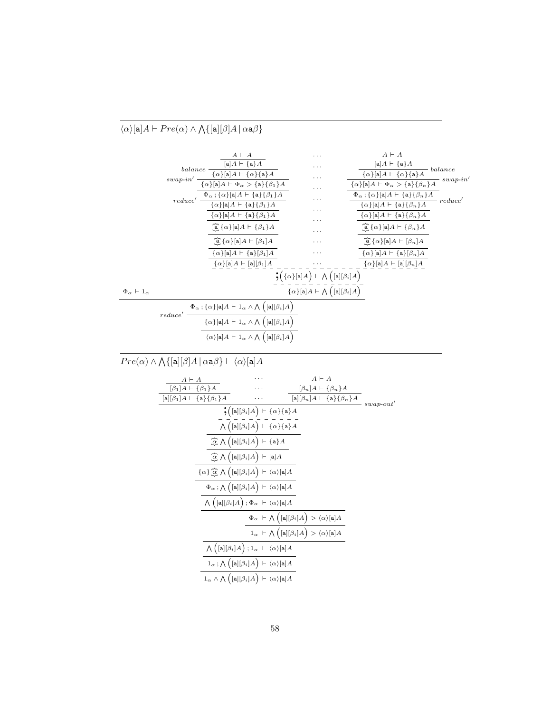#### $\langle \alpha \rangle$ [a] $A \vdash Pre(\alpha) \wedge \bigwedge \{ [\mathsf{a}][\beta]A \mid \alpha \mathsf{a}\beta \}$



 $Pre(\alpha) \wedge \bigwedge \{[\mathtt{a}][\beta]A \, | \, \alpha \mathtt{a}\beta\} \vdash \langle \alpha \rangle[\mathtt{a}]A$ 

| $A \vdash A$                             |                                                                                                                                        | $A \vdash A$                                                                                        |               |
|------------------------------------------|----------------------------------------------------------------------------------------------------------------------------------------|-----------------------------------------------------------------------------------------------------|---------------|
| $[\beta_1]A \vdash {\beta_1}A$           |                                                                                                                                        | $[\beta_n]A \vdash {\beta_n}A$                                                                      |               |
| $[a][\beta_1]A \vdash \{a\}\{\beta_1\}A$ |                                                                                                                                        | $[a][\beta_n]A \vdash \{a\}\{\beta_n\}A$                                                            | $-$ swap-out' |
|                                          | $\frac{1}{2}([a][\beta_i]A)+\{\alpha\}\{a\}A$                                                                                          |                                                                                                     |               |
|                                          | $\bigwedge \Big([\mathtt{a}][\beta_i]A\Big) \vdash \{\alpha\}\{\mathtt{a}\}A$                                                          |                                                                                                     |               |
|                                          | $\widehat{\mathcal{Q}}\,\bigwedge\Big([\mathtt{a}][\beta_i]A\Big)\,\vdash\{\mathtt{a}\}A$                                              |                                                                                                     |               |
|                                          | $\widehat{\mathcal{A}} \wedge (\lbrack \mathbf{a} \rbrack [\beta_i] A) \vdash [\mathbf{a}] A$                                          |                                                                                                     |               |
|                                          | $\{\alpha\} \stackrel{\sim}{\underline{\alpha}} \bigwedge \Big([\mathtt{a}][\beta_i]A\Big) \vdash \langle \alpha \rangle[\mathtt{a}]A$ |                                                                                                     |               |
|                                          | $\Phi_\alpha$ ; $\bigwedge \Big([\mathtt{a}][\beta_i]A\Big) \vdash \langle \alpha \rangle[\mathtt{a}]A$                                |                                                                                                     |               |
|                                          | $\bigwedge \Big([\mathtt{a}][\beta_i]A\Big)\,;\Phi_\alpha\ \vdash \langle \alpha\rangle[\mathtt{a}]A$                                  |                                                                                                     |               |
|                                          |                                                                                                                                        | $\Phi_{\alpha} + \bigwedge ( [\mathtt{a}][\beta_i] A \big) > \langle \alpha \rangle [\mathtt{a}] A$ |               |
|                                          |                                                                                                                                        | $1_{\alpha} + \bigwedge ([a][\beta_i]A] > \langle \alpha \rangle [a]A$                              |               |
|                                          | $\bigwedge \big(\big[\mathtt{a}\big][\beta_i]A\big)\,;\mathbb{1}_\alpha\ \vdash\langle \alpha\rangle[\mathtt{a}]A$                     |                                                                                                     |               |
|                                          | $1_{\alpha}$ ; $\bigwedge$ $\Big([a][\beta_i]A\Big)$ $\vdash \langle \alpha \rangle [a]A$                                              |                                                                                                     |               |
|                                          | $1_{\alpha} \wedge \bigwedge \Big( [\mathtt{a}][\beta_i] A \Big) \vdash \langle \alpha \rangle [\mathtt{a}] A$                         |                                                                                                     |               |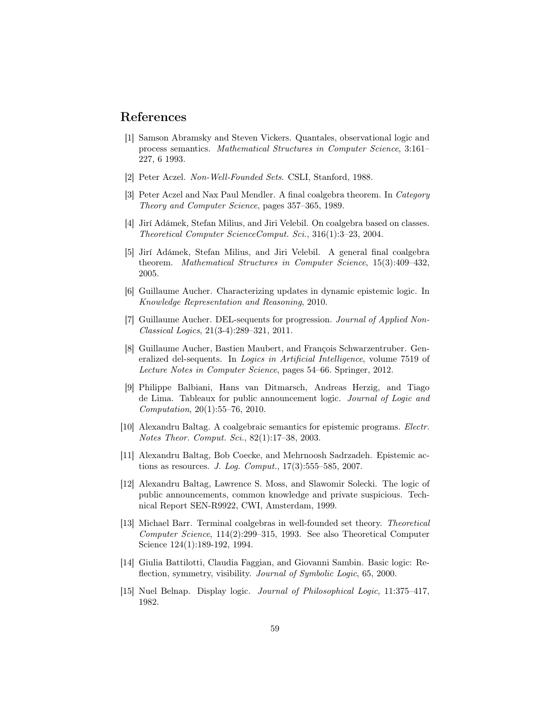### References

- <span id="page-58-8"></span>[1] Samson Abramsky and Steven Vickers. Quantales, observational logic and process semantics. Mathematical Structures in Computer Science, 3:161– 227, 6 1993.
- <span id="page-58-9"></span>[2] Peter Aczel. Non-Well-Founded Sets. CSLI, Stanford, 1988.
- <span id="page-58-10"></span>[3] Peter Aczel and Nax Paul Mendler. A final coalgebra theorem. In Category Theory and Computer Science, pages 357–365, 1989.
- <span id="page-58-13"></span>[4] Jirí Adámek, Stefan Milius, and Jiri Velebil. On coalgebra based on classes. Theoretical Computer ScienceComput. Sci., 316(1):3–23, 2004.
- <span id="page-58-12"></span>[5] Jirí Adámek, Stefan Milius, and Jiri Velebil. A general final coalgebra theorem. Mathematical Structures in Computer Science, 15(3):409–432, 2005.
- <span id="page-58-5"></span>[6] Guillaume Aucher. Characterizing updates in dynamic epistemic logic. In Knowledge Representation and Reasoning, 2010.
- <span id="page-58-6"></span>[7] Guillaume Aucher. DEL-sequents for progression. Journal of Applied Non-Classical Logics, 21(3-4):289–321, 2011.
- <span id="page-58-7"></span>[8] Guillaume Aucher, Bastien Maubert, and François Schwarzentruber. Generalized del-sequents. In Logics in Artificial Intelligence, volume 7519 of Lecture Notes in Computer Science, pages 54–66. Springer, 2012.
- <span id="page-58-3"></span>[9] Philippe Balbiani, Hans van Ditmarsch, Andreas Herzig, and Tiago de Lima. Tableaux for public announcement logic. Journal of Logic and Computation, 20(1):55–76, 2010.
- <span id="page-58-14"></span>[10] Alexandru Baltag. A coalgebraic semantics for epistemic programs. Electr. Notes Theor. Comput. Sci., 82(1):17–38, 2003.
- <span id="page-58-4"></span>[11] Alexandru Baltag, Bob Coecke, and Mehrnoosh Sadrzadeh. Epistemic actions as resources. *J. Log. Comput.*,  $17(3):555-585$ ,  $2007$ .
- <span id="page-58-0"></span>[12] Alexandru Baltag, Lawrence S. Moss, and Slawomir Solecki. The logic of public announcements, common knowledge and private suspicious. Technical Report SEN-R9922, CWI, Amsterdam, 1999.
- <span id="page-58-11"></span>[13] Michael Barr. Terminal coalgebras in well-founded set theory. Theoretical Computer Science, 114(2):299–315, 1993. See also Theoretical Computer Science 124(1):189-192, 1994.
- <span id="page-58-2"></span>[14] Giulia Battilotti, Claudia Faggian, and Giovanni Sambin. Basic logic: Reflection, symmetry, visibility. Journal of Symbolic Logic, 65, 2000.
- <span id="page-58-1"></span>[15] Nuel Belnap. Display logic. Journal of Philosophical Logic, 11:375–417, 1982.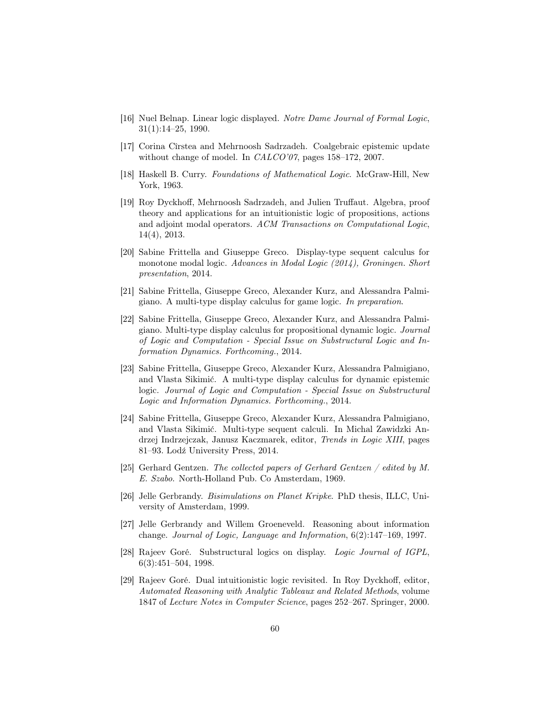- <span id="page-59-4"></span>[16] Nuel Belnap. Linear logic displayed. Notre Dame Journal of Formal Logic, 31(1):14–25, 1990.
- <span id="page-59-9"></span>[17] Corina Cîrstea and Mehrnoosh Sadrzadeh. Coalgebraic epistemic update without change of model. In *CALCO'07*, pages 158–172, 2007.
- <span id="page-59-3"></span>[18] Haskell B. Curry. Foundations of Mathematical Logic. McGraw-Hill, New York, 1963.
- <span id="page-59-6"></span>[19] Roy Dyckhoff, Mehrnoosh Sadrzadeh, and Julien Truffaut. Algebra, proof theory and applications for an intuitionistic logic of propositions, actions and adjoint modal operators. ACM Transactions on Computational Logic, 14(4), 2013.
- <span id="page-59-11"></span>[20] Sabine Frittella and Giuseppe Greco. Display-type sequent calculus for monotone modal logic. Advances in Modal Logic (2014), Groningen. Short presentation, 2014.
- <span id="page-59-13"></span>[21] Sabine Frittella, Giuseppe Greco, Alexander Kurz, and Alessandra Palmigiano. A multi-type display calculus for game logic. In preparation.
- <span id="page-59-12"></span>[22] Sabine Frittella, Giuseppe Greco, Alexander Kurz, and Alessandra Palmigiano. Multi-type display calculus for propositional dynamic logic. Journal of Logic and Computation - Special Issue on Substructural Logic and Information Dynamics. Forthcoming., 2014.
- <span id="page-59-0"></span>[23] Sabine Frittella, Giuseppe Greco, Alexander Kurz, Alessandra Palmigiano, and Vlasta Sikimić. A multi-type display calculus for dynamic epistemic logic. Journal of Logic and Computation - Special Issue on Substructural Logic and Information Dynamics. Forthcoming., 2014.
- <span id="page-59-5"></span>[24] Sabine Frittella, Giuseppe Greco, Alexander Kurz, Alessandra Palmigiano, and Vlasta Sikimić. Multi-type sequent calculi. In Michal Zawidzki Andrzej Indrzejczak, Janusz Kaczmarek, editor, Trends in Logic XIII, pages 81–93. Lodź University Press, 2014.
- <span id="page-59-1"></span>[25] Gerhard Gentzen. The collected papers of Gerhard Gentzen / edited by M. E. Szabo. North-Holland Pub. Co Amsterdam, 1969.
- <span id="page-59-8"></span>[26] Jelle Gerbrandy. Bisimulations on Planet Kripke. PhD thesis, ILLC, University of Amsterdam, 1999.
- <span id="page-59-7"></span>[27] Jelle Gerbrandy and Willem Groeneveld. Reasoning about information change. Journal of Logic, Language and Information, 6(2):147–169, 1997.
- <span id="page-59-2"></span>[28] Rajeev Goré. Substructural logics on display. Logic Journal of IGPL, 6(3):451–504, 1998.
- <span id="page-59-10"></span>[29] Rajeev Goré. Dual intuitionistic logic revisited. In Roy Dyckhoff, editor, Automated Reasoning with Analytic Tableaux and Related Methods, volume 1847 of Lecture Notes in Computer Science, pages 252–267. Springer, 2000.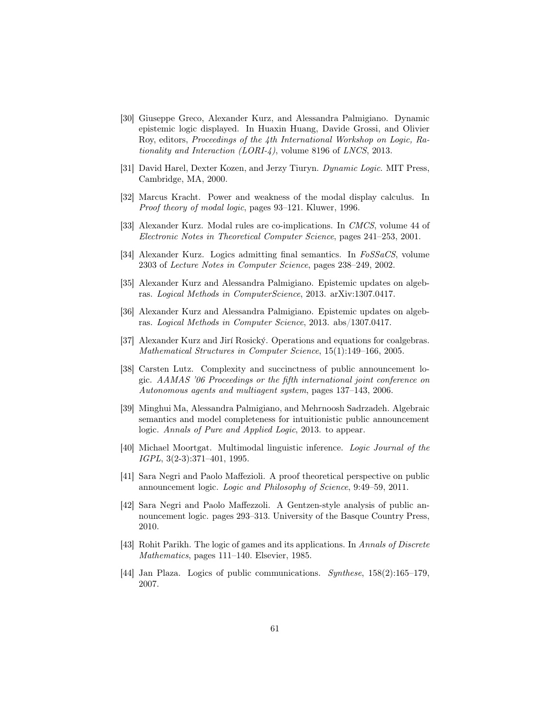- <span id="page-60-0"></span>[30] Giuseppe Greco, Alexander Kurz, and Alessandra Palmigiano. Dynamic epistemic logic displayed. In Huaxin Huang, Davide Grossi, and Olivier Roy, editors, Proceedings of the 4th International Workshop on Logic, Rationality and Interaction  $(LORI-4)$ , volume 8196 of LNCS, 2013.
- <span id="page-60-1"></span>[31] David Harel, Dexter Kozen, and Jerzy Tiuryn. Dynamic Logic. MIT Press, Cambridge, MA, 2000.
- <span id="page-60-3"></span>[32] Marcus Kracht. Power and weakness of the modal display calculus. In Proof theory of modal logic, pages 93–121. Kluwer, 1996.
- <span id="page-60-11"></span>[33] Alexander Kurz. Modal rules are co-implications. In CMCS, volume 44 of Electronic Notes in Theoretical Computer Science, pages 241–253, 2001.
- <span id="page-60-10"></span>[34] Alexander Kurz. Logics admitting final semantics. In FoSSaCS, volume 2303 of Lecture Notes in Computer Science, pages 238–249, 2002.
- <span id="page-60-6"></span>[35] Alexander Kurz and Alessandra Palmigiano. Epistemic updates on algebras. Logical Methods in ComputerScience, 2013. arXiv:1307.0417.
- <span id="page-60-13"></span>[36] Alexander Kurz and Alessandra Palmigiano. Epistemic updates on algebras. Logical Methods in Computer Science, 2013. abs/1307.0417.
- <span id="page-60-12"></span>[37] Alexander Kurz and Jirí Rosický. Operations and equations for coalgebras. Mathematical Structures in Computer Science, 15(1):149–166, 2005.
- <span id="page-60-5"></span>[38] Carsten Lutz. Complexity and succinctness of public announcement logic. AAMAS '06 Proceedings or the fifth international joint conference on Autonomous agents and multiagent system, pages 137–143, 2006.
- <span id="page-60-4"></span>[39] Minghui Ma, Alessandra Palmigiano, and Mehrnoosh Sadrzadeh. Algebraic semantics and model completeness for intuitionistic public announcement logic. Annals of Pure and Applied Logic, 2013. to appear.
- <span id="page-60-9"></span>[40] Michael Moortgat. Multimodal linguistic inference. Logic Journal of the IGPL, 3(2-3):371–401, 1995.
- <span id="page-60-8"></span>[41] Sara Negri and Paolo Maffezioli. A proof theoretical perspective on public announcement logic. Logic and Philosophy of Science, 9:49–59, 2011.
- <span id="page-60-7"></span>[42] Sara Negri and Paolo Maffezzoli. A Gentzen-style analysis of public announcement logic. pages 293–313. University of the Basque Country Press, 2010.
- <span id="page-60-14"></span>[43] Rohit Parikh. The logic of games and its applications. In Annals of Discrete Mathematics, pages 111–140. Elsevier, 1985.
- <span id="page-60-2"></span>[44] Jan Plaza. Logics of public communications. Synthese, 158(2):165–179, 2007.